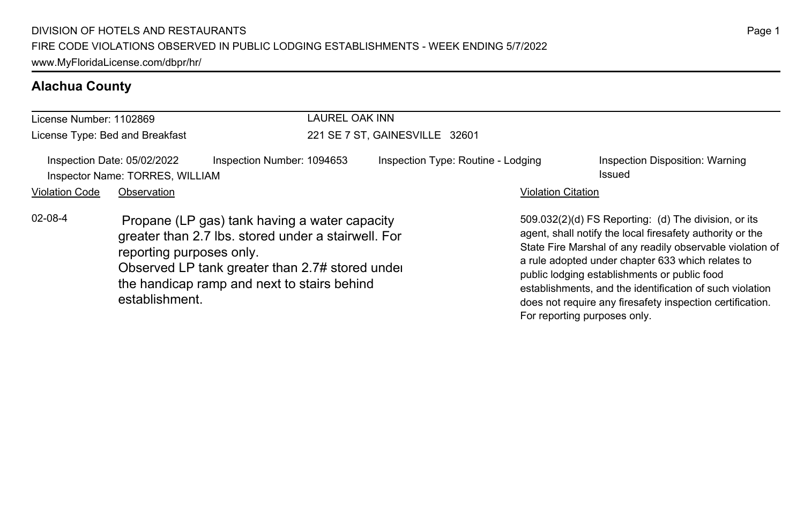## **Alachua County**

| License Number: 1102869 |                                                                | LAUREL OAK INN                                                                                                                                                                                         |                                    |                              |                                                                                                                                                                                                                                                                                                                                                                                                              |  |  |
|-------------------------|----------------------------------------------------------------|--------------------------------------------------------------------------------------------------------------------------------------------------------------------------------------------------------|------------------------------------|------------------------------|--------------------------------------------------------------------------------------------------------------------------------------------------------------------------------------------------------------------------------------------------------------------------------------------------------------------------------------------------------------------------------------------------------------|--|--|
|                         | License Type: Bed and Breakfast                                |                                                                                                                                                                                                        | 221 SE 7 ST, GAINESVILLE 32601     |                              |                                                                                                                                                                                                                                                                                                                                                                                                              |  |  |
|                         | Inspection Date: 05/02/2022<br>Inspector Name: TORRES, WILLIAM | Inspection Number: 1094653                                                                                                                                                                             | Inspection Type: Routine - Lodging |                              | Inspection Disposition: Warning<br>Issued                                                                                                                                                                                                                                                                                                                                                                    |  |  |
| <b>Violation Code</b>   | Observation                                                    |                                                                                                                                                                                                        |                                    | <b>Violation Citation</b>    |                                                                                                                                                                                                                                                                                                                                                                                                              |  |  |
| $02 - 08 - 4$           | reporting purposes only.<br>establishment.                     | Propane (LP gas) tank having a water capacity<br>greater than 2.7 lbs. stored under a stairwell. For<br>Observed LP tank greater than 2.7# stored under<br>the handicap ramp and next to stairs behind |                                    | For reporting purposes only. | 509.032(2)(d) FS Reporting: (d) The division, or its<br>agent, shall notify the local firesafety authority or the<br>State Fire Marshal of any readily observable violation of<br>a rule adopted under chapter 633 which relates to<br>public lodging establishments or public food<br>establishments, and the identification of such violation<br>does not require any firesafety inspection certification. |  |  |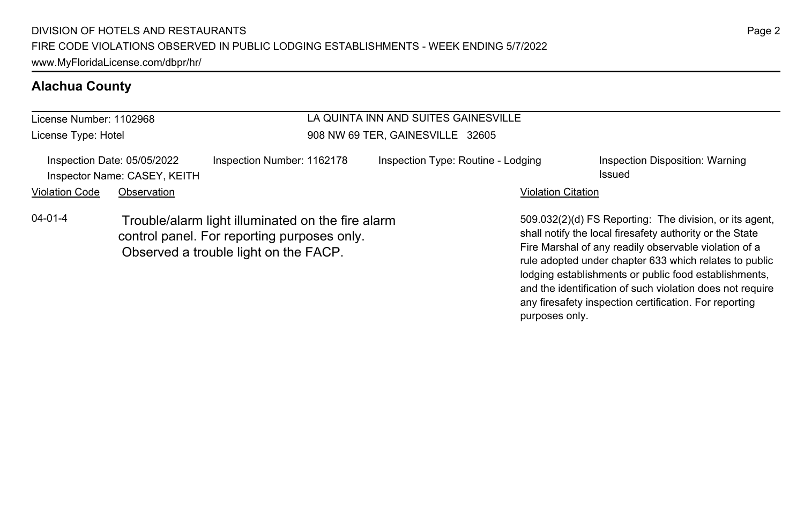## **Alachua County**

### License Number: 1102968 License Type: Hotel LA QUINTA INN AND SUITES GAINESVILLE 908 NW 69 TER, GAINESVILLE 32605 Inspection Date: 05/05/2022 Inspection Number: 1162178 Inspection Type: Routine - Lodging Inspection Disposition: Warning **Inspector Name: CASEY, KEITH Issued** and the control of the control of the control of the control of the control of the control of the control of the control of the control of the control of the control of the control of Violation Code Observation **Violation Code Observation** Violation Citation Citation Citation Citation Citation Citation Citation Citation Citation Citation Citation Citation Citation Citation Citation Citation Citation Cit 509.032(2)(d) FS Reporting: The division, or its agent, shall notify the local firesafety authority or the State Fire Marshal of any readily observable violation of a rule adopted under chapter 633 which relates to public lodging establishments or public food establishments, 04-01-4 Trouble/alarm light illuminated on the fire alarm control panel. For reporting purposes only. Observed a trouble light on the FACP.

and the identification of such violation does not require any firesafety inspection certification. For reporting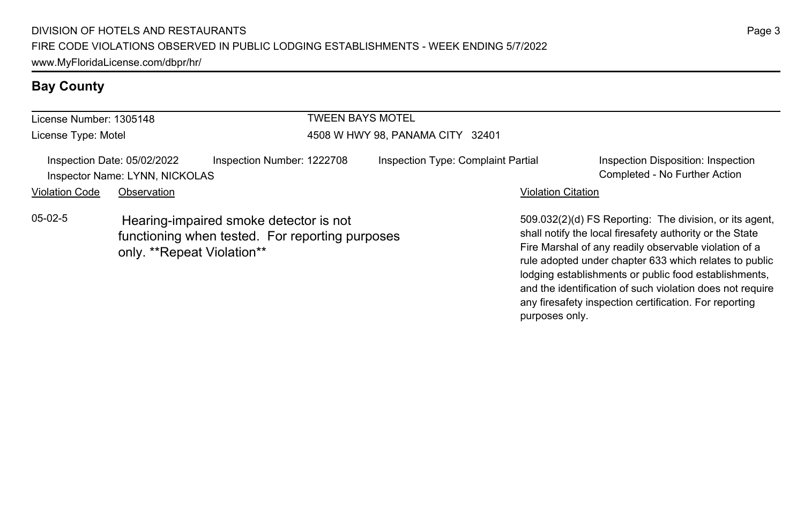## **Bay County**

| License Number: 1305148 |                                                               |                                                                                           | <b>TWEEN BAYS MOTEL</b>          |                                    |                           |                                                                                                                                                                                                                                        |
|-------------------------|---------------------------------------------------------------|-------------------------------------------------------------------------------------------|----------------------------------|------------------------------------|---------------------------|----------------------------------------------------------------------------------------------------------------------------------------------------------------------------------------------------------------------------------------|
| License Type: Motel     |                                                               |                                                                                           | 4508 W HWY 98, PANAMA CITY 32401 |                                    |                           |                                                                                                                                                                                                                                        |
|                         | Inspection Date: 05/02/2022<br>Inspector Name: LYNN, NICKOLAS | Inspection Number: 1222708                                                                |                                  | Inspection Type: Complaint Partial |                           | Inspection Disposition: Inspection<br>Completed - No Further Action                                                                                                                                                                    |
| <b>Violation Code</b>   | Observation                                                   |                                                                                           |                                  |                                    | <b>Violation Citation</b> |                                                                                                                                                                                                                                        |
| $05-02-5$               | only. **Repeat Violation**                                    | Hearing-impaired smoke detector is not<br>functioning when tested. For reporting purposes |                                  |                                    |                           | 509.032(2)(d) FS Reporting: The division, or its agent.<br>shall notify the local firesafety authority or the State<br>Fire Marshal of any readily observable violation of a<br>rule adopted under chapter 633 which relates to public |

lodging establishments or public food establishments, and the identification of such violation does not require any firesafety inspection certification. For reporting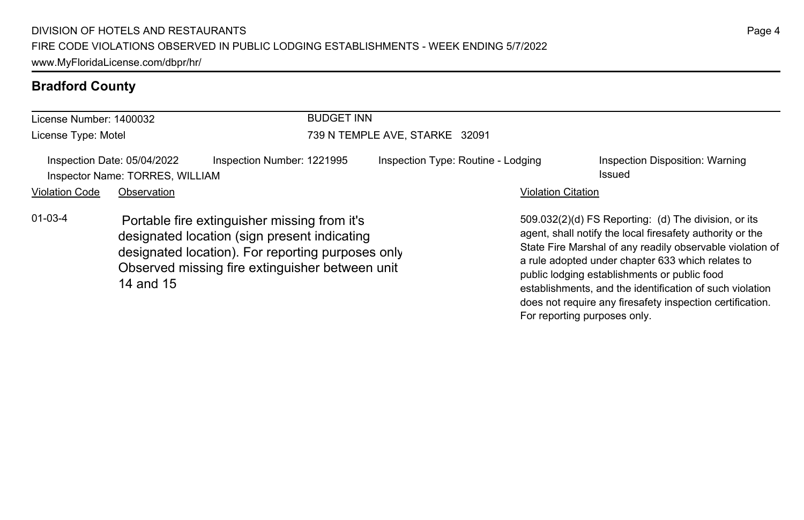## **Bradford County**

| License Number: 1400032 |                                                                |                                                                                                                                                                                                      | <b>BUDGET INN</b>              |                                    |                           |                                                                                                                                                                                                                                                                                                                                                                                                              |  |  |
|-------------------------|----------------------------------------------------------------|------------------------------------------------------------------------------------------------------------------------------------------------------------------------------------------------------|--------------------------------|------------------------------------|---------------------------|--------------------------------------------------------------------------------------------------------------------------------------------------------------------------------------------------------------------------------------------------------------------------------------------------------------------------------------------------------------------------------------------------------------|--|--|
| License Type: Motel     |                                                                |                                                                                                                                                                                                      | 739 N TEMPLE AVE, STARKE 32091 |                                    |                           |                                                                                                                                                                                                                                                                                                                                                                                                              |  |  |
|                         | Inspection Date: 05/04/2022<br>Inspector Name: TORRES, WILLIAM | Inspection Number: 1221995                                                                                                                                                                           |                                | Inspection Type: Routine - Lodging |                           | Inspection Disposition: Warning<br>Issued                                                                                                                                                                                                                                                                                                                                                                    |  |  |
| <b>Violation Code</b>   | Observation                                                    |                                                                                                                                                                                                      |                                |                                    | <b>Violation Citation</b> |                                                                                                                                                                                                                                                                                                                                                                                                              |  |  |
| $01 - 03 - 4$           | 14 and 15                                                      | Portable fire extinguisher missing from it's<br>designated location (sign present indicating<br>designated location). For reporting purposes only<br>Observed missing fire extinguisher between unit |                                |                                    |                           | 509.032(2)(d) FS Reporting: (d) The division, or its<br>agent, shall notify the local firesafety authority or the<br>State Fire Marshal of any readily observable violation of<br>a rule adopted under chapter 633 which relates to<br>public lodging establishments or public food<br>establishments, and the identification of such violation<br>does not require any firesafety inspection certification. |  |  |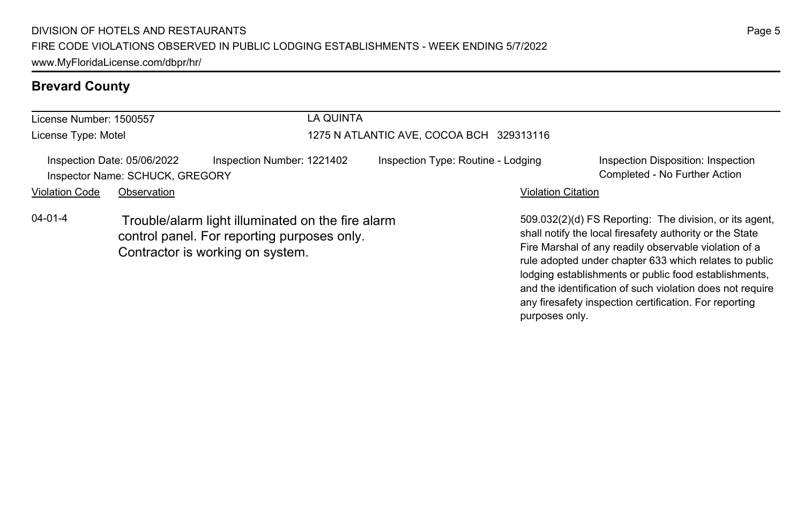## **Brevard County**

| License Number: 1500557 |                                                                | LA QUINTA                                                                                                                            |                                          |                                                                                                                                                                                                                                                                                                 |  |  |  |
|-------------------------|----------------------------------------------------------------|--------------------------------------------------------------------------------------------------------------------------------------|------------------------------------------|-------------------------------------------------------------------------------------------------------------------------------------------------------------------------------------------------------------------------------------------------------------------------------------------------|--|--|--|
| License Type: Motel     |                                                                |                                                                                                                                      | 1275 N ATLANTIC AVE, COCOA BCH 329313116 |                                                                                                                                                                                                                                                                                                 |  |  |  |
|                         | Inspection Date: 05/06/2022<br>Inspector Name: SCHUCK, GREGORY | Inspection Number: 1221402                                                                                                           | Inspection Type: Routine - Lodging       | Inspection Disposition: Inspection<br>Completed - No Further Action                                                                                                                                                                                                                             |  |  |  |
| <b>Violation Code</b>   | Observation                                                    |                                                                                                                                      | <b>Violation Citation</b>                |                                                                                                                                                                                                                                                                                                 |  |  |  |
| $04 - 01 - 4$           |                                                                | Trouble/alarm light illuminated on the fire alarm<br>control panel. For reporting purposes only.<br>Contractor is working on system. |                                          | 509.032(2)(d) FS Reporting: The division, or its agent.<br>shall notify the local firesafety authority or the State<br>Fire Marshal of any readily observable violation of a<br>rule adopted under chapter 633 which relates to public<br>lodging establishments or public food establishments, |  |  |  |

and the identification of such violation does not require any firesafety inspection certification. For reporting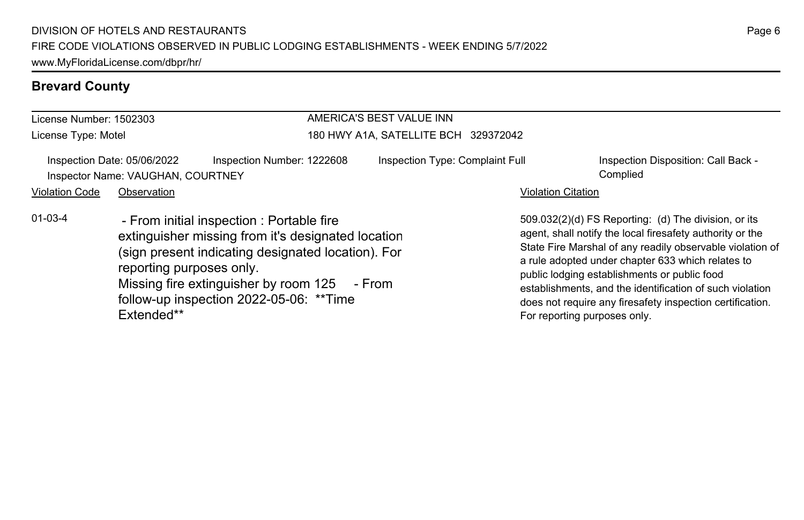## **Brevard County**

| License Number: 1502303                                          |                                        |                                                                                                                                                                                                                                                   | AMERICA'S BEST VALUE INN             |                              |                                                                                                                                                                                                                                                                                                                                                                                                              |  |  |
|------------------------------------------------------------------|----------------------------------------|---------------------------------------------------------------------------------------------------------------------------------------------------------------------------------------------------------------------------------------------------|--------------------------------------|------------------------------|--------------------------------------------------------------------------------------------------------------------------------------------------------------------------------------------------------------------------------------------------------------------------------------------------------------------------------------------------------------------------------------------------------------|--|--|
| License Type: Motel                                              |                                        |                                                                                                                                                                                                                                                   | 180 HWY A1A, SATELLITE BCH 329372042 |                              |                                                                                                                                                                                                                                                                                                                                                                                                              |  |  |
| Inspection Date: 05/06/2022<br>Inspector Name: VAUGHAN, COURTNEY |                                        | Inspection Number: 1222608                                                                                                                                                                                                                        | Inspection Type: Complaint Full      |                              | Inspection Disposition: Call Back -<br>Complied                                                                                                                                                                                                                                                                                                                                                              |  |  |
| <b>Violation Code</b>                                            | Observation                            |                                                                                                                                                                                                                                                   |                                      | <b>Violation Citation</b>    |                                                                                                                                                                                                                                                                                                                                                                                                              |  |  |
| $01 - 03 - 4$                                                    | reporting purposes only.<br>Extended** | - From initial inspection : Portable fire<br>extinguisher missing from it's designated location<br>(sign present indicating designated location). For<br>Missing fire extinguisher by room 125 - From<br>follow-up inspection 2022-05-06: ** Time |                                      | For reporting purposes only. | 509.032(2)(d) FS Reporting: (d) The division, or its<br>agent, shall notify the local firesafety authority or the<br>State Fire Marshal of any readily observable violation of<br>a rule adopted under chapter 633 which relates to<br>public lodging establishments or public food<br>establishments, and the identification of such violation<br>does not require any firesafety inspection certification. |  |  |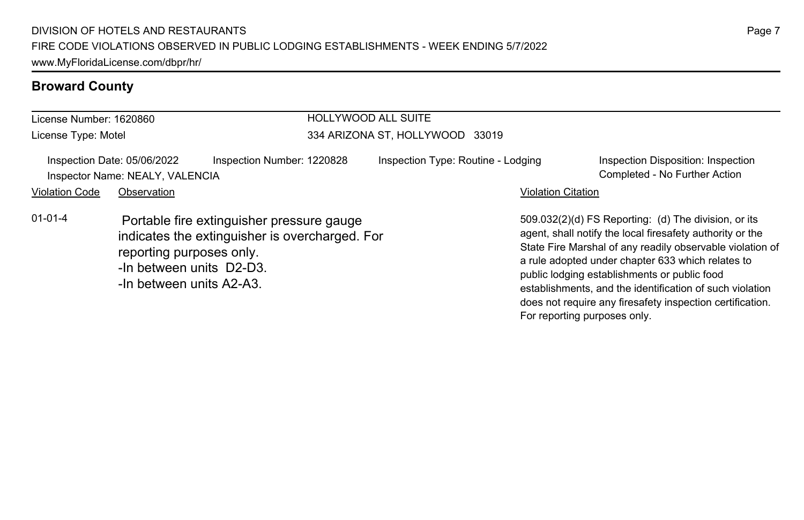| License Number: 1620860 |                                                                                  |                                                                                             | <b>HOLLYWOOD ALL SUITE</b>         |                           |                                                                                                                                                                                                                                                                                                                                                                                                              |  |  |
|-------------------------|----------------------------------------------------------------------------------|---------------------------------------------------------------------------------------------|------------------------------------|---------------------------|--------------------------------------------------------------------------------------------------------------------------------------------------------------------------------------------------------------------------------------------------------------------------------------------------------------------------------------------------------------------------------------------------------------|--|--|
| License Type: Motel     |                                                                                  |                                                                                             | 334 ARIZONA ST, HOLLYWOOD 33019    |                           |                                                                                                                                                                                                                                                                                                                                                                                                              |  |  |
|                         | Inspection Date: 05/06/2022<br>Inspector Name: NEALY, VALENCIA                   | Inspection Number: 1220828                                                                  | Inspection Type: Routine - Lodging |                           | Inspection Disposition: Inspection<br>Completed - No Further Action                                                                                                                                                                                                                                                                                                                                          |  |  |
| <b>Violation Code</b>   | Observation                                                                      |                                                                                             |                                    | <b>Violation Citation</b> |                                                                                                                                                                                                                                                                                                                                                                                                              |  |  |
| $01 - 01 - 4$           | reporting purposes only.<br>-In between units D2-D3.<br>-In between units A2-A3. | Portable fire extinguisher pressure gauge<br>indicates the extinguisher is overcharged. For |                                    |                           | 509.032(2)(d) FS Reporting: (d) The division, or its<br>agent, shall notify the local firesafety authority or the<br>State Fire Marshal of any readily observable violation of<br>a rule adopted under chapter 633 which relates to<br>public lodging establishments or public food<br>establishments, and the identification of such violation<br>does not require any firesafety inspection certification. |  |  |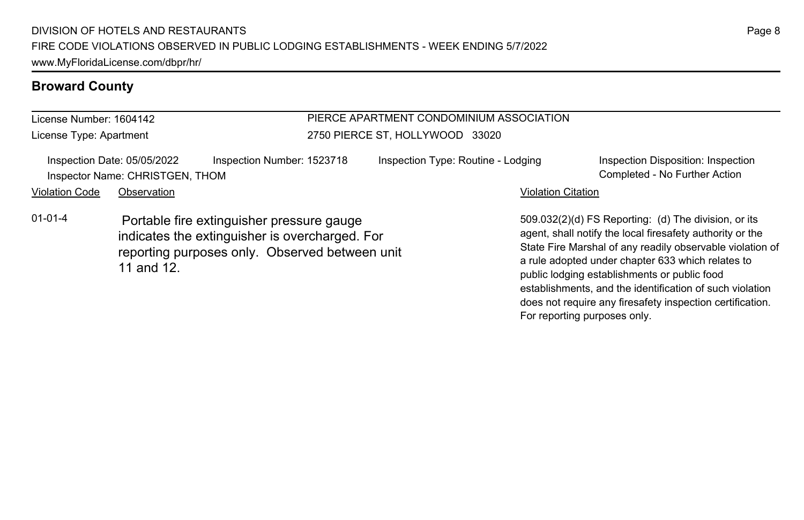License Number: 1604142 License Type: Apartment

## PIERCE APARTMENT CONDOMINIUM ASSOCIATION

Inspection Date: 05/05/2022 Inspection Number: 1523718 Inspection Type: Routine - Lodging Inspection Disposition: Inspection Inspector Name: CHRISTGEN, THOM Completed - No Further Action Violation Code Observation **Violation Code Observation** Violation Citation Citation Citation Citation Citation Citation Citation Citation Citation Citation Citation Citation Citation Citation Citation Citation Citation Cit

2750 PIERCE ST, HOLLYWOOD 33020

01-01-4 Portable fire extinguisher pressure gauge indicates the extinguisher is overcharged. For reporting purposes only. Observed between unit 11 and 12.

509.032(2)(d) FS Reporting: (d) The division, or its agent, shall notify the local firesafety authority or the State Fire Marshal of any readily observable violation of a rule adopted under chapter 633 which relates to public lodging establishments or public food establishments, and the identification of such violation does not require any firesafety inspection certification. For reporting purposes only.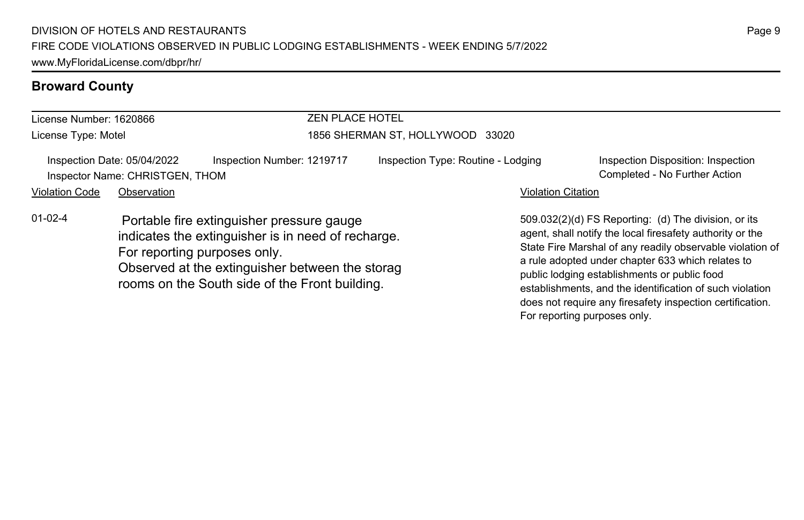| License Number: 1620866 |                                                                |                                                                                                                                                                                                                                      | <b>ZEN PLACE HOTEL</b>             |                           |                                                                                                                                                                                                                                                                                                                                                 |  |
|-------------------------|----------------------------------------------------------------|--------------------------------------------------------------------------------------------------------------------------------------------------------------------------------------------------------------------------------------|------------------------------------|---------------------------|-------------------------------------------------------------------------------------------------------------------------------------------------------------------------------------------------------------------------------------------------------------------------------------------------------------------------------------------------|--|
| License Type: Motel     |                                                                | 1856 SHERMAN ST, HOLLYWOOD 33020                                                                                                                                                                                                     |                                    |                           |                                                                                                                                                                                                                                                                                                                                                 |  |
|                         | Inspection Date: 05/04/2022<br>Inspector Name: CHRISTGEN, THOM | Inspection Number: 1219717                                                                                                                                                                                                           | Inspection Type: Routine - Lodging |                           | Inspection Disposition: Inspection<br>Completed - No Further Action                                                                                                                                                                                                                                                                             |  |
| <b>Violation Code</b>   | Observation                                                    |                                                                                                                                                                                                                                      |                                    | <b>Violation Citation</b> |                                                                                                                                                                                                                                                                                                                                                 |  |
| $01-02-4$               |                                                                | Portable fire extinguisher pressure gauge<br>indicates the extinguisher is in need of recharge.<br>For reporting purposes only.<br>Observed at the extinguisher between the storag<br>rooms on the South side of the Front building. |                                    |                           | 509.032(2)(d) FS Reporting: (d) The division, or its<br>agent, shall notify the local firesafety authority or the<br>State Fire Marshal of any readily observable violation of<br>a rule adopted under chapter 633 which relates to<br>public lodging establishments or public food<br>establishments, and the identification of such violation |  |

Page 9

does not require any firesafety inspection certification.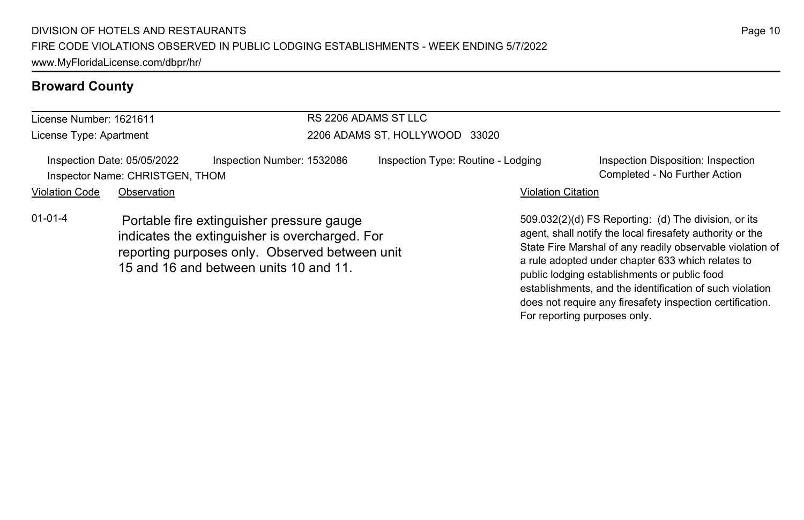### License Number: 1621611 License Type: Apartment RS 2206 ADAMS ST LLC 2206 ADAMS ST, HOLLYWOOD 33020 Inspection Date: 05/05/2022 Inspection Number: 1532086 Inspection Type: Routine - Lodging Inspection Disposition: Inspection Inspector Name: CHRISTGEN, THOM Completed - No Further Action Violation Code Observation **Violation Code Observation** Violation Citation Citation Citation Citation Citation Citation Citation Citation Citation Citation Citation Citation Citation Citation Citation Citation Citation Cit 509.032(2)(d) FS Reporting: (d) The division, or its agent, shall notify the local firesafety authority or the State Fire Marshal of any readily observable violation of a rule adopted under chapter 633 which relates to 01-01-4 Portable fire extinguisher pressure gauge indicates the extinguisher is overcharged. For reporting purposes only. Observed between unit 15 and 16 and between units 10 and 11.

public lodging establishments or public food

For reporting purposes only.

establishments, and the identification of such violation does not require any firesafety inspection certification.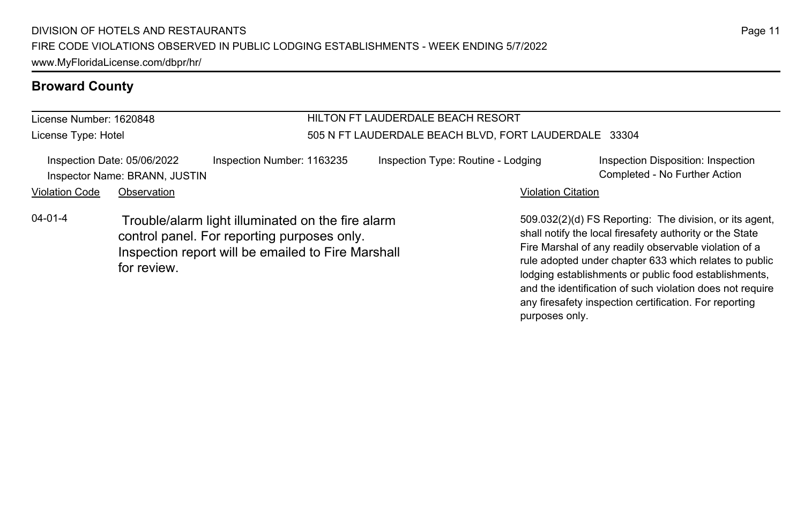License Number: 1620848 License Type: Hotel

## HILTON FT LAUDERDALE BEACH RESORT 505 N FT LAUDERDALE BEACH BLVD, FORT LAUDERDALE 33304

|                       | Inspection Date: 05/06/2022<br>Inspector Name: BRANN, JUSTIN | Inspection Number: 1163235                                                                                                                             | Inspection Type: Routine - Lodging |                           | Inspection Disposition: Inspection<br>Completed - No Further Action                                                                                                                                                                                                                             |
|-----------------------|--------------------------------------------------------------|--------------------------------------------------------------------------------------------------------------------------------------------------------|------------------------------------|---------------------------|-------------------------------------------------------------------------------------------------------------------------------------------------------------------------------------------------------------------------------------------------------------------------------------------------|
| <b>Violation Code</b> | Observation                                                  |                                                                                                                                                        |                                    | <b>Violation Citation</b> |                                                                                                                                                                                                                                                                                                 |
| $04 - 01 - 4$         | for review.                                                  | Trouble/alarm light illuminated on the fire alarm<br>control panel. For reporting purposes only.<br>Inspection report will be emailed to Fire Marshall |                                    |                           | 509.032(2)(d) FS Reporting: The division, or its agent,<br>shall notify the local firesafety authority or the State<br>Fire Marshal of any readily observable violation of a<br>rule adopted under chapter 633 which relates to public<br>lodging establishments or public food establishments, |

Page 11

and the identification of such violation does not require any firesafety inspection certification. For reporting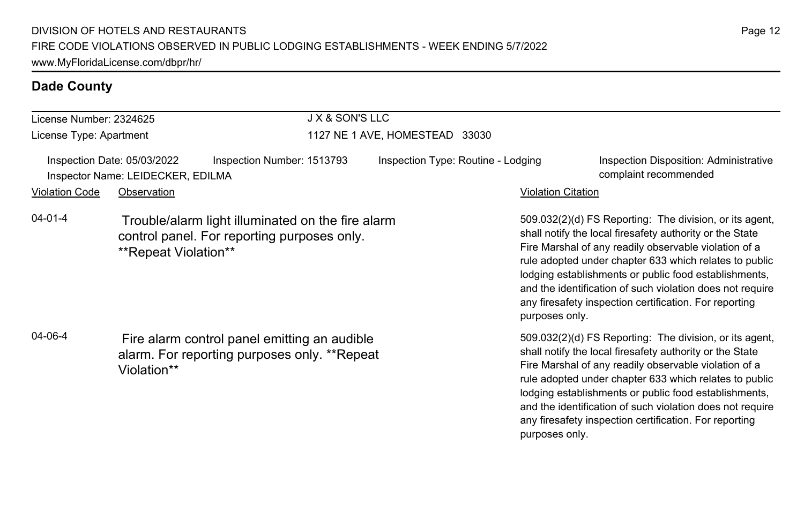| License Number: 2324625                                                                                                |                      | <b>J X &amp; SON'S LLC</b>                                                                       |                                    |                           |                                                                                                                                                                                                                                                                                                                                                                                                                        |  |  |
|------------------------------------------------------------------------------------------------------------------------|----------------------|--------------------------------------------------------------------------------------------------|------------------------------------|---------------------------|------------------------------------------------------------------------------------------------------------------------------------------------------------------------------------------------------------------------------------------------------------------------------------------------------------------------------------------------------------------------------------------------------------------------|--|--|
| License Type: Apartment                                                                                                |                      |                                                                                                  | 1127 NE 1 AVE, HOMESTEAD 33030     |                           |                                                                                                                                                                                                                                                                                                                                                                                                                        |  |  |
| Inspection Date: 05/03/2022<br>Inspector Name: LEIDECKER, EDILMA                                                       |                      | Inspection Number: 1513793                                                                       | Inspection Type: Routine - Lodging |                           | Inspection Disposition: Administrative<br>complaint recommended                                                                                                                                                                                                                                                                                                                                                        |  |  |
| <b>Violation Code</b>                                                                                                  | Observation          |                                                                                                  |                                    | <b>Violation Citation</b> |                                                                                                                                                                                                                                                                                                                                                                                                                        |  |  |
| $04 - 01 - 4$                                                                                                          | **Repeat Violation** | Trouble/alarm light illuminated on the fire alarm<br>control panel. For reporting purposes only. |                                    | purposes only.            | 509.032(2)(d) FS Reporting: The division, or its agent,<br>shall notify the local firesafety authority or the State<br>Fire Marshal of any readily observable violation of a<br>rule adopted under chapter 633 which relates to public<br>lodging establishments or public food establishments,<br>and the identification of such violation does not require<br>any firesafety inspection certification. For reporting |  |  |
| 04-06-4<br>Fire alarm control panel emitting an audible<br>alarm. For reporting purposes only. **Repeat<br>Violation** |                      |                                                                                                  |                                    |                           | 509.032(2)(d) FS Reporting: The division, or its agent,<br>shall notify the local firesafety authority or the State<br>Fire Marshal of any readily observable violation of a<br>rule adopted under chapter 633 which relates to public<br>lodging establishments or public food establishments,<br>and the identification of such violation does not require<br>any firesafety inspection certification. For reporting |  |  |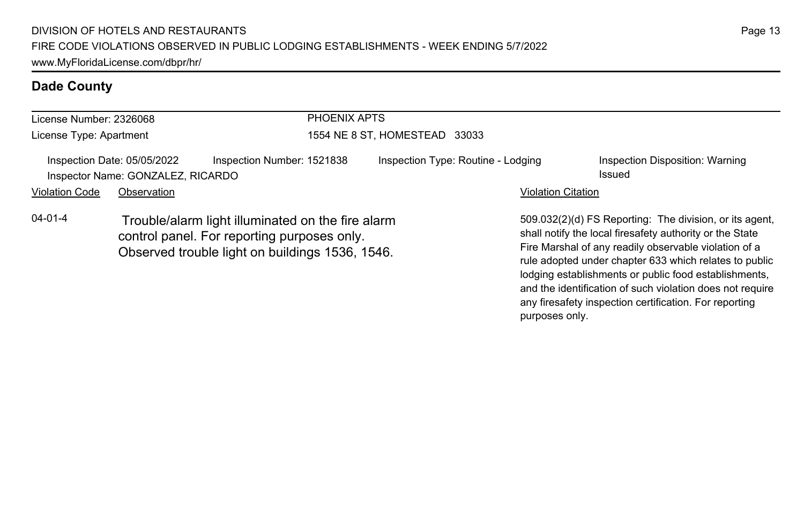| License Number: 2326068 |                                                                  | PHOENIX APTS                                                                                                                                        |                                    |                           |                                                                                                                                                                                                                                                                                                 |  |
|-------------------------|------------------------------------------------------------------|-----------------------------------------------------------------------------------------------------------------------------------------------------|------------------------------------|---------------------------|-------------------------------------------------------------------------------------------------------------------------------------------------------------------------------------------------------------------------------------------------------------------------------------------------|--|
|                         |                                                                  |                                                                                                                                                     |                                    |                           |                                                                                                                                                                                                                                                                                                 |  |
| License Type: Apartment |                                                                  |                                                                                                                                                     | 1554 NE 8 ST, HOMESTEAD 33033      |                           |                                                                                                                                                                                                                                                                                                 |  |
|                         | Inspection Date: 05/05/2022<br>Inspector Name: GONZALEZ, RICARDO | Inspection Number: 1521838                                                                                                                          | Inspection Type: Routine - Lodging |                           | Inspection Disposition: Warning<br>Issued                                                                                                                                                                                                                                                       |  |
| <b>Violation Code</b>   | Observation                                                      |                                                                                                                                                     |                                    | <b>Violation Citation</b> |                                                                                                                                                                                                                                                                                                 |  |
| $04 - 01 - 4$           |                                                                  | Trouble/alarm light illuminated on the fire alarm<br>control panel. For reporting purposes only.<br>Observed trouble light on buildings 1536, 1546. |                                    |                           | 509.032(2)(d) FS Reporting: The division, or its agent.<br>shall notify the local firesafety authority or the State<br>Fire Marshal of any readily observable violation of a<br>rule adopted under chapter 633 which relates to public<br>lodging establishments or public food establishments, |  |

Page 13

and the identification of such violation does not require any firesafety inspection certification. For reporting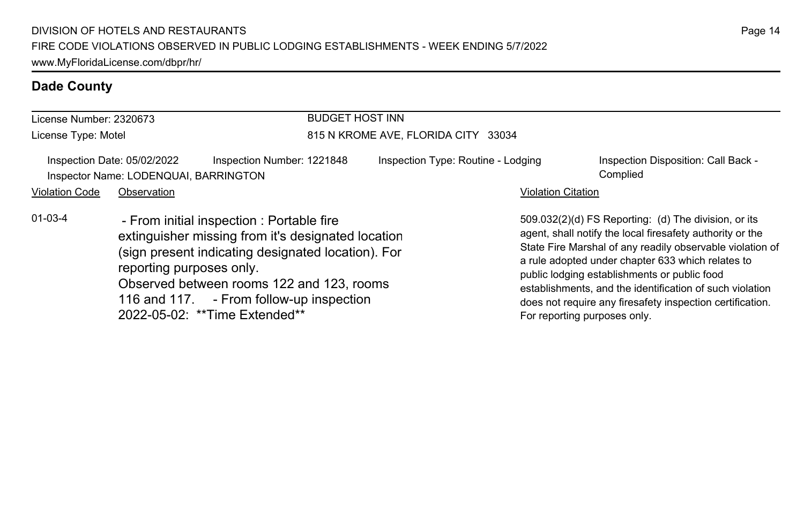| License Number: 2320673                                              |                          |                                                                                                                                                                                                                                                                                 | <b>BUDGET HOST INN</b>              |                              |                                                                                                                                                                                                                                                                                                                                                                                                              |  |  |
|----------------------------------------------------------------------|--------------------------|---------------------------------------------------------------------------------------------------------------------------------------------------------------------------------------------------------------------------------------------------------------------------------|-------------------------------------|------------------------------|--------------------------------------------------------------------------------------------------------------------------------------------------------------------------------------------------------------------------------------------------------------------------------------------------------------------------------------------------------------------------------------------------------------|--|--|
| License Type: Motel                                                  |                          |                                                                                                                                                                                                                                                                                 | 815 N KROME AVE, FLORIDA CITY 33034 |                              |                                                                                                                                                                                                                                                                                                                                                                                                              |  |  |
| Inspection Date: 05/02/2022<br>Inspector Name: LODENQUAI, BARRINGTON |                          | Inspection Number: 1221848                                                                                                                                                                                                                                                      | Inspection Type: Routine - Lodging  |                              | Inspection Disposition: Call Back -<br>Complied                                                                                                                                                                                                                                                                                                                                                              |  |  |
| <b>Violation Code</b>                                                | Observation              |                                                                                                                                                                                                                                                                                 |                                     | <b>Violation Citation</b>    |                                                                                                                                                                                                                                                                                                                                                                                                              |  |  |
| $01 - 03 - 4$                                                        | reporting purposes only. | - From initial inspection : Portable fire<br>extinguisher missing from it's designated location<br>(sign present indicating designated location). For<br>Observed between rooms 122 and 123, rooms<br>116 and 117. - From follow-up inspection<br>2022-05-02: **Time Extended** |                                     | For reporting purposes only. | 509.032(2)(d) FS Reporting: (d) The division, or its<br>agent, shall notify the local firesafety authority or the<br>State Fire Marshal of any readily observable violation of<br>a rule adopted under chapter 633 which relates to<br>public lodging establishments or public food<br>establishments, and the identification of such violation<br>does not require any firesafety inspection certification. |  |  |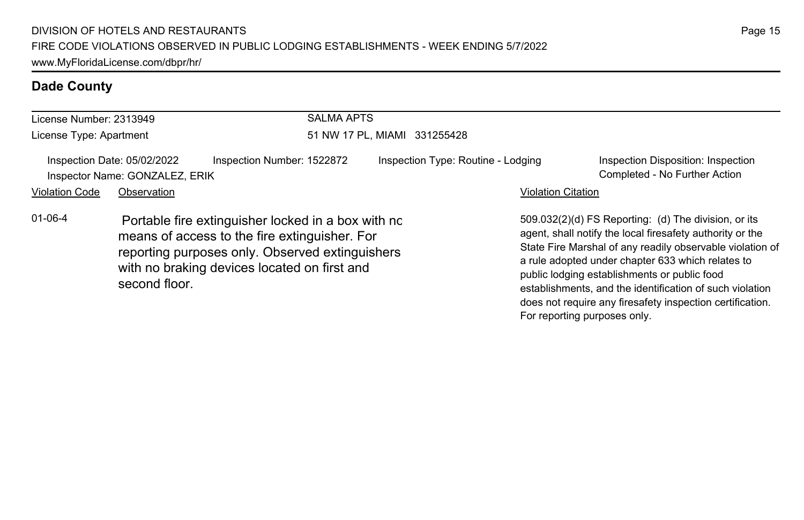| License Number: 2313949 |                                                               |                                                                                                                                                                                                        | <b>SALMA APTS</b>            |                                    |                           |                                                                                                                                                                                                                                                                                                                                                                                                              |  |
|-------------------------|---------------------------------------------------------------|--------------------------------------------------------------------------------------------------------------------------------------------------------------------------------------------------------|------------------------------|------------------------------------|---------------------------|--------------------------------------------------------------------------------------------------------------------------------------------------------------------------------------------------------------------------------------------------------------------------------------------------------------------------------------------------------------------------------------------------------------|--|
| License Type: Apartment |                                                               |                                                                                                                                                                                                        | 51 NW 17 PL, MIAMI 331255428 |                                    |                           |                                                                                                                                                                                                                                                                                                                                                                                                              |  |
|                         | Inspection Date: 05/02/2022<br>Inspector Name: GONZALEZ, ERIK | Inspection Number: 1522872                                                                                                                                                                             |                              | Inspection Type: Routine - Lodging |                           | Inspection Disposition: Inspection<br>Completed - No Further Action                                                                                                                                                                                                                                                                                                                                          |  |
| <b>Violation Code</b>   | Observation                                                   |                                                                                                                                                                                                        |                              |                                    | <b>Violation Citation</b> |                                                                                                                                                                                                                                                                                                                                                                                                              |  |
| $01 - 06 - 4$           | second floor.                                                 | Portable fire extinguisher locked in a box with no<br>means of access to the fire extinguisher. For<br>reporting purposes only. Observed extinguishers<br>with no braking devices located on first and |                              |                                    |                           | 509.032(2)(d) FS Reporting: (d) The division, or its<br>agent, shall notify the local firesafety authority or the<br>State Fire Marshal of any readily observable violation of<br>a rule adopted under chapter 633 which relates to<br>public lodging establishments or public food<br>establishments, and the identification of such violation<br>does not require any firesafety inspection certification. |  |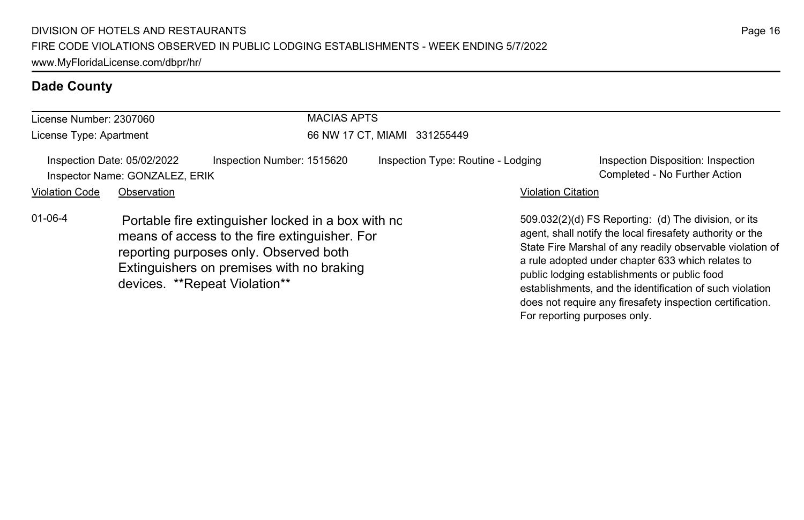| License Number: 2307060<br>License Type: Apartment |             |                                                                                                                                                                                                                             | <b>MACIAS APTS</b><br>66 NW 17 CT, MIAMI 331255449 |  |                           |                                                                                                                                                                                                                                                                                                                                                                                                              |  |
|----------------------------------------------------|-------------|-----------------------------------------------------------------------------------------------------------------------------------------------------------------------------------------------------------------------------|----------------------------------------------------|--|---------------------------|--------------------------------------------------------------------------------------------------------------------------------------------------------------------------------------------------------------------------------------------------------------------------------------------------------------------------------------------------------------------------------------------------------------|--|
|                                                    |             |                                                                                                                                                                                                                             |                                                    |  |                           |                                                                                                                                                                                                                                                                                                                                                                                                              |  |
| <b>Violation Code</b>                              | Observation |                                                                                                                                                                                                                             |                                                    |  | <b>Violation Citation</b> |                                                                                                                                                                                                                                                                                                                                                                                                              |  |
| $01 - 06 - 4$                                      |             | Portable fire extinguisher locked in a box with nc<br>means of access to the fire extinguisher. For<br>reporting purposes only. Observed both<br>Extinguishers on premises with no braking<br>devices. **Repeat Violation** |                                                    |  |                           | 509.032(2)(d) FS Reporting: (d) The division, or its<br>agent, shall notify the local firesafety authority or the<br>State Fire Marshal of any readily observable violation of<br>a rule adopted under chapter 633 which relates to<br>public lodging establishments or public food<br>establishments, and the identification of such violation<br>does not require any firesafety inspection certification. |  |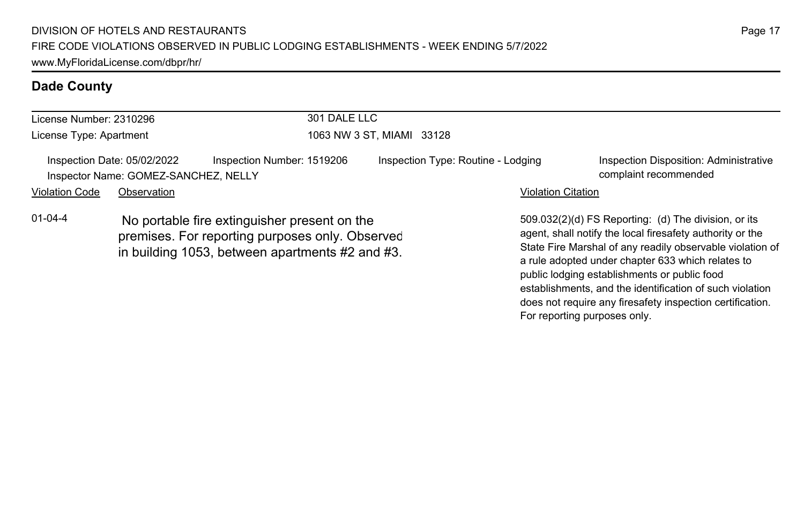| License Number: 2310296                                                                                                                                             |             |  | 301 DALE LLC              |                                    |                                                                                                                                                                                                  |                                                                 |  |
|---------------------------------------------------------------------------------------------------------------------------------------------------------------------|-------------|--|---------------------------|------------------------------------|--------------------------------------------------------------------------------------------------------------------------------------------------------------------------------------------------|-----------------------------------------------------------------|--|
| License Type: Apartment                                                                                                                                             |             |  | 1063 NW 3 ST, MIAMI 33128 |                                    |                                                                                                                                                                                                  |                                                                 |  |
| Inspection Date: 05/02/2022<br>Inspection Number: 1519206<br>Inspector Name: GOMEZ-SANCHEZ, NELLY                                                                   |             |  |                           | Inspection Type: Routine - Lodging |                                                                                                                                                                                                  | Inspection Disposition: Administrative<br>complaint recommended |  |
| <b>Violation Code</b>                                                                                                                                               | Observation |  |                           |                                    | <b>Violation Citation</b>                                                                                                                                                                        |                                                                 |  |
| $01 - 04 - 4$<br>No portable fire extinguisher present on the<br>premises. For reporting purposes only. Observed<br>in building 1053, between apartments #2 and #3. |             |  |                           |                                    | 509.032(2)(d) FS Reporting: (d) The division, or its<br>agent, shall notify the local firesafety authority or the<br>State Fire Marshal of any readily observable violation of<br>$\blacksquare$ |                                                                 |  |

a rule adopted under chapter 633 which relates to public lodging establishments or public food

For reporting purposes only.

establishments, and the identification of such violation does not require any firesafety inspection certification.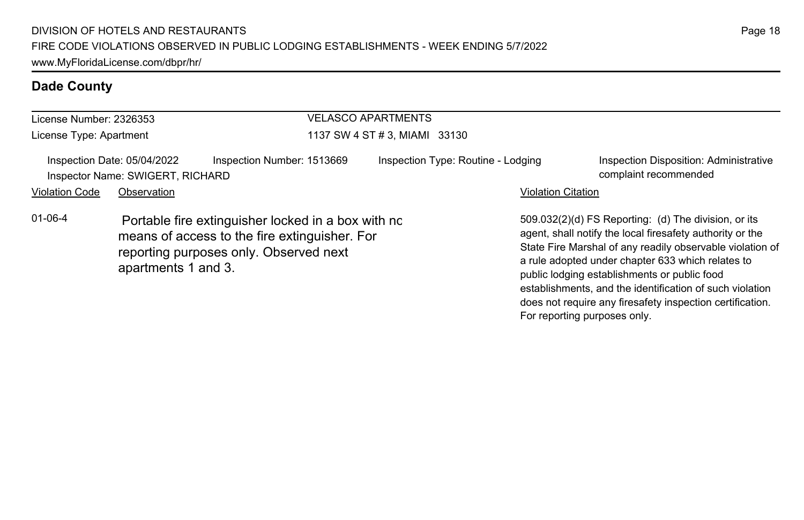| License Number: 2326353 |                                                                 |                                                                                                                                               | <b>VELASCO APARTMENTS</b><br>1137 SW 4 ST # 3, MIAMI 33130 |                           |                                                                                                                                                                                                                                                                                                                                                                                                              |  |  |
|-------------------------|-----------------------------------------------------------------|-----------------------------------------------------------------------------------------------------------------------------------------------|------------------------------------------------------------|---------------------------|--------------------------------------------------------------------------------------------------------------------------------------------------------------------------------------------------------------------------------------------------------------------------------------------------------------------------------------------------------------------------------------------------------------|--|--|
| License Type: Apartment |                                                                 |                                                                                                                                               |                                                            |                           |                                                                                                                                                                                                                                                                                                                                                                                                              |  |  |
|                         | Inspection Date: 05/04/2022<br>Inspector Name: SWIGERT, RICHARD | Inspection Number: 1513669                                                                                                                    | Inspection Type: Routine - Lodging                         |                           | Inspection Disposition: Administrative<br>complaint recommended                                                                                                                                                                                                                                                                                                                                              |  |  |
| <b>Violation Code</b>   | Observation                                                     |                                                                                                                                               |                                                            | <b>Violation Citation</b> |                                                                                                                                                                                                                                                                                                                                                                                                              |  |  |
| $01 - 06 - 4$           | apartments 1 and 3.                                             | Portable fire extinguisher locked in a box with no<br>means of access to the fire extinguisher. For<br>reporting purposes only. Observed next |                                                            |                           | 509.032(2)(d) FS Reporting: (d) The division, or its<br>agent, shall notify the local firesafety authority or the<br>State Fire Marshal of any readily observable violation of<br>a rule adopted under chapter 633 which relates to<br>public lodging establishments or public food<br>establishments, and the identification of such violation<br>does not require any firesafety inspection certification. |  |  |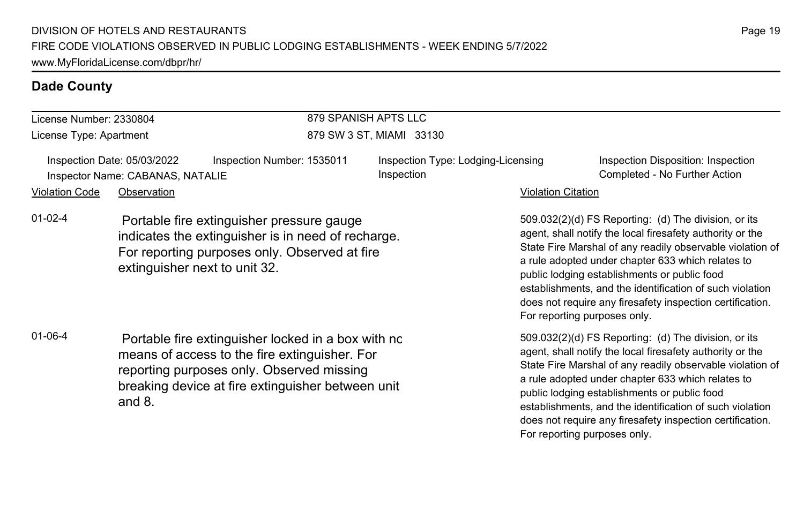## License Number: 2330804

License Type: Apartment

### 879 SPANISH APTS LLC 879 SW 3 ST, MIAMI 33130

Inspection Date: 05/03/2022 Inspection Number: 1535011 Inspection Type: Lodging-Licensing Inspector Name: CABANAS, NATALIE **Completed - No Further Action** Completed - No Further Action

Inspection

Violation Code Observation **Violation Code** Observation **Violation** Violation Citation Citation Citation Citation

01-02-4 Portable fire extinguisher pressure gauge indicates the extinguisher is in need of recharge. For reporting purposes only. Observed at fire extinguisher next to unit 32.

01-06-4 Portable fire extinguisher locked in a box with no means of access to the fire extinguisher. For reporting purposes only. Observed missing breaking device at fire extinguisher between unit 6 and 8.

509.032(2)(d) FS Reporting: (d) The division, or its agent, shall notify the local firesafety authority or the State Fire Marshal of any readily observable violation of a rule adopted under chapter 633 which relates to public lodging establishments or public food establishments, and the identification of such violation does not require any firesafety inspection certification. For reporting purposes only.

Inspection Disposition: Inspection

509.032(2)(d) FS Reporting: (d) The division, or its agent, shall notify the local firesafety authority or the State Fire Marshal of any readily observable violation of a rule adopted under chapter 633 which relates to public lodging establishments or public food establishments, and the identification of such violation does not require any firesafety inspection certification. For reporting purposes only.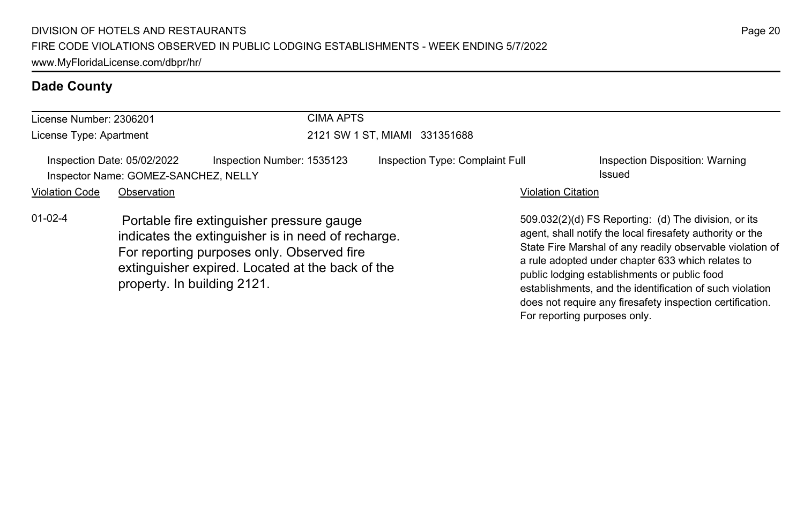| License Number: 2306201 |                                                                     | <b>CIMA APTS</b>                                                                                                                                                                                                                 |                                 |                           |                                                                                                                                                                                                                                                                                                                                                 |  |  |
|-------------------------|---------------------------------------------------------------------|----------------------------------------------------------------------------------------------------------------------------------------------------------------------------------------------------------------------------------|---------------------------------|---------------------------|-------------------------------------------------------------------------------------------------------------------------------------------------------------------------------------------------------------------------------------------------------------------------------------------------------------------------------------------------|--|--|
| License Type: Apartment |                                                                     |                                                                                                                                                                                                                                  | 2121 SW 1 ST. MIAMI 331351688   |                           |                                                                                                                                                                                                                                                                                                                                                 |  |  |
|                         | Inspection Date: 05/02/2022<br>Inspector Name: GOMEZ-SANCHEZ, NELLY | Inspection Number: 1535123                                                                                                                                                                                                       | Inspection Type: Complaint Full |                           | Inspection Disposition: Warning<br>Issued                                                                                                                                                                                                                                                                                                       |  |  |
| <b>Violation Code</b>   | Observation                                                         |                                                                                                                                                                                                                                  |                                 | <b>Violation Citation</b> |                                                                                                                                                                                                                                                                                                                                                 |  |  |
| $01 - 02 - 4$           |                                                                     | Portable fire extinguisher pressure gauge<br>indicates the extinguisher is in need of recharge.<br>For reporting purposes only. Observed fire<br>extinguisher expired. Located at the back of the<br>property. In building 2121. |                                 |                           | 509.032(2)(d) FS Reporting: (d) The division, or its<br>agent, shall notify the local firesafety authority or the<br>State Fire Marshal of any readily observable violation of<br>a rule adopted under chapter 633 which relates to<br>public lodging establishments or public food<br>establishments, and the identification of such violation |  |  |

does not require any firesafety inspection certification.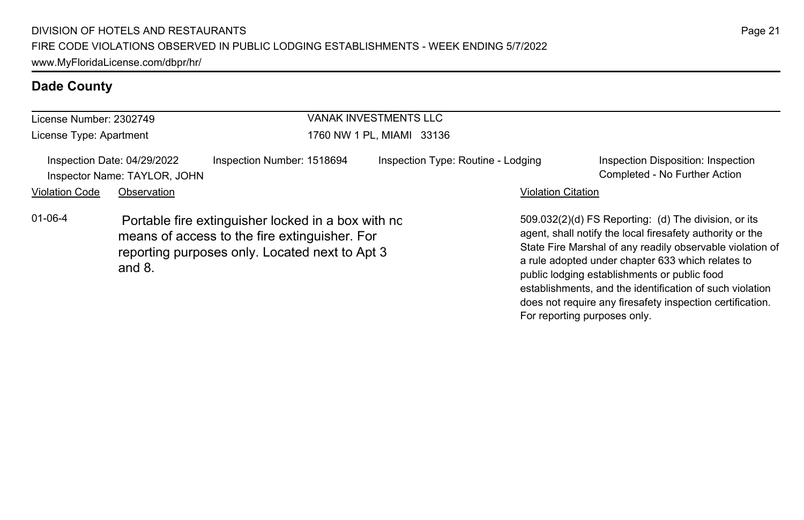| License Number: 2302749 |                                                             |                                                                                                                                                       |                           | <b>VANAK INVESTMENTS LLC</b>       |  |                              |                                                                                                                                                                                                                                                                                                                                                                                                              |
|-------------------------|-------------------------------------------------------------|-------------------------------------------------------------------------------------------------------------------------------------------------------|---------------------------|------------------------------------|--|------------------------------|--------------------------------------------------------------------------------------------------------------------------------------------------------------------------------------------------------------------------------------------------------------------------------------------------------------------------------------------------------------------------------------------------------------|
| License Type: Apartment |                                                             |                                                                                                                                                       | 1760 NW 1 PL, MIAMI 33136 |                                    |  |                              |                                                                                                                                                                                                                                                                                                                                                                                                              |
|                         | Inspection Date: 04/29/2022<br>Inspector Name: TAYLOR, JOHN | Inspection Number: 1518694                                                                                                                            |                           | Inspection Type: Routine - Lodging |  |                              | Inspection Disposition: Inspection<br>Completed - No Further Action                                                                                                                                                                                                                                                                                                                                          |
| <b>Violation Code</b>   | Observation                                                 |                                                                                                                                                       |                           |                                    |  | <b>Violation Citation</b>    |                                                                                                                                                                                                                                                                                                                                                                                                              |
| $01 - 06 - 4$           | and $8$ .                                                   | Portable fire extinguisher locked in a box with no<br>means of access to the fire extinguisher. For<br>reporting purposes only. Located next to Apt 3 |                           |                                    |  | For reporting purposes only. | 509.032(2)(d) FS Reporting: (d) The division, or its<br>agent, shall notify the local firesafety authority or the<br>State Fire Marshal of any readily observable violation of<br>a rule adopted under chapter 633 which relates to<br>public lodging establishments or public food<br>establishments, and the identification of such violation<br>does not require any firesafety inspection certification. |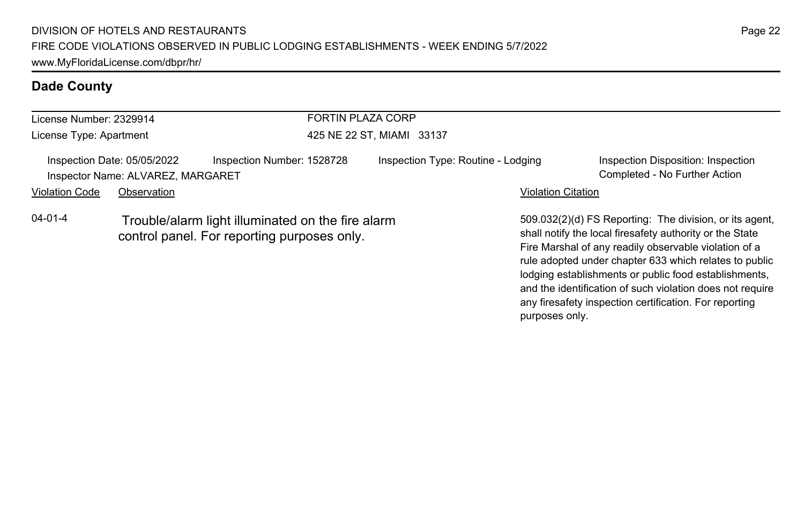| License Number: 2329914 |                                                                  |                                                                                                  | <b>FORTIN PLAZA CORP</b>  |                                    |                           |                                                                                                                                                                                                                                        |  |
|-------------------------|------------------------------------------------------------------|--------------------------------------------------------------------------------------------------|---------------------------|------------------------------------|---------------------------|----------------------------------------------------------------------------------------------------------------------------------------------------------------------------------------------------------------------------------------|--|
| License Type: Apartment |                                                                  |                                                                                                  | 425 NE 22 ST, MIAMI 33137 |                                    |                           |                                                                                                                                                                                                                                        |  |
|                         | Inspection Date: 05/05/2022<br>Inspector Name: ALVAREZ, MARGARET | Inspection Number: 1528728                                                                       |                           | Inspection Type: Routine - Lodging |                           | Inspection Disposition: Inspection<br>Completed - No Further Action                                                                                                                                                                    |  |
| <b>Violation Code</b>   | Observation                                                      |                                                                                                  |                           |                                    | <b>Violation Citation</b> |                                                                                                                                                                                                                                        |  |
| $04 - 01 - 4$           |                                                                  | Trouble/alarm light illuminated on the fire alarm<br>control panel. For reporting purposes only. |                           |                                    |                           | 509.032(2)(d) FS Reporting: The division, or its agent,<br>shall notify the local firesafety authority or the State<br>Fire Marshal of any readily observable violation of a<br>rule adopted under chapter 633 which relates to public |  |

lodging establishments or public food establishments, and the identification of such violation does not require any firesafety inspection certification. For reporting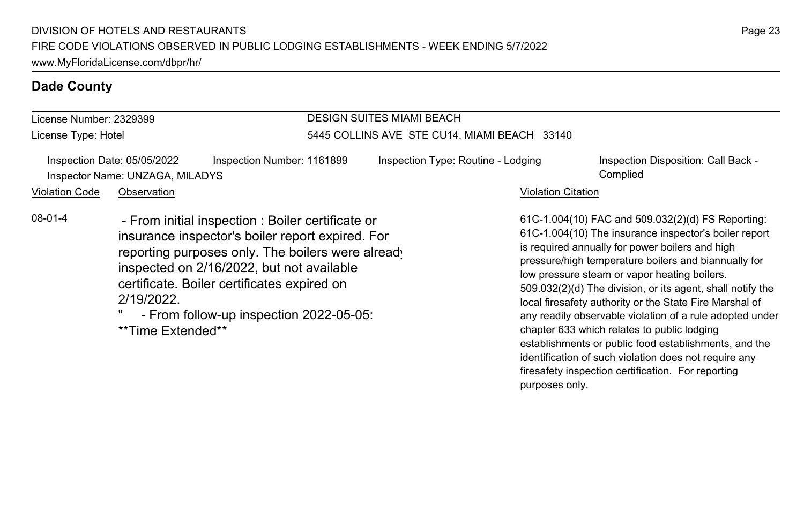| License Number: 2329399 |                                                                                                                                                                                                                                                                                                                                     |                                              | <b>DESIGN SUITES MIAMI BEACH</b>   |                           |                                                                                                                                                                                                                                                                                                                                                                                                                                                                                                                                                                                                                             |  |  |
|-------------------------|-------------------------------------------------------------------------------------------------------------------------------------------------------------------------------------------------------------------------------------------------------------------------------------------------------------------------------------|----------------------------------------------|------------------------------------|---------------------------|-----------------------------------------------------------------------------------------------------------------------------------------------------------------------------------------------------------------------------------------------------------------------------------------------------------------------------------------------------------------------------------------------------------------------------------------------------------------------------------------------------------------------------------------------------------------------------------------------------------------------------|--|--|
| License Type: Hotel     |                                                                                                                                                                                                                                                                                                                                     | 5445 COLLINS AVE STE CU14, MIAMI BEACH 33140 |                                    |                           |                                                                                                                                                                                                                                                                                                                                                                                                                                                                                                                                                                                                                             |  |  |
| <b>Violation Code</b>   | Inspection Number: 1161899<br>Inspection Date: 05/05/2022<br>Inspector Name: UNZAGA, MILADYS<br>Observation                                                                                                                                                                                                                         |                                              | Inspection Type: Routine - Lodging | <b>Violation Citation</b> | Inspection Disposition: Call Back -<br>Complied                                                                                                                                                                                                                                                                                                                                                                                                                                                                                                                                                                             |  |  |
| $08-01-4$               | - From initial inspection : Boiler certificate or<br>insurance inspector's boiler report expired. For<br>reporting purposes only. The boilers were already<br>inspected on 2/16/2022, but not available<br>certificate. Boiler certificates expired on<br>2/19/2022<br>- From follow-up inspection 2022-05-05:<br>**Time Extended** |                                              |                                    |                           | 61C-1.004(10) FAC and 509.032(2)(d) FS Reporting:<br>61C-1.004(10) The insurance inspector's boiler report<br>is required annually for power boilers and high<br>pressure/high temperature boilers and biannually for<br>low pressure steam or vapor heating boilers.<br>509.032(2)(d) The division, or its agent, shall notify the<br>local firesafety authority or the State Fire Marshal of<br>any readily observable violation of a rule adopted under<br>chapter 633 which relates to public lodging<br>establishments or public food establishments, and the<br>identification of such violation does not require any |  |  |

firesafety inspection certification. For reporting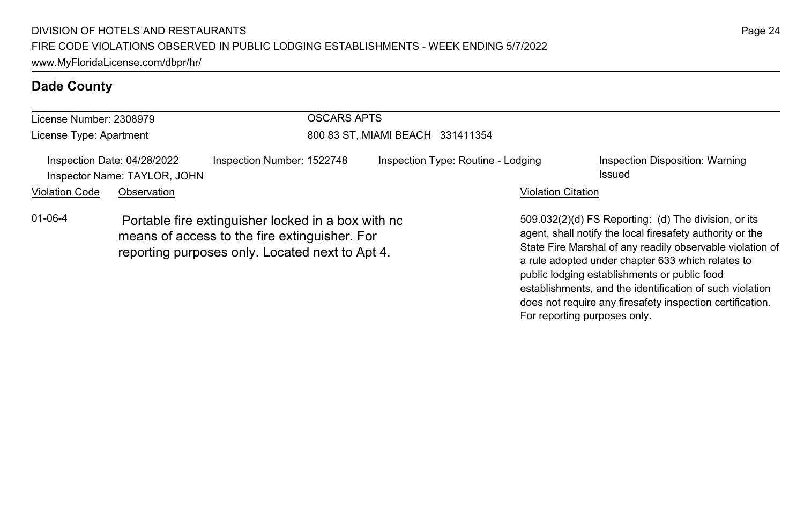| License Number: 2308979                                                                                                                                                 |             |                            | OSCARS APTS                      |                                    |                                                                                                                                                                                                                                                                                                                                                                                                              |  |  |
|-------------------------------------------------------------------------------------------------------------------------------------------------------------------------|-------------|----------------------------|----------------------------------|------------------------------------|--------------------------------------------------------------------------------------------------------------------------------------------------------------------------------------------------------------------------------------------------------------------------------------------------------------------------------------------------------------------------------------------------------------|--|--|
| License Type: Apartment                                                                                                                                                 |             |                            | 800 83 ST, MIAMI BEACH 331411354 |                                    |                                                                                                                                                                                                                                                                                                                                                                                                              |  |  |
| Inspection Date: 04/28/2022<br>Inspector Name: TAYLOR, JOHN                                                                                                             |             | Inspection Number: 1522748 |                                  | Inspection Type: Routine - Lodging | Inspection Disposition: Warning<br>Issued                                                                                                                                                                                                                                                                                                                                                                    |  |  |
| <b>Violation Code</b>                                                                                                                                                   | Observation |                            |                                  | <b>Violation Citation</b>          |                                                                                                                                                                                                                                                                                                                                                                                                              |  |  |
| $01 - 06 - 4$<br>Portable fire extinguisher locked in a box with no<br>means of access to the fire extinguisher. For<br>reporting purposes only. Located next to Apt 4. |             |                            |                                  |                                    | 509.032(2)(d) FS Reporting: (d) The division, or its<br>agent, shall notify the local firesafety authority or the<br>State Fire Marshal of any readily observable violation of<br>a rule adopted under chapter 633 which relates to<br>public lodging establishments or public food<br>establishments, and the identification of such violation<br>does not require any firesafety inspection certification. |  |  |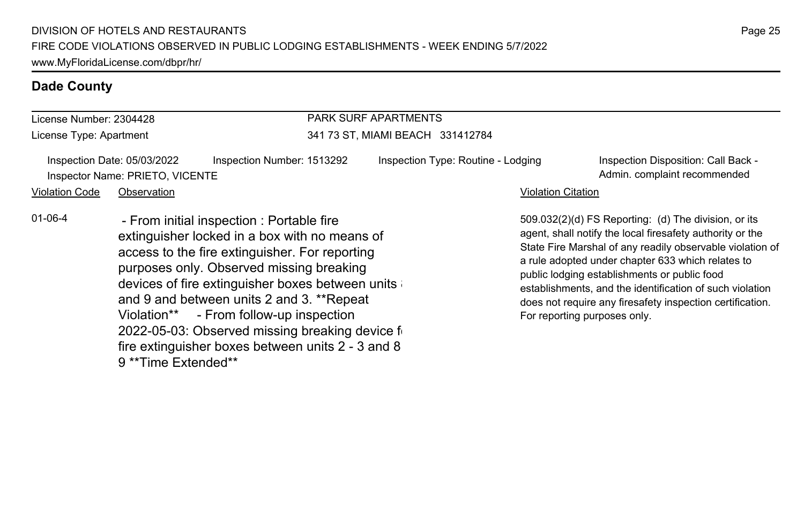fire extinguisher boxes between units 2 - 3 and 8  $\,$ 

9 \*\*Time Extended\*\*

| License Number: 2304428 |                                                                |                                                                                                                                                                                                                                                                                                                                                                                          | <b>PARK SURF APARTMENTS</b>        |                           |                                                                                                                                                                                                                                                                                                                                                                                                                                              |  |  |
|-------------------------|----------------------------------------------------------------|------------------------------------------------------------------------------------------------------------------------------------------------------------------------------------------------------------------------------------------------------------------------------------------------------------------------------------------------------------------------------------------|------------------------------------|---------------------------|----------------------------------------------------------------------------------------------------------------------------------------------------------------------------------------------------------------------------------------------------------------------------------------------------------------------------------------------------------------------------------------------------------------------------------------------|--|--|
| License Type: Apartment |                                                                |                                                                                                                                                                                                                                                                                                                                                                                          | 341 73 ST, MIAMI BEACH 331412784   |                           |                                                                                                                                                                                                                                                                                                                                                                                                                                              |  |  |
|                         | Inspection Date: 05/03/2022<br>Inspector Name: PRIETO, VICENTE | Inspection Number: 1513292                                                                                                                                                                                                                                                                                                                                                               | Inspection Type: Routine - Lodging |                           | Inspection Disposition: Call Back -<br>Admin. complaint recommended                                                                                                                                                                                                                                                                                                                                                                          |  |  |
| <b>Violation Code</b>   | Observation                                                    |                                                                                                                                                                                                                                                                                                                                                                                          |                                    | <b>Violation Citation</b> |                                                                                                                                                                                                                                                                                                                                                                                                                                              |  |  |
| $01 - 06 - 4$           |                                                                | - From initial inspection : Portable fire<br>extinguisher locked in a box with no means of<br>access to the fire extinguisher. For reporting<br>purposes only. Observed missing breaking<br>devices of fire extinguisher boxes between units<br>and 9 and between units 2 and 3. **Repeat<br>Violation** - From follow-up inspection<br>2022-05-03: Observed missing breaking device fi- |                                    |                           | 509.032(2)(d) FS Reporting: (d) The division, or its<br>agent, shall notify the local firesafety authority or the<br>State Fire Marshal of any readily observable violation of<br>a rule adopted under chapter 633 which relates to<br>public lodging establishments or public food<br>establishments, and the identification of such violation<br>does not require any firesafety inspection certification.<br>For reporting purposes only. |  |  |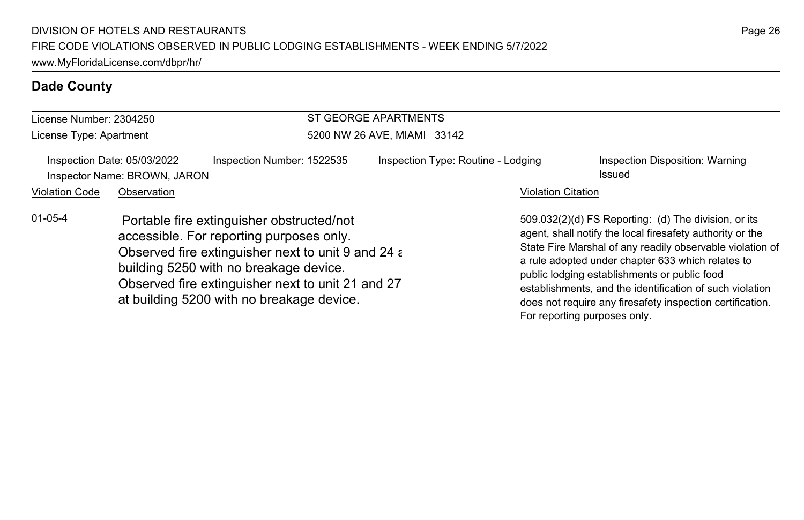| License Number: 2304250 |                                                             |                                                                                                                                                                                                                                                                                         | <b>ST GEORGE APARTMENTS</b> |                                    |                              |                                                                                                                                                                                                                                                                                                                                                                                                              |  |
|-------------------------|-------------------------------------------------------------|-----------------------------------------------------------------------------------------------------------------------------------------------------------------------------------------------------------------------------------------------------------------------------------------|-----------------------------|------------------------------------|------------------------------|--------------------------------------------------------------------------------------------------------------------------------------------------------------------------------------------------------------------------------------------------------------------------------------------------------------------------------------------------------------------------------------------------------------|--|
| License Type: Apartment |                                                             | 5200 NW 26 AVE, MIAMI 33142                                                                                                                                                                                                                                                             |                             |                                    |                              |                                                                                                                                                                                                                                                                                                                                                                                                              |  |
|                         | Inspection Date: 05/03/2022<br>Inspector Name: BROWN, JARON | Inspection Number: 1522535                                                                                                                                                                                                                                                              |                             | Inspection Type: Routine - Lodging |                              | Inspection Disposition: Warning<br>Issued                                                                                                                                                                                                                                                                                                                                                                    |  |
| <b>Violation Code</b>   | Observation                                                 |                                                                                                                                                                                                                                                                                         |                             |                                    | <b>Violation Citation</b>    |                                                                                                                                                                                                                                                                                                                                                                                                              |  |
| $01 - 05 - 4$           |                                                             | Portable fire extinguisher obstructed/not<br>accessible. For reporting purposes only.<br>Observed fire extinguisher next to unit 9 and 24 a<br>building 5250 with no breakage device.<br>Observed fire extinguisher next to unit 21 and 27<br>at building 5200 with no breakage device. |                             |                                    | For reporting purposes only. | 509.032(2)(d) FS Reporting: (d) The division, or its<br>agent, shall notify the local firesafety authority or the<br>State Fire Marshal of any readily observable violation of<br>a rule adopted under chapter 633 which relates to<br>public lodging establishments or public food<br>establishments, and the identification of such violation<br>does not require any firesafety inspection certification. |  |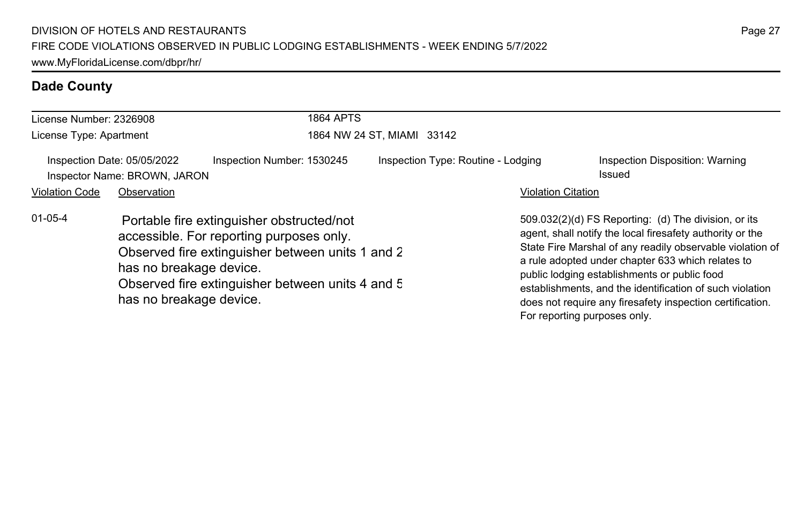| License Number: 2326908 |                                                                                                                                                                                                                                                     |                            | <b>1864 APTS</b>           |                                    |                              |                                                                                                                                                                                                                                                                                                                                                                                                              |  |
|-------------------------|-----------------------------------------------------------------------------------------------------------------------------------------------------------------------------------------------------------------------------------------------------|----------------------------|----------------------------|------------------------------------|------------------------------|--------------------------------------------------------------------------------------------------------------------------------------------------------------------------------------------------------------------------------------------------------------------------------------------------------------------------------------------------------------------------------------------------------------|--|
| License Type: Apartment |                                                                                                                                                                                                                                                     |                            | 1864 NW 24 ST, MIAMI 33142 |                                    |                              |                                                                                                                                                                                                                                                                                                                                                                                                              |  |
|                         | Inspection Date: 05/05/2022<br>Inspector Name: BROWN, JARON                                                                                                                                                                                         | Inspection Number: 1530245 |                            | Inspection Type: Routine - Lodging |                              | Inspection Disposition: Warning<br>Issued                                                                                                                                                                                                                                                                                                                                                                    |  |
| <b>Violation Code</b>   | Observation                                                                                                                                                                                                                                         |                            |                            |                                    | <b>Violation Citation</b>    |                                                                                                                                                                                                                                                                                                                                                                                                              |  |
| $01 - 05 - 4$           | Portable fire extinguisher obstructed/not<br>accessible. For reporting purposes only.<br>Observed fire extinguisher between units 1 and 2<br>has no breakage device.<br>Observed fire extinguisher between units 4 and 5<br>has no breakage device. |                            |                            |                                    | For reporting purposes only. | 509.032(2)(d) FS Reporting: (d) The division, or its<br>agent, shall notify the local firesafety authority or the<br>State Fire Marshal of any readily observable violation of<br>a rule adopted under chapter 633 which relates to<br>public lodging establishments or public food<br>establishments, and the identification of such violation<br>does not require any firesafety inspection certification. |  |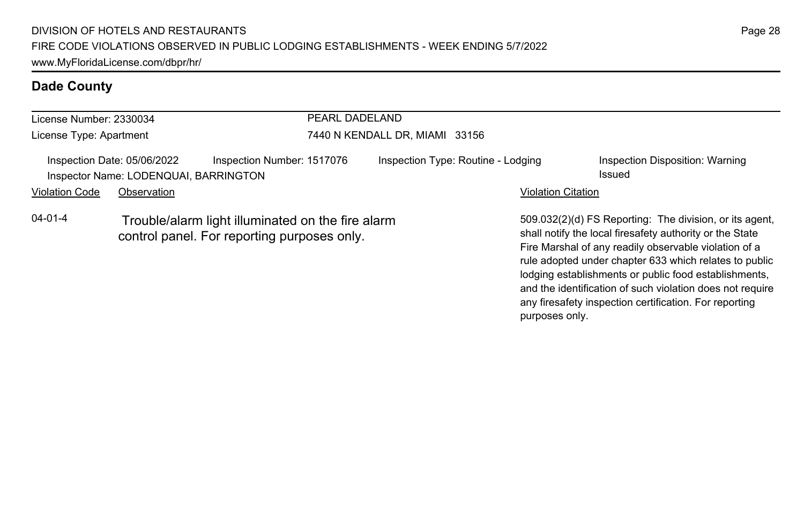| License Number: 2330034                                                                            |             |                                                                                                  | PEARL DADELAND                     |  |                                           |                                                                                                                                                                                                                                        |  |
|----------------------------------------------------------------------------------------------------|-------------|--------------------------------------------------------------------------------------------------|------------------------------------|--|-------------------------------------------|----------------------------------------------------------------------------------------------------------------------------------------------------------------------------------------------------------------------------------------|--|
| License Type: Apartment                                                                            |             |                                                                                                  | 7440 N KENDALL DR, MIAMI 33156     |  |                                           |                                                                                                                                                                                                                                        |  |
| Inspection Number: 1517076<br>Inspection Date: 05/06/2022<br>Inspector Name: LODENQUAI, BARRINGTON |             |                                                                                                  | Inspection Type: Routine - Lodging |  | Inspection Disposition: Warning<br>Issued |                                                                                                                                                                                                                                        |  |
| <b>Violation Code</b>                                                                              | Observation |                                                                                                  |                                    |  | <b>Violation Citation</b>                 |                                                                                                                                                                                                                                        |  |
| 04-01-4                                                                                            |             | Trouble/alarm light illuminated on the fire alarm<br>control panel. For reporting purposes only. |                                    |  |                                           | 509.032(2)(d) FS Reporting: The division, or its agent,<br>shall notify the local firesafety authority or the State<br>Fire Marshal of any readily observable violation of a<br>rule adopted under chapter 633 which relates to public |  |

lodging establishments or public food establishments, and the identification of such violation does not require any firesafety inspection certification. For reporting

purposes only.

Page 28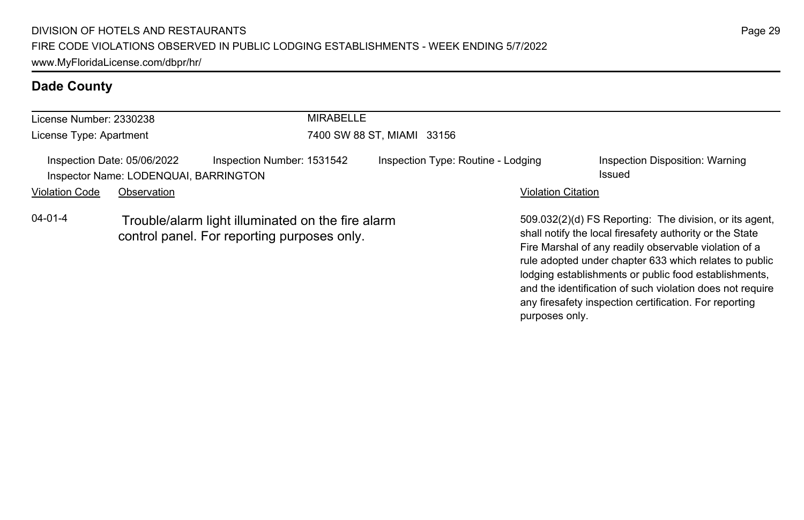| License Number: 2330238                                                                            |             |                                                                                                  | <b>MIRABELLE</b>                   |  |                                                                                                                                                                                                                                        |  |
|----------------------------------------------------------------------------------------------------|-------------|--------------------------------------------------------------------------------------------------|------------------------------------|--|----------------------------------------------------------------------------------------------------------------------------------------------------------------------------------------------------------------------------------------|--|
| License Type: Apartment                                                                            |             |                                                                                                  | 7400 SW 88 ST, MIAMI 33156         |  |                                                                                                                                                                                                                                        |  |
| Inspection Number: 1531542<br>Inspection Date: 05/06/2022<br>Inspector Name: LODENQUAI, BARRINGTON |             |                                                                                                  | Inspection Type: Routine - Lodging |  | Inspection Disposition: Warning<br>Issued                                                                                                                                                                                              |  |
| <b>Violation Code</b>                                                                              | Observation |                                                                                                  |                                    |  | <b>Violation Citation</b>                                                                                                                                                                                                              |  |
| $04 - 01 - 4$                                                                                      |             | Trouble/alarm light illuminated on the fire alarm<br>control panel. For reporting purposes only. |                                    |  | 509.032(2)(d) FS Reporting: The division, or its agent,<br>shall notify the local firesafety authority or the State<br>Fire Marshal of any readily observable violation of a<br>rule adopted under chapter 633 which relates to public |  |

lodging establishments or public food establishments, and the identification of such violation does not require any firesafety inspection certification. For reporting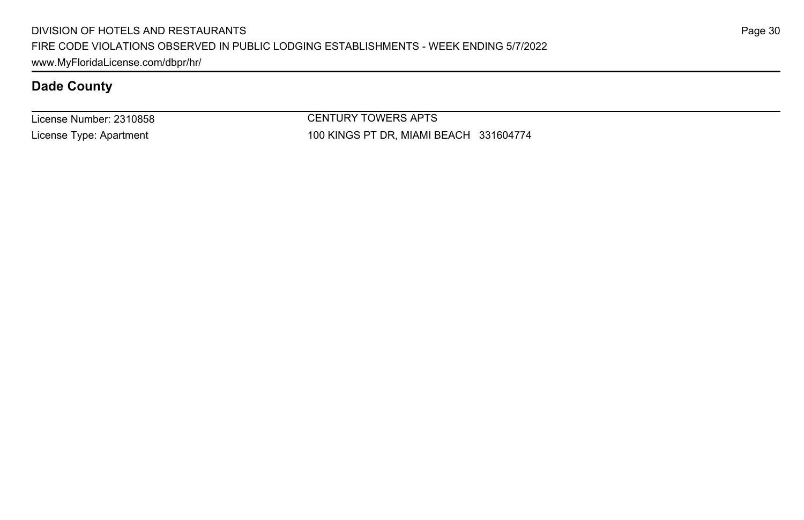License Number: 2310858 License Type: Apartment

CENTURY TOWERS APTS 100 KINGS PT DR, MIAMI BEACH 331604774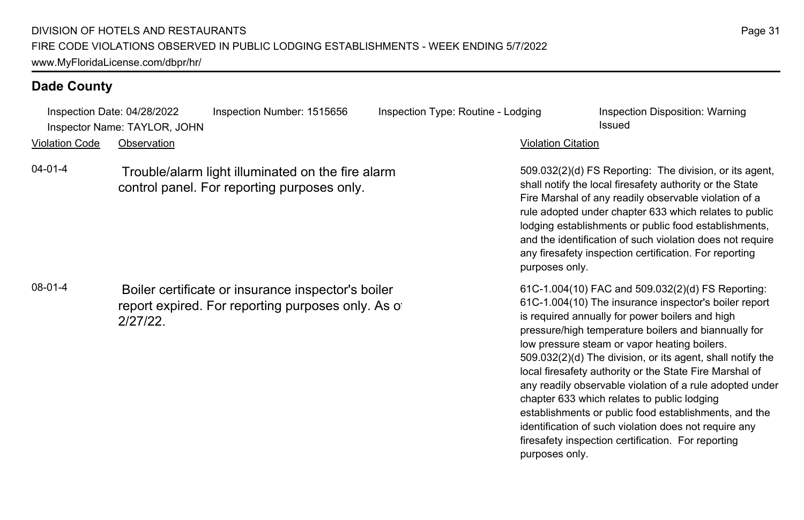Inspection Date: 04/28/2022 Inspection Number: 1515656 Inspection Type: Routine - Lodging Inspection Disposition: Warning Inspector Name: TAYLOR, JOHN Issued

Violation Code Observation Violation Citation

04-01-4 Trouble/alarm light illuminated on the fire alarm control panel. For reporting purposes only.

08-01-4 Boiler certificate or insurance inspector's boiler report expired. For reporting purposes only. As of 2/27/22.

509.032(2)(d) FS Reporting: The division, or its agent, shall notify the local firesafety authority or the State Fire Marshal of any readily observable violation of a rule adopted under chapter 633 which relates to public lodging establishments or public food establishments, and the identification of such violation does not require any firesafety inspection certification. For reporting purposes only.

61C-1.004(10) FAC and 509.032(2)(d) FS Reporting: 61C-1.004(10) The insurance inspector's boiler report is required annually for power boilers and high pressure/high temperature boilers and biannually for low pressure steam or vapor heating boilers. 509.032(2)(d) The division, or its agent, shall notify the local firesafety authority or the State Fire Marshal of any readily observable violation of a rule adopted under chapter 633 which relates to public lodging establishments or public food establishments, and the identification of such violation does not require any firesafety inspection certification. For reporting purposes only.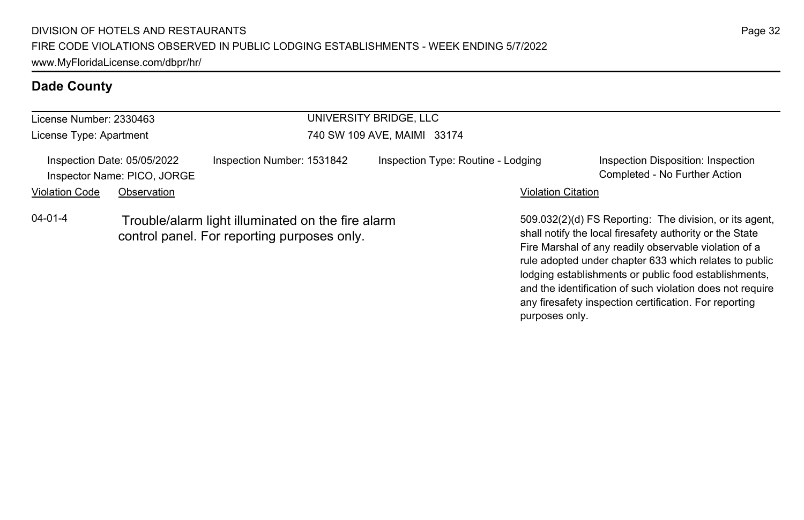| License Number: 2330463                                    |             |                                                                                                  | UNIVERSITY BRIDGE, LLC             |                                                                                                                                                                                                                                                                                                 |  |  |
|------------------------------------------------------------|-------------|--------------------------------------------------------------------------------------------------|------------------------------------|-------------------------------------------------------------------------------------------------------------------------------------------------------------------------------------------------------------------------------------------------------------------------------------------------|--|--|
| License Type: Apartment                                    |             |                                                                                                  | 740 SW 109 AVE, MAIMI 33174        |                                                                                                                                                                                                                                                                                                 |  |  |
| Inspection Date: 05/05/2022<br>Inspector Name: PICO, JORGE |             | Inspection Number: 1531842                                                                       | Inspection Type: Routine - Lodging | Inspection Disposition: Inspection<br>Completed - No Further Action                                                                                                                                                                                                                             |  |  |
| <b>Violation Code</b>                                      | Observation |                                                                                                  |                                    | <b>Violation Citation</b>                                                                                                                                                                                                                                                                       |  |  |
| $04 - 01 - 4$                                              |             | Trouble/alarm light illuminated on the fire alarm<br>control panel. For reporting purposes only. |                                    | 509.032(2)(d) FS Reporting: The division, or its agent,<br>shall notify the local firesafety authority or the State<br>Fire Marshal of any readily observable violation of a<br>rule adopted under chapter 633 which relates to public<br>lodging establishments or public food establishments, |  |  |

Page 32

and the identification of such violation does not require any firesafety inspection certification. For reporting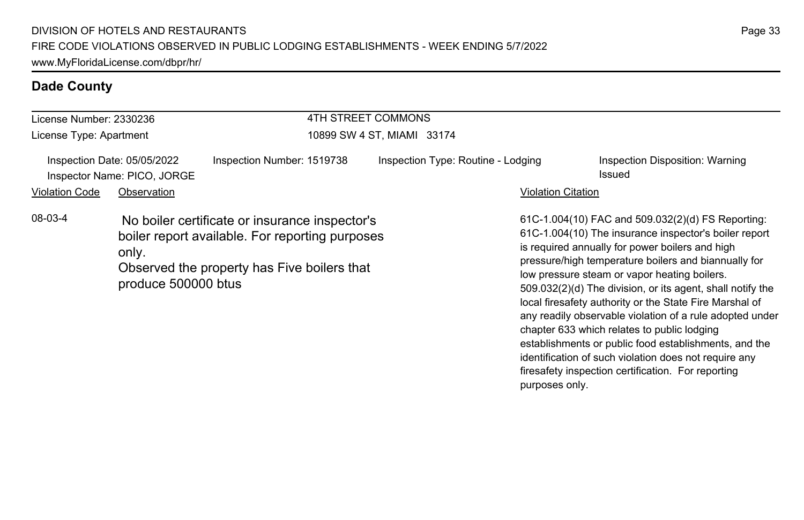|                         |                                                            |                                                                                                                                                  | 4TH STREET COMMONS                 |                           |                                                                                                                                                                                                                                                                                                                                                                                                                                                            |  |  |
|-------------------------|------------------------------------------------------------|--------------------------------------------------------------------------------------------------------------------------------------------------|------------------------------------|---------------------------|------------------------------------------------------------------------------------------------------------------------------------------------------------------------------------------------------------------------------------------------------------------------------------------------------------------------------------------------------------------------------------------------------------------------------------------------------------|--|--|
| License Number: 2330236 |                                                            |                                                                                                                                                  |                                    |                           |                                                                                                                                                                                                                                                                                                                                                                                                                                                            |  |  |
| License Type: Apartment |                                                            | 10899 SW 4 ST, MIAMI 33174                                                                                                                       |                                    |                           |                                                                                                                                                                                                                                                                                                                                                                                                                                                            |  |  |
|                         | Inspection Date: 05/05/2022<br>Inspector Name: PICO, JORGE | Inspection Number: 1519738                                                                                                                       | Inspection Type: Routine - Lodging |                           | Inspection Disposition: Warning<br>Issued                                                                                                                                                                                                                                                                                                                                                                                                                  |  |  |
| <b>Violation Code</b>   | Observation                                                |                                                                                                                                                  |                                    | <b>Violation Citation</b> |                                                                                                                                                                                                                                                                                                                                                                                                                                                            |  |  |
| 08-03-4                 | only.<br>produce 500000 btus                               | No boiler certificate or insurance inspector's<br>boiler report available. For reporting purposes<br>Observed the property has Five boilers that |                                    |                           | 61C-1.004(10) FAC and 509.032(2)(d) FS Reporting:<br>61C-1.004(10) The insurance inspector's boiler report<br>is required annually for power boilers and high<br>pressure/high temperature boilers and biannually for<br>low pressure steam or vapor heating boilers.<br>509.032(2)(d) The division, or its agent, shall notify the<br>local firesafety authority or the State Fire Marshal of<br>any readily observable violation of a rule adopted under |  |  |

chapter 633 which relates to public lodging

purposes only.

establishments or public food establishments, and the identification of such violation does not require any firesafety inspection certification. For reporting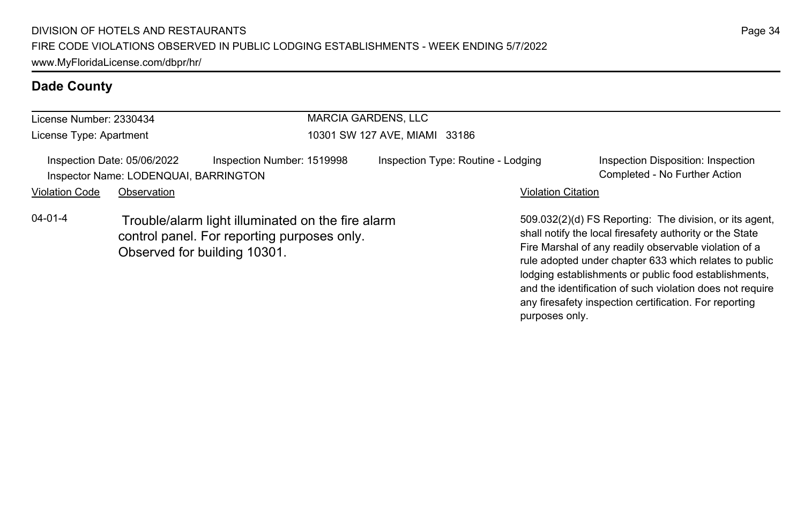| License Number: 2330434 |                                                                      |                                                                                                                                  | <b>MARCIA GARDENS, LLC</b>         |                                                                                                                                                                                                                                        |  |
|-------------------------|----------------------------------------------------------------------|----------------------------------------------------------------------------------------------------------------------------------|------------------------------------|----------------------------------------------------------------------------------------------------------------------------------------------------------------------------------------------------------------------------------------|--|
| License Type: Apartment |                                                                      | 10301 SW 127 AVE, MIAMI 33186                                                                                                    |                                    |                                                                                                                                                                                                                                        |  |
|                         | Inspection Date: 05/06/2022<br>Inspector Name: LODENQUAI, BARRINGTON | Inspection Number: 1519998                                                                                                       | Inspection Type: Routine - Lodging | Inspection Disposition: Inspection<br>Completed - No Further Action                                                                                                                                                                    |  |
| <b>Violation Code</b>   | Observation                                                          |                                                                                                                                  |                                    | <b>Violation Citation</b>                                                                                                                                                                                                              |  |
| $04 - 01 - 4$           |                                                                      | Trouble/alarm light illuminated on the fire alarm<br>control panel. For reporting purposes only.<br>Observed for building 10301. |                                    | 509.032(2)(d) FS Reporting: The division, or its agent.<br>shall notify the local firesafety authority or the State<br>Fire Marshal of any readily observable violation of a<br>rule adopted under chapter 633 which relates to public |  |

lodging establishments or public food establishments, and the identification of such violation does not require any firesafety inspection certification. For reporting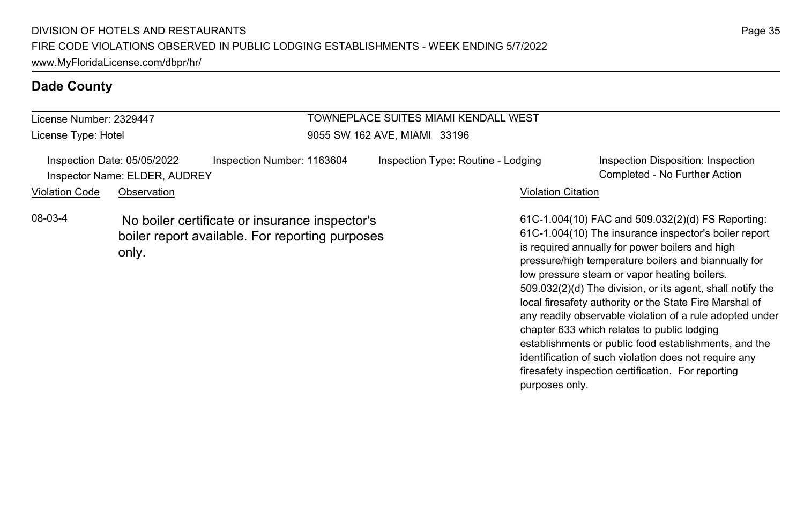License Number: 2329447 License Type: Hotel

# TOWNEPLACE SUITES MIAMI KENDALL WEST

9055 SW 162 AVE, MIAMI 33196

Inspection Date: 05/05/2022 Inspection Number: 1163604 Inspection Type: Routine - Lodging Inspection Disposition: Inspection Inspector Name: ELDER, AUDREY Completed - No Further Action

08-03-4 No boiler certificate or insurance inspector's boiler report available. For reporting purposes only.

### Violation Code Observation **Violation Code** Observation **Violation** Violation Citation Citation Citation Citation

61C-1.004(10) FAC and 509.032(2)(d) FS Reporting: 61C-1.004(10) The insurance inspector's boiler report is required annually for power boilers and high pressure/high temperature boilers and biannually for low pressure steam or vapor heating boilers. 509.032(2)(d) The division, or its agent, shall notify the local firesafety authority or the State Fire Marshal of any readily observable violation of a rule adopted under chapter 633 which relates to public lodging establishments or public food establishments, and the identification of such violation does not require any firesafety inspection certification. For reporting purposes only.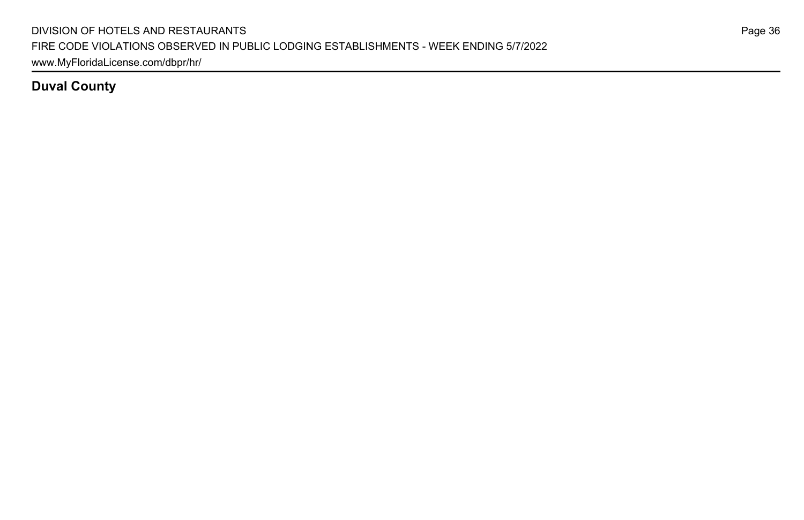## **Duval County**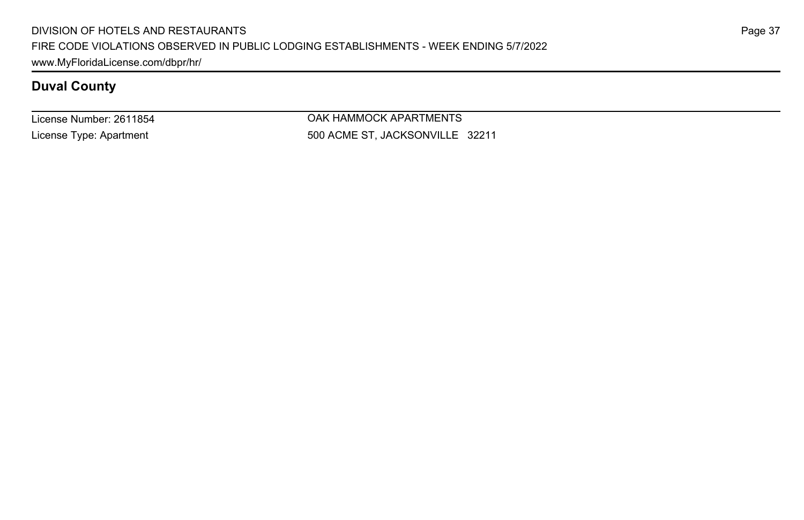License Number: 2611854 License Type: Apartment

OAK HAMMOCK APARTMENTS 500 ACME ST, JACKSONVILLE 32211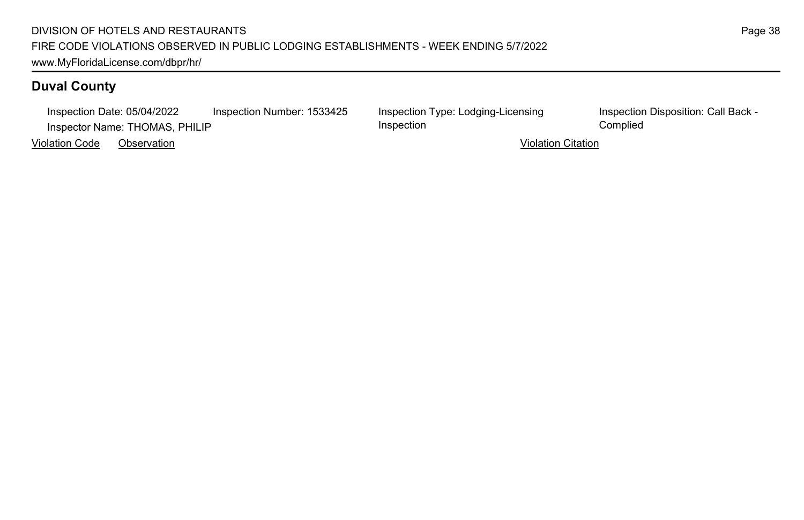### DIVISION OF HOTELS AND RESTAURANTS FIRE CODE VIOLATIONS OBSERVED IN PUBLIC LODGING ESTABLISHMENTS - WEEK ENDING 5/7/2022 www.MyFloridaLicense.com/dbpr/hr/

# **Duval County**

Inspection Date: 05/04/2022 Inspection Number: 1533425 Inspection Type: Lodging-Licensing Inspector Name: THOMAS, PHILIP Complied

Violation Code Observation Violation Citation

Inspection

Inspection Disposition: Call Back -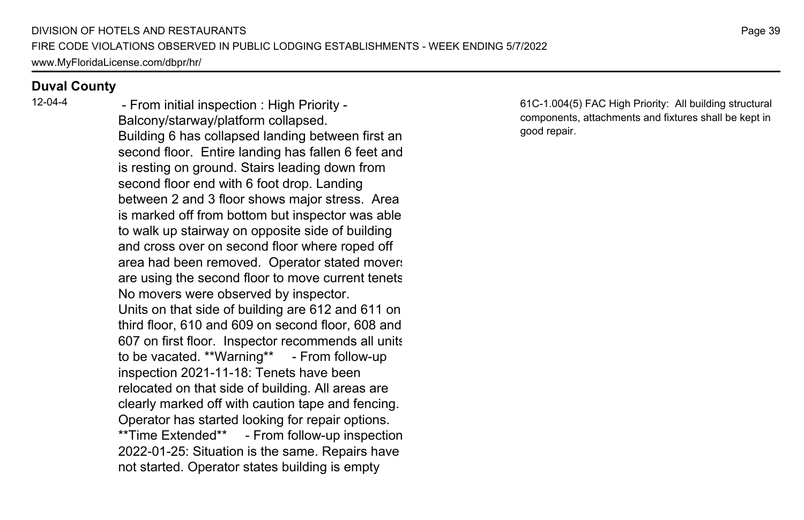12-04-4 - From initial inspection : High Priority - Balcony/starway/platform collapsed. Building 6 has collapsed landing between first an second floor. Entire landing has fallen 6 feet and is resting on ground. Stairs leading down from second floor end with 6 foot drop. Landing between 2 and 3 floor shows major stress. Area is marked off from bottom but inspector was able to walk up stairway on opposite side of building and cross over on second floor where roped off area had been removed. Operator stated movers are using the second floor to move current tenets. No movers were observed by inspector. Units on that side of building are 612 and 611 on third floor, 610 and 609 on second floor, 608 and 607 on first floor. Inspector recommends all units to be vacated. \*\*Warning\*\* - From follow-up inspection 2021-11-18: Tenets have been relocated on that side of building. All areas are clearly marked off with caution tape and fencing. Operator has started looking for repair options. \*\*Time Extended\*\* - From follow-up inspection 2022-01-25: Situation is the same. Repairs have not started. Operator states building is empty

61C-1.004(5) FAC High Priority: All building structural components, attachments and fixtures shall be kept in good repair.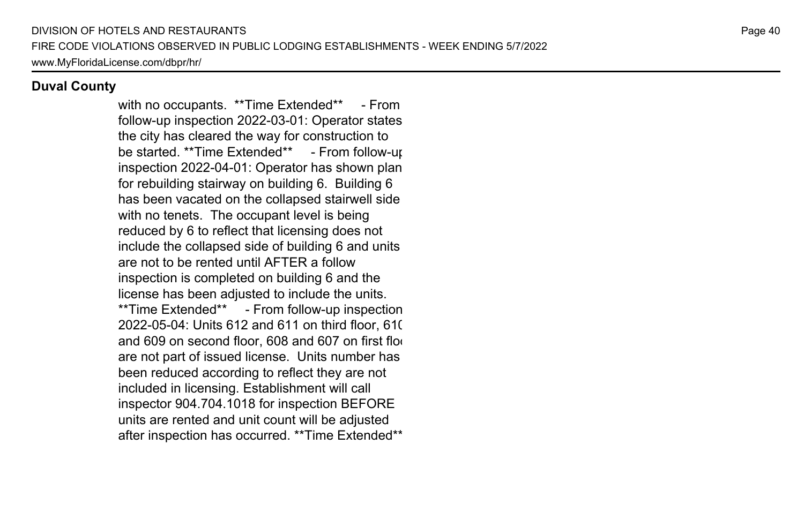with no occupants. \*\*Time Extended\*\* - From follow-up inspection 2022-03-01: Operator states the city has cleared the way for construction to be started. \*\*Time Extended\*\* - From follow-up inspection 2022-04-01: Operator has shown plan for rebuilding stairway on building 6. Building 6 has been vacated on the collapsed stairwell side with no tenets. The occupant level is being reduced by 6 to reflect that licensing does not include the collapsed side of building 6 and units are not to be rented until AFTER a follow inspection is completed on building 6 and the license has been adjusted to include the units. \*\*Time Extended\*\* - From follow-up inspection 2022-05-04: Units 612 and 611 on third floor, 610 and 609 on second floor, 608 and 607 on first floor are not part of issued license. Units number has been reduced according to reflect they are not included in licensing. Establishment will call inspector 904.704.1018 for inspection BEFORE units are rented and unit count will be adjusted after inspection has occurred. \*\*Time Extended\*\*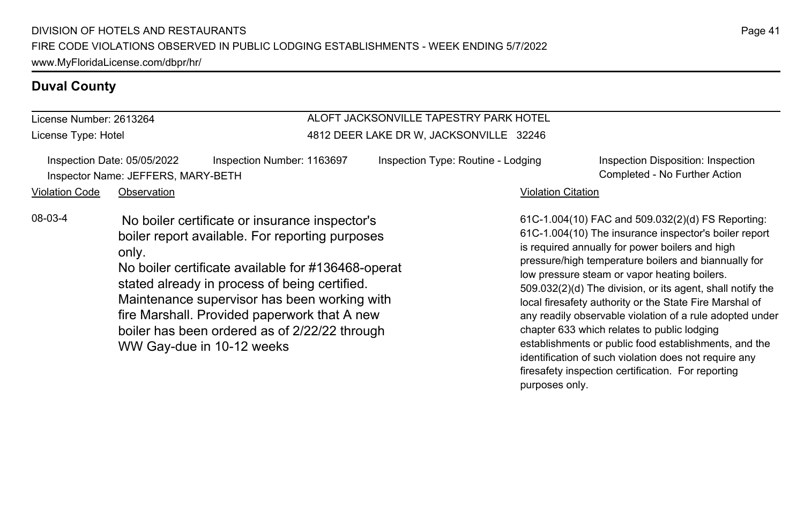License Number: 2613264 License Type: Hotel

### ALOFT JACKSONVILLE TAPESTRY PARK HOTEL 4812 DEER LAKE DR W, JACKSONVILLE 32246

| Inspection Date: 05/05/2022        | Inspection Number: 1163697 |
|------------------------------------|----------------------------|
| Inspector Name: JEFFERS, MARY-BETH |                            |

Inspection Type: Routine - Lodging Inspection Disposition: Inspection Completed - No Further Action

### Violation Code Observation **Violation Code** Observation **Violation** Violation Citation Citation Citation Citation

08-03-4 No boiler certificate or insurance inspector's boiler report available. For reporting purposes only.

> No boiler certificate available for  $#136468$ -operat stated already in process of being certified. Maintenance supervisor has been working with fire Marshall. Provided paperwork that A new boiler has been ordered as of 2/22/22 through WW Gay-due in 10-12 weeks

61C-1.004(10) FAC and 509.032(2)(d) FS Reporting: 61C-1.004(10) The insurance inspector's boiler report is required annually for power boilers and high pressure/high temperature boilers and biannually for low pressure steam or vapor heating boilers. 509.032(2)(d) The division, or its agent, shall notify the local firesafety authority or the State Fire Marshal of any readily observable violation of a rule adopted under chapter 633 which relates to public lodging establishments or public food establishments, and the identification of such violation does not require any firesafety inspection certification. For reporting purposes only.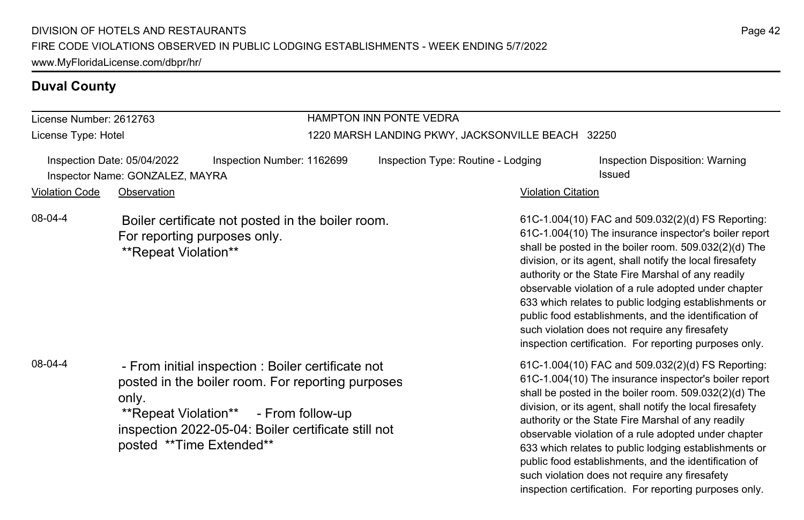## License Number: 2612763

License Type: Hotel

# HAMPTON INN PONTE VEDRA

### 1220 MARSH LANDING PKWY, JACKSONVILLE BEACH 32250

| Inspection Date: 05/04/2022 |                                 | Inspection Number: 1162699 | Inspection Type: Routine - Lodging |                    | Inspection Disposition: Warning |
|-----------------------------|---------------------------------|----------------------------|------------------------------------|--------------------|---------------------------------|
|                             | Inspector Name: GONZALEZ, MAYRA |                            |                                    |                    | Issued                          |
| Violation Code              | Observation                     |                            |                                    | Violation Citation |                                 |

08-04-4 Boiler certificate not posted in the boiler room. For reporting purposes only. \*\*Repeat Violation\*\*

08-04-4 - From initial inspection : Boiler certificate not posted in the boiler room. For reporting purposes only.

 \*\*Repeat Violation\*\* - From follow-up inspection 2022-05-04: Boiler certificate still not posted \*\*Time Extended\*\*

61C-1.004(10) FAC and 509.032(2)(d) FS Reporting: 61C-1.004(10) The insurance inspector's boiler report shall be posted in the boiler room. 509.032(2)(d) The division, or its agent, shall notify the local firesafety authority or the State Fire Marshal of any readily observable violation of a rule adopted under chapter 633 which relates to public lodging establishments or public food establishments, and the identification of such violation does not require any firesafety inspection certification. For reporting purposes only.

61C-1.004(10) FAC and 509.032(2)(d) FS Reporting: 61C-1.004(10) The insurance inspector's boiler report shall be posted in the boiler room. 509.032(2)(d) The division, or its agent, shall notify the local firesafety authority or the State Fire Marshal of any readily observable violation of a rule adopted under chapter 633 which relates to public lodging establishments or public food establishments, and the identification of such violation does not require any firesafety inspection certification. For reporting purposes only.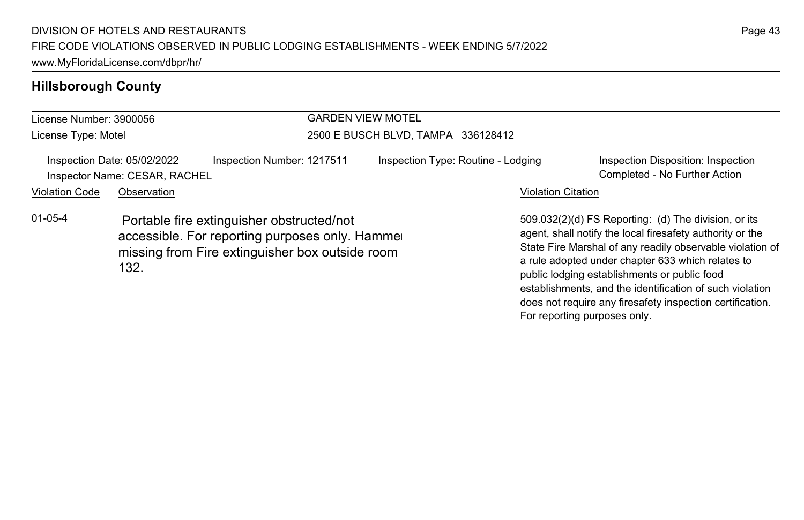# **Hillsborough County**

| License Number: 3900056 |                                                              | <b>GARDEN VIEW MOTEL</b>                                                                                                                        |                                    |                                    |                                                                                                                                                                                                                                                                                                                                                 |  |
|-------------------------|--------------------------------------------------------------|-------------------------------------------------------------------------------------------------------------------------------------------------|------------------------------------|------------------------------------|-------------------------------------------------------------------------------------------------------------------------------------------------------------------------------------------------------------------------------------------------------------------------------------------------------------------------------------------------|--|
| License Type: Motel     |                                                              |                                                                                                                                                 | 2500 E BUSCH BLVD, TAMPA 336128412 |                                    |                                                                                                                                                                                                                                                                                                                                                 |  |
|                         | Inspection Date: 05/02/2022<br>Inspector Name: CESAR, RACHEL | Inspection Number: 1217511                                                                                                                      |                                    | Inspection Type: Routine - Lodging | Inspection Disposition: Inspection<br>Completed - No Further Action                                                                                                                                                                                                                                                                             |  |
| <b>Violation Code</b>   | Observation                                                  |                                                                                                                                                 |                                    | <b>Violation Citation</b>          |                                                                                                                                                                                                                                                                                                                                                 |  |
| $01 - 05 - 4$           | 132.                                                         | Portable fire extinguisher obstructed/not<br>accessible. For reporting purposes only. Hammer<br>missing from Fire extinguisher box outside room |                                    |                                    | 509.032(2)(d) FS Reporting: (d) The division, or its<br>agent, shall notify the local firesafety authority or the<br>State Fire Marshal of any readily observable violation of<br>a rule adopted under chapter 633 which relates to<br>public lodging establishments or public food<br>establishments, and the identification of such violation |  |

Page 43

does not require any firesafety inspection certification.

For reporting purposes only.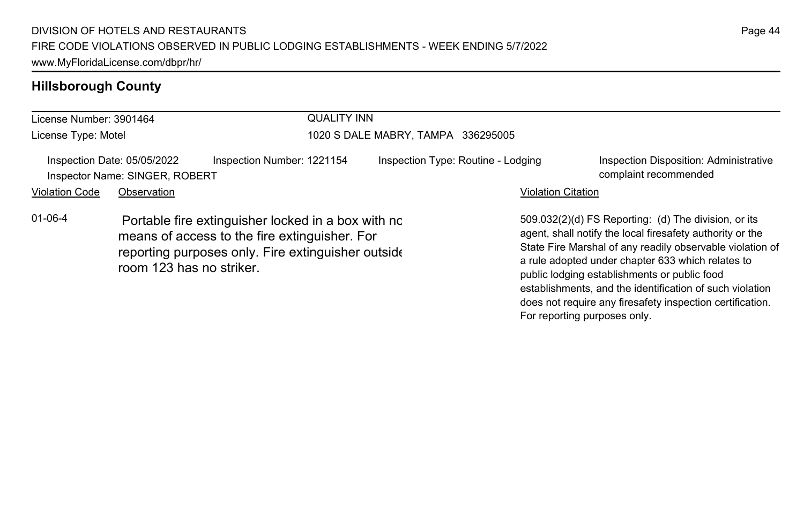# **Hillsborough County**

| License Number: 3901464 |                                                                              | <b>QUALITY INN</b>                                                                                                                                        |                                    |                           |                                                                                                                                                                                                                                                                                                                                                 |  |
|-------------------------|------------------------------------------------------------------------------|-----------------------------------------------------------------------------------------------------------------------------------------------------------|------------------------------------|---------------------------|-------------------------------------------------------------------------------------------------------------------------------------------------------------------------------------------------------------------------------------------------------------------------------------------------------------------------------------------------|--|
| License Type: Motel     |                                                                              |                                                                                                                                                           | 1020 S DALE MABRY, TAMPA 336295005 |                           |                                                                                                                                                                                                                                                                                                                                                 |  |
| <b>Violation Code</b>   | Inspection Date: 05/05/2022<br>Inspector Name: SINGER, ROBERT<br>Observation | Inspection Number: 1221154                                                                                                                                | Inspection Type: Routine - Lodging | <b>Violation Citation</b> | Inspection Disposition: Administrative<br>complaint recommended                                                                                                                                                                                                                                                                                 |  |
| $01 - 06 - 4$           | room 123 has no striker.                                                     | Portable fire extinguisher locked in a box with no<br>means of access to the fire extinguisher. For<br>reporting purposes only. Fire extinguisher outside |                                    |                           | 509.032(2)(d) FS Reporting: (d) The division, or its<br>agent, shall notify the local firesafety authority or the<br>State Fire Marshal of any readily observable violation of<br>a rule adopted under chapter 633 which relates to<br>public lodging establishments or public food<br>establishments, and the identification of such violation |  |

Page 44

does not require any firesafety inspection certification.

For reporting purposes only.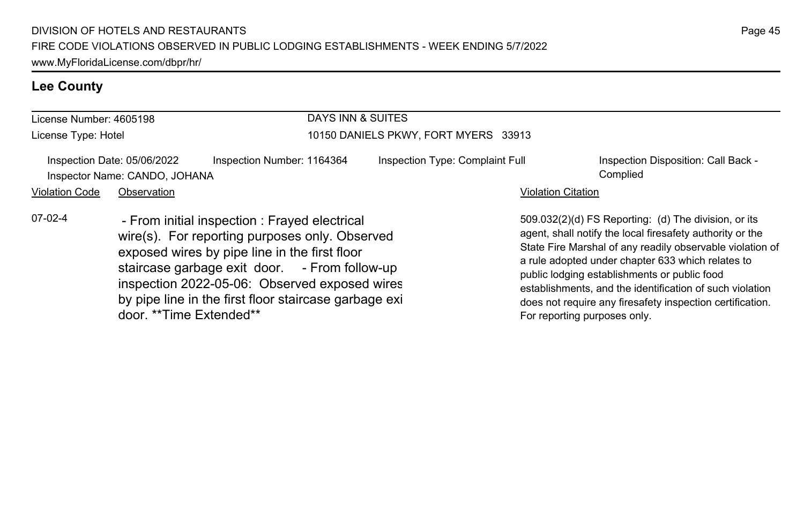# **Lee County**

| License Number: 4605198                                      |                         |                                                                                                                                                                                                                                                                                                              | DAYS INN & SUITES                    |                                                                                                                                                                                                                                                                                                                                                                                                                                              |  |  |
|--------------------------------------------------------------|-------------------------|--------------------------------------------------------------------------------------------------------------------------------------------------------------------------------------------------------------------------------------------------------------------------------------------------------------|--------------------------------------|----------------------------------------------------------------------------------------------------------------------------------------------------------------------------------------------------------------------------------------------------------------------------------------------------------------------------------------------------------------------------------------------------------------------------------------------|--|--|
| License Type: Hotel                                          |                         |                                                                                                                                                                                                                                                                                                              | 10150 DANIELS PKWY, FORT MYERS 33913 |                                                                                                                                                                                                                                                                                                                                                                                                                                              |  |  |
| Inspection Date: 05/06/2022<br>Inspector Name: CANDO, JOHANA |                         | Inspection Number: 1164364                                                                                                                                                                                                                                                                                   | Inspection Type: Complaint Full      | Inspection Disposition: Call Back -<br>Complied                                                                                                                                                                                                                                                                                                                                                                                              |  |  |
| <b>Violation Code</b>                                        | Observation             |                                                                                                                                                                                                                                                                                                              |                                      | <b>Violation Citation</b>                                                                                                                                                                                                                                                                                                                                                                                                                    |  |  |
| $07-02-4$                                                    | door. **Time Extended** | - From initial inspection : Frayed electrical<br>wire(s). For reporting purposes only. Observed<br>exposed wires by pipe line in the first floor<br>staircase garbage exit door. - From follow-up<br>inspection 2022-05-06: Observed exposed wires<br>by pipe line in the first floor staircase garbage exi- |                                      | 509.032(2)(d) FS Reporting: (d) The division, or its<br>agent, shall notify the local firesafety authority or the<br>State Fire Marshal of any readily observable violation of<br>a rule adopted under chapter 633 which relates to<br>public lodging establishments or public food<br>establishments, and the identification of such violation<br>does not require any firesafety inspection certification.<br>For reporting purposes only. |  |  |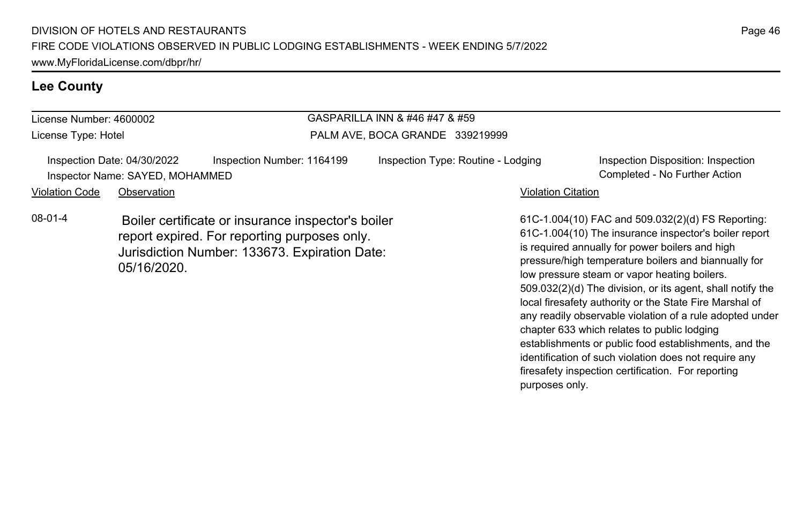# **Lee County**

| GASPARILLA INN & #46 #47 & #59<br>License Number: 4600002 |                                                                |                                                                                                                                                     |                                    |                                                                                                                                                                                                                                                                                                                                     |
|-----------------------------------------------------------|----------------------------------------------------------------|-----------------------------------------------------------------------------------------------------------------------------------------------------|------------------------------------|-------------------------------------------------------------------------------------------------------------------------------------------------------------------------------------------------------------------------------------------------------------------------------------------------------------------------------------|
| License Type: Hotel                                       |                                                                |                                                                                                                                                     | PALM AVE, BOCA GRANDE 339219999    |                                                                                                                                                                                                                                                                                                                                     |
|                                                           | Inspection Date: 04/30/2022<br>Inspector Name: SAYED, MOHAMMED | Inspection Number: 1164199                                                                                                                          | Inspection Type: Routine - Lodging | Inspection Disposition: Inspection<br>Completed - No Further Action                                                                                                                                                                                                                                                                 |
| <b>Violation Code</b>                                     | Observation                                                    |                                                                                                                                                     |                                    | <b>Violation Citation</b>                                                                                                                                                                                                                                                                                                           |
| $08-01-4$                                                 | 05/16/2020.                                                    | Boiler certificate or insurance inspector's boiler<br>report expired. For reporting purposes only.<br>Jurisdiction Number: 133673. Expiration Date: |                                    | 61C-1.004(10) FAC and 509.032(2)(d) FS Reporting:<br>61C-1.004(10) The insurance inspector's boiler report<br>is required annually for power boilers and high<br>pressure/high temperature boilers and biannually for<br>low pressure steam or vapor heating boilers.<br>509.032(2)(d) The division, or its agent, shall notify the |

local firesafety authority or the State Fire Marshal of any readily observable violation of a rule adopted under

establishments or public food establishments, and the identification of such violation does not require any firesafety inspection certification. For reporting

chapter 633 which relates to public lodging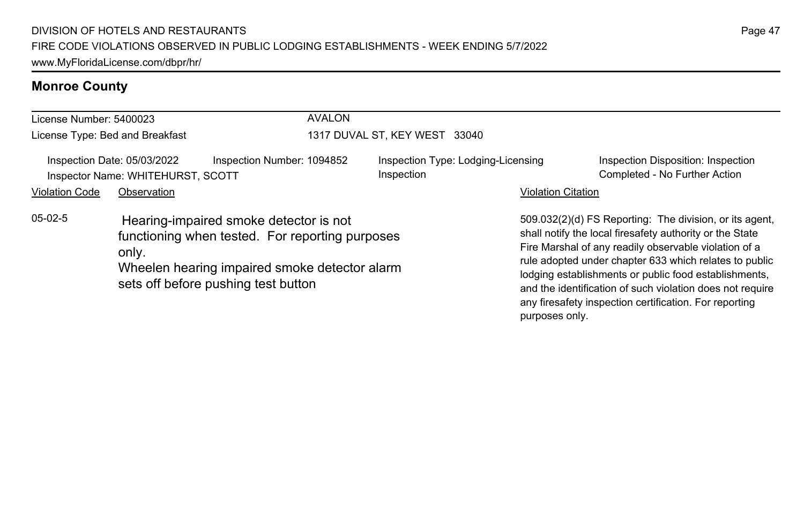# **Monroe County**

| License Number: 5400023         |                                                                                                                                                                                            | <b>AVALON</b>              |                                                  |                           |                                                                                                                                                                                                                                                                                                                                                                                                                        |
|---------------------------------|--------------------------------------------------------------------------------------------------------------------------------------------------------------------------------------------|----------------------------|--------------------------------------------------|---------------------------|------------------------------------------------------------------------------------------------------------------------------------------------------------------------------------------------------------------------------------------------------------------------------------------------------------------------------------------------------------------------------------------------------------------------|
| License Type: Bed and Breakfast |                                                                                                                                                                                            |                            | 1317 DUVAL ST, KEY WEST 33040                    |                           |                                                                                                                                                                                                                                                                                                                                                                                                                        |
|                                 | Inspection Date: 05/03/2022<br>Inspector Name: WHITEHURST, SCOTT                                                                                                                           | Inspection Number: 1094852 | Inspection Type: Lodging-Licensing<br>Inspection |                           | Inspection Disposition: Inspection<br>Completed - No Further Action                                                                                                                                                                                                                                                                                                                                                    |
| <b>Violation Code</b>           | Observation                                                                                                                                                                                |                            |                                                  | <b>Violation Citation</b> |                                                                                                                                                                                                                                                                                                                                                                                                                        |
| $05-02-5$                       | Hearing-impaired smoke detector is not<br>functioning when tested. For reporting purposes<br>only.<br>Wheelen hearing impaired smoke detector alarm<br>sets off before pushing test button |                            |                                                  |                           | 509.032(2)(d) FS Reporting: The division, or its agent,<br>shall notify the local firesafety authority or the State<br>Fire Marshal of any readily observable violation of a<br>rule adopted under chapter 633 which relates to public<br>lodging establishments or public food establishments,<br>and the identification of such violation does not require<br>any firesafety inspection certification. For reporting |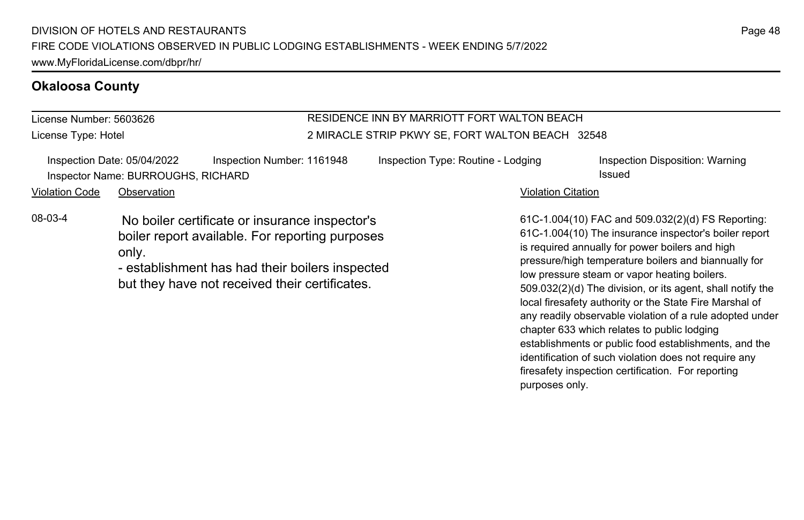### **Okaloosa County**

License Number: 5603626 License Type: Hotel

### RESIDENCE INN BY MARRIOTT FORT WALTON BEACH 2 MIRACLE STRIP PKWY SE, FORT WALTON BEACH 32548

|                       | Inspection Date: 05/04/2022        | Inspection Number: 1161948                     | Inspection Type: Routine - Lodging | Inspection Disposition: Warning                                                                             |
|-----------------------|------------------------------------|------------------------------------------------|------------------------------------|-------------------------------------------------------------------------------------------------------------|
|                       | Inspector Name: BURROUGHS, RICHARD |                                                |                                    | Issued                                                                                                      |
| <b>Violation Code</b> | Observation                        |                                                | <b>Violation Citation</b>          |                                                                                                             |
| 08-03-4               |                                    | No boiler certificate or insurance inspector's |                                    | 61C-1.004(10) FAC and 509.032(2)(d) FS Reporting<br>$61C-1$ $004(10)$ The insurance inspector's holler repo |

boiler report available. For reporting purposes only.

- establishment has had their boilers inspected but they have not received their certificates.

61C-1.004(10) FAC and 509.032(2)(d) FS Reporting: 61C-1.004(10) The insurance inspector's boiler report is required annually for power boilers and high pressure/high temperature boilers and biannually for low pressure steam or vapor heating boilers. 509.032(2)(d) The division, or its agent, shall notify the local firesafety authority or the State Fire Marshal of any readily observable violation of a rule adopted under chapter 633 which relates to public lodging establishments or public food establishments, and the identification of such violation does not require any firesafety inspection certification. For reporting purposes only.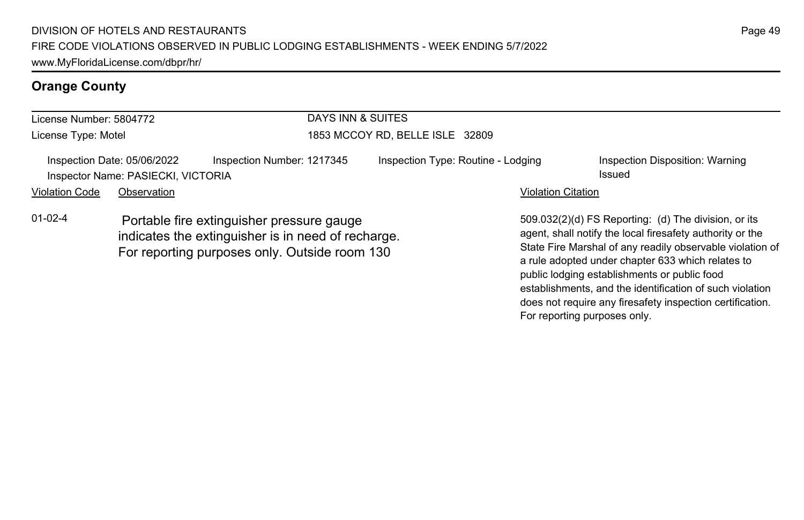| License Number: 5804772 |                                                                                                                                                  |                            |                                 | DAYS INN & SUITES                  |                                                                                                                                                                                                                                     |                                           |  |
|-------------------------|--------------------------------------------------------------------------------------------------------------------------------------------------|----------------------------|---------------------------------|------------------------------------|-------------------------------------------------------------------------------------------------------------------------------------------------------------------------------------------------------------------------------------|-------------------------------------------|--|
| License Type: Motel     |                                                                                                                                                  |                            | 1853 MCCOY RD, BELLE ISLE 32809 |                                    |                                                                                                                                                                                                                                     |                                           |  |
|                         | Inspection Date: 05/06/2022<br>Inspector Name: PASIECKI, VICTORIA                                                                                | Inspection Number: 1217345 |                                 | Inspection Type: Routine - Lodging |                                                                                                                                                                                                                                     | Inspection Disposition: Warning<br>Issued |  |
| <b>Violation Code</b>   | Observation                                                                                                                                      |                            |                                 |                                    | <b>Violation Citation</b>                                                                                                                                                                                                           |                                           |  |
| $01 - 02 - 4$           | Portable fire extinguisher pressure gauge<br>indicates the extinguisher is in need of recharge.<br>For reporting purposes only. Outside room 130 |                            |                                 |                                    | 509.032(2)(d) FS Reporting: (d) The division, or its<br>agent, shall notify the local firesafety authority or the<br>State Fire Marshal of any readily observable violation of<br>a rule adopted under chapter 633 which relates to |                                           |  |

Page 49

public lodging establishments or public food

For reporting purposes only.

establishments, and the identification of such violation does not require any firesafety inspection certification.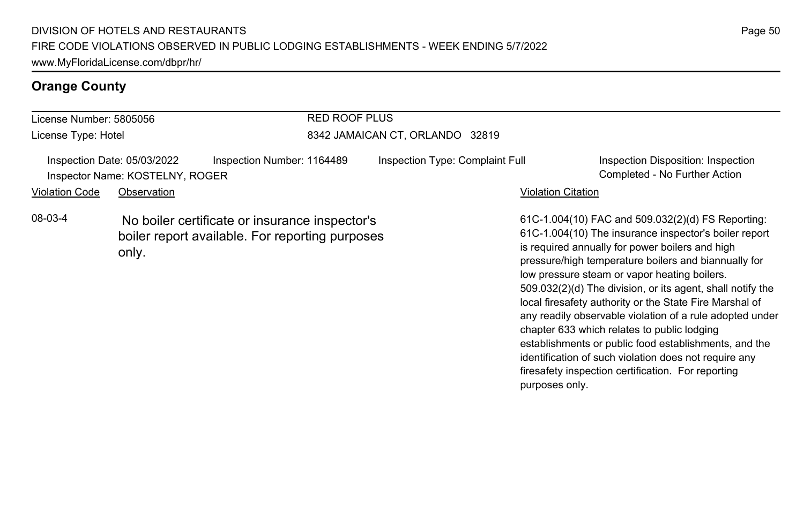| License Number: 5805056 |                                                                | <b>RED ROOF PLUS</b>                                                                              |                                 |                                                                                                                                                                                                                                                                       |  |  |
|-------------------------|----------------------------------------------------------------|---------------------------------------------------------------------------------------------------|---------------------------------|-----------------------------------------------------------------------------------------------------------------------------------------------------------------------------------------------------------------------------------------------------------------------|--|--|
| License Type: Hotel     |                                                                |                                                                                                   | 8342 JAMAICAN CT, ORLANDO 32819 |                                                                                                                                                                                                                                                                       |  |  |
|                         | Inspection Date: 05/03/2022<br>Inspector Name: KOSTELNY, ROGER | Inspection Number: 1164489                                                                        | Inspection Type: Complaint Full | Inspection Disposition: Inspection<br>Completed - No Further Action                                                                                                                                                                                                   |  |  |
| <b>Violation Code</b>   | Observation                                                    |                                                                                                   |                                 | <b>Violation Citation</b>                                                                                                                                                                                                                                             |  |  |
| 08-03-4                 | only.                                                          | No boiler certificate or insurance inspector's<br>boiler report available. For reporting purposes |                                 | 61C-1.004(10) FAC and 509.032(2)(d) FS Reporting:<br>61C-1.004(10) The insurance inspector's boiler report<br>is required annually for power boilers and high<br>pressure/high temperature boilers and biannually for<br>low pressure steam or vapor heating boilers. |  |  |

Page 50

509.032(2)(d) The division, or its agent, shall notify the local firesafety authority or the State Fire Marshal of any readily observable violation of a rule adopted under

establishments or public food establishments, and the identification of such violation does not require any firesafety inspection certification. For reporting

chapter 633 which relates to public lodging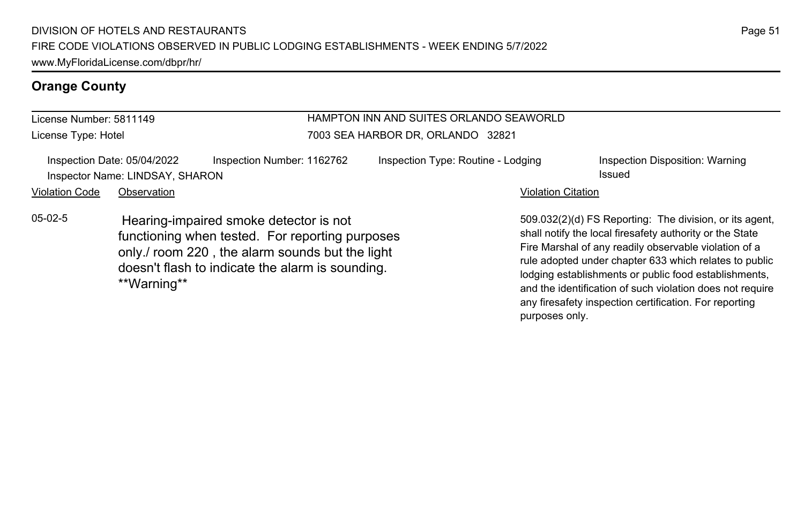| HAMPTON INN AND SUITES ORLANDO SEAWORLD<br>License Number: 5811149 |                                                                |                                                                                                                                                                                                  |                                    |                           |                                                                                                                                                                                                                                                                                                                                                              |
|--------------------------------------------------------------------|----------------------------------------------------------------|--------------------------------------------------------------------------------------------------------------------------------------------------------------------------------------------------|------------------------------------|---------------------------|--------------------------------------------------------------------------------------------------------------------------------------------------------------------------------------------------------------------------------------------------------------------------------------------------------------------------------------------------------------|
| License Type: Hotel                                                |                                                                |                                                                                                                                                                                                  | 7003 SEA HARBOR DR, ORLANDO 32821  |                           |                                                                                                                                                                                                                                                                                                                                                              |
|                                                                    | Inspection Date: 05/04/2022<br>Inspector Name: LINDSAY, SHARON | Inspection Number: 1162762                                                                                                                                                                       | Inspection Type: Routine - Lodging |                           | Inspection Disposition: Warning<br>Issued                                                                                                                                                                                                                                                                                                                    |
| <b>Violation Code</b>                                              | Observation                                                    |                                                                                                                                                                                                  |                                    | <b>Violation Citation</b> |                                                                                                                                                                                                                                                                                                                                                              |
| $05-02-5$                                                          | **Warning**                                                    | Hearing-impaired smoke detector is not<br>functioning when tested. For reporting purposes<br>only./ room 220, the alarm sounds but the light<br>doesn't flash to indicate the alarm is sounding. |                                    |                           | 509.032(2)(d) FS Reporting: The division, or its agent,<br>shall notify the local firesafety authority or the State<br>Fire Marshal of any readily observable violation of a<br>rule adopted under chapter 633 which relates to public<br>lodging establishments or public food establishments,<br>and the identification of such violation does not require |

any firesafety inspection certification. For reporting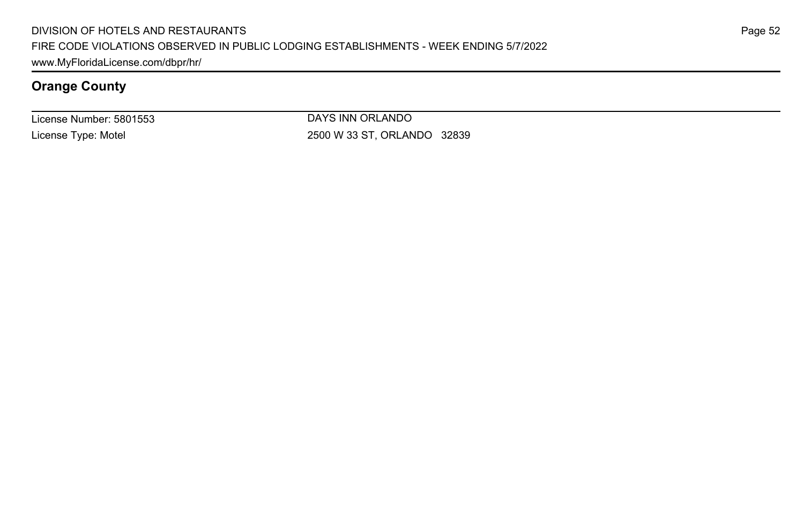License Number: 5801553 License Type: Motel

DAYS INN ORLANDO 2500 W 33 ST, ORLANDO 32839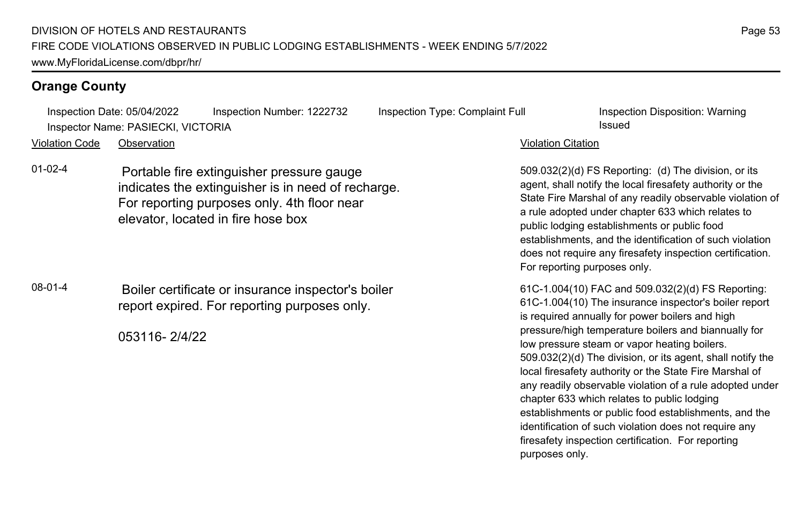Inspection Date: 05/04/2022 Inspection Number: 1222732 Inspection Type: Complaint Full Inspection Disposition: Warning Inspector Name: PASIECKI, VICTORIA Issued

Violation Code Observation Violation Citation

01-02-4 Portable fire extinguisher pressure gauge indicates the extinguisher is in need of recharge. For reporting purposes only. 4th floor near elevator, located in fire hose box

08-01-4 Boiler certificate or insurance inspector's boiler report expired. For reporting purposes only.

053116- 2/4/22

509.032(2)(d) FS Reporting: (d) The division, or its agent, shall notify the local firesafety authority or the State Fire Marshal of any readily observable violation of a rule adopted under chapter 633 which relates to public lodging establishments or public food establishments, and the identification of such violation does not require any firesafety inspection certification. For reporting purposes only.

61C-1.004(10) FAC and 509.032(2)(d) FS Reporting: 61C-1.004(10) The insurance inspector's boiler report is required annually for power boilers and high pressure/high temperature boilers and biannually for low pressure steam or vapor heating boilers. 509.032(2)(d) The division, or its agent, shall notify the local firesafety authority or the State Fire Marshal of any readily observable violation of a rule adopted under chapter 633 which relates to public lodging establishments or public food establishments, and the identification of such violation does not require any firesafety inspection certification. For reporting purposes only.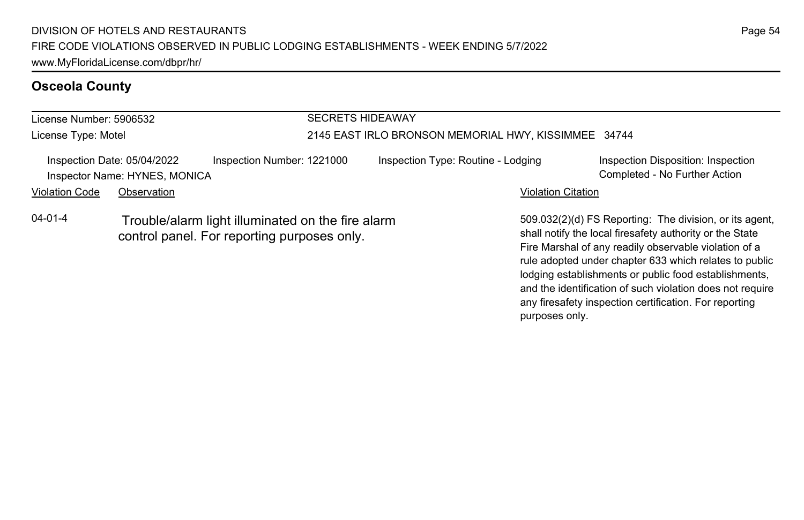| <b>SECRETS HIDEAWAY</b><br>License Number: 5906532 |                                                              |                                                                                                  |                                                      |                                    |                           |                                                                                                                                                                                                                                        |
|----------------------------------------------------|--------------------------------------------------------------|--------------------------------------------------------------------------------------------------|------------------------------------------------------|------------------------------------|---------------------------|----------------------------------------------------------------------------------------------------------------------------------------------------------------------------------------------------------------------------------------|
| License Type: Motel                                |                                                              |                                                                                                  | 2145 EAST IRLO BRONSON MEMORIAL HWY, KISSIMMEE 34744 |                                    |                           |                                                                                                                                                                                                                                        |
|                                                    | Inspection Date: 05/04/2022<br>Inspector Name: HYNES, MONICA | Inspection Number: 1221000                                                                       |                                                      | Inspection Type: Routine - Lodging |                           | Inspection Disposition: Inspection<br>Completed - No Further Action                                                                                                                                                                    |
| <b>Violation Code</b>                              | Observation                                                  |                                                                                                  |                                                      |                                    | <b>Violation Citation</b> |                                                                                                                                                                                                                                        |
| $04 - 01 - 4$                                      |                                                              | Trouble/alarm light illuminated on the fire alarm<br>control panel. For reporting purposes only. |                                                      |                                    |                           | 509.032(2)(d) FS Reporting: The division, or its agent,<br>shall notify the local firesafety authority or the State<br>Fire Marshal of any readily observable violation of a<br>rule adopted under chapter 633 which relates to public |

### Page 54

lodging establishments or public food establishments, and the identification of such violation does not require any firesafety inspection certification. For reporting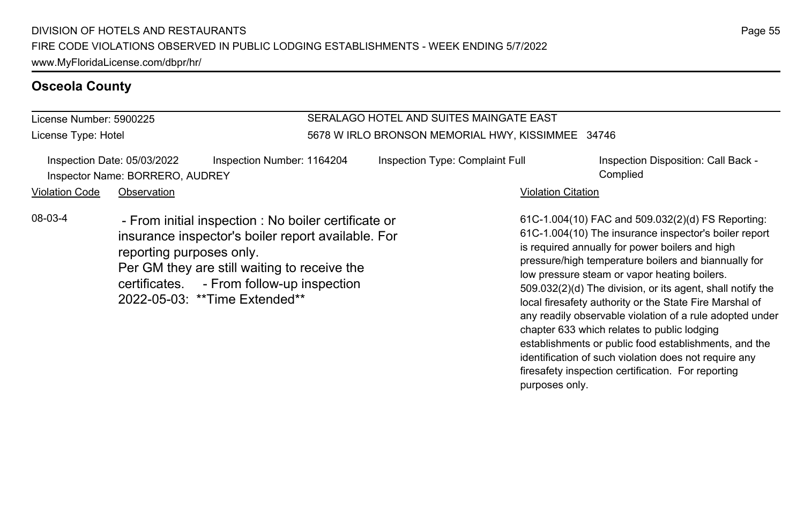License Number: 5900225 License Type: Hotel

### SERALAGO HOTEL AND SUITES MAINGATE EAST 5678 W IRLO BRONSON MEMORIAL HWY, KISSIMMEE 34746

|                       | Inspection Date: 05/03/2022<br>Inspector Name: BORRERO, AUDREY | Inspection Number: 1164204                                                                                                                                                                                                               | Inspection Type: Complaint Full |                           | Inspection Disposition: Call Back -<br>Complied                                                                                                                                                                                                                                                                                                                                                |
|-----------------------|----------------------------------------------------------------|------------------------------------------------------------------------------------------------------------------------------------------------------------------------------------------------------------------------------------------|---------------------------------|---------------------------|------------------------------------------------------------------------------------------------------------------------------------------------------------------------------------------------------------------------------------------------------------------------------------------------------------------------------------------------------------------------------------------------|
| <b>Violation Code</b> | Observation                                                    |                                                                                                                                                                                                                                          |                                 | <b>Violation Citation</b> |                                                                                                                                                                                                                                                                                                                                                                                                |
| 08-03-4               | reporting purposes only.                                       | - From initial inspection : No boiler certificate or<br>insurance inspector's boiler report available. For<br>Per GM they are still waiting to receive the<br>certificates. - From follow-up inspection<br>2022-05-03: **Time Extended** |                                 |                           | 61C-1.004(10) FAC and 509.032(2)(d) FS Reporting:<br>61C-1.004(10) The insurance inspector's boiler report<br>is required annually for power boilers and high<br>pressure/high temperature boilers and biannually for<br>low pressure steam or vapor heating boilers.<br>509.032(2)(d) The division, or its agent, shall notify the<br>local firesafety authority or the State Fire Marshal of |

any readily observable violation of a rule adopted under

establishments or public food establishments, and the identification of such violation does not require any firesafety inspection certification. For reporting

chapter 633 which relates to public lodging

purposes only.

Page 55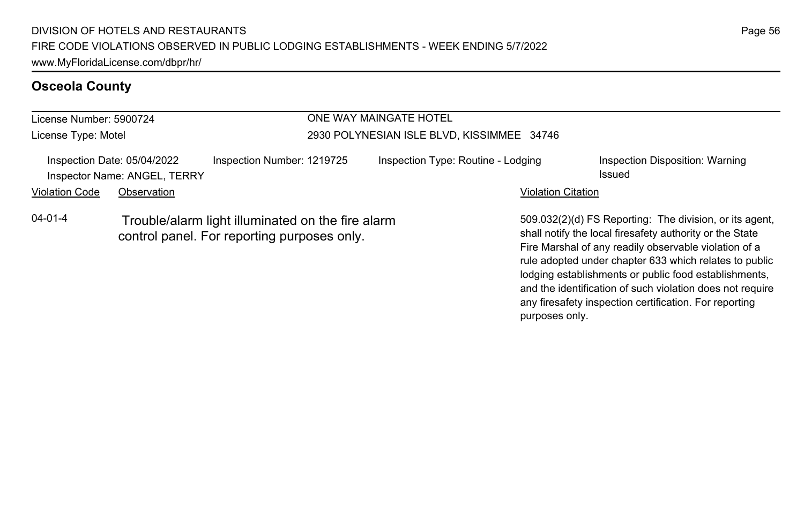| License Number: 5900724 |                                                             |                                                                                                  | ONE WAY MAINGATE HOTEL                     |                                                                                                                                                                                                                                                                                                 |  |  |
|-------------------------|-------------------------------------------------------------|--------------------------------------------------------------------------------------------------|--------------------------------------------|-------------------------------------------------------------------------------------------------------------------------------------------------------------------------------------------------------------------------------------------------------------------------------------------------|--|--|
| License Type: Motel     |                                                             |                                                                                                  | 2930 POLYNESIAN ISLE BLVD, KISSIMMEE 34746 |                                                                                                                                                                                                                                                                                                 |  |  |
|                         | Inspection Date: 05/04/2022<br>Inspector Name: ANGEL, TERRY | Inspection Number: 1219725                                                                       | Inspection Type: Routine - Lodging         | Inspection Disposition: Warning<br>Issued                                                                                                                                                                                                                                                       |  |  |
| <b>Violation Code</b>   | Observation                                                 |                                                                                                  |                                            | <b>Violation Citation</b>                                                                                                                                                                                                                                                                       |  |  |
| $04 - 01 - 4$           |                                                             | Trouble/alarm light illuminated on the fire alarm<br>control panel. For reporting purposes only. |                                            | 509.032(2)(d) FS Reporting: The division, or its agent,<br>shall notify the local firesafety authority or the State<br>Fire Marshal of any readily observable violation of a<br>rule adopted under chapter 633 which relates to public<br>lodging establishments or public food establishments. |  |  |

and the identification of such violation does not require any firesafety inspection certification. For reporting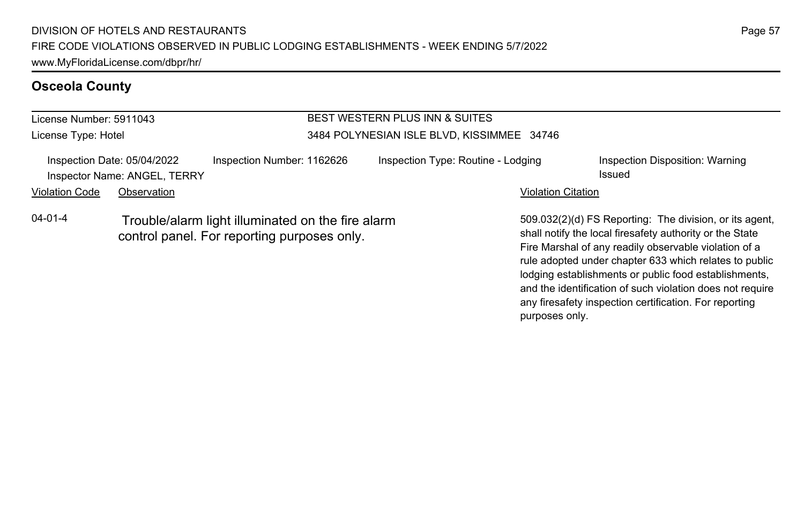#### License Number: 5911043 License Type: Hotel BEST WESTERN PLUS INN & SUITES 3484 POLYNESIAN ISLE BLVD, KISSIMMEE 34746 Inspection Date: 05/04/2022 Inspection Number: 1162626 Inspection Type: Routine - Lodging Inspection Disposition: Warning **Inspector Name: ANGEL, TERRY Issued** Violation Code Observation **Violation Code Observation** Violation Citation Citation Citation Citation Citation Citation Citation Citation Citation Citation Citation Citation Citation Citation Citation Citation Citation Cit 509.032(2)(d) FS Reporting: The division, or its agent, shall notify the local firesafety authority or the State Fire Marshal of any readily observable violation of a rule adopted under chapter 633 which relates to public 04-01-4 Trouble/alarm light illuminated on the fire alarm control panel. For reporting purposes only.

lodging establishments or public food establishments, and the identification of such violation does not require any firesafety inspection certification. For reporting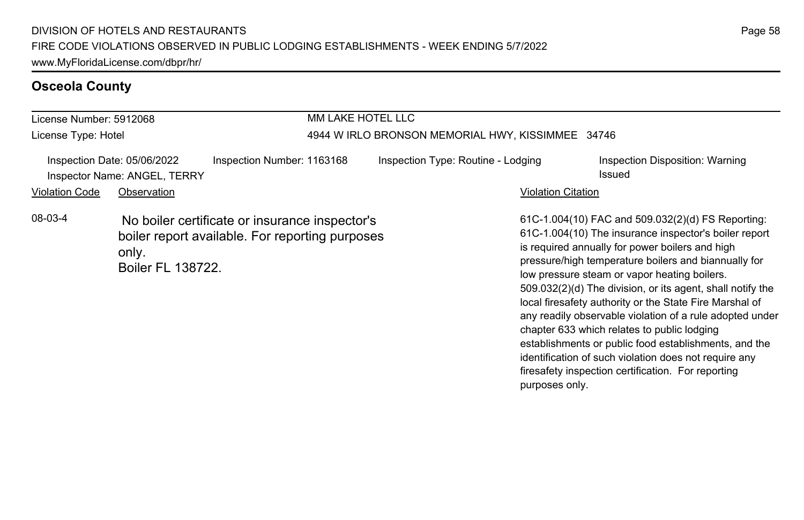| License Number: 5912068 |                                                             |                                                                                                   | MM LAKE HOTEL LLC                                 |                                                                                                                                                                                                                                                                                                                                                                                                                                                                                                           |  |  |
|-------------------------|-------------------------------------------------------------|---------------------------------------------------------------------------------------------------|---------------------------------------------------|-----------------------------------------------------------------------------------------------------------------------------------------------------------------------------------------------------------------------------------------------------------------------------------------------------------------------------------------------------------------------------------------------------------------------------------------------------------------------------------------------------------|--|--|
| License Type: Hotel     |                                                             |                                                                                                   | 4944 W IRLO BRONSON MEMORIAL HWY, KISSIMMEE 34746 |                                                                                                                                                                                                                                                                                                                                                                                                                                                                                                           |  |  |
|                         | Inspection Date: 05/06/2022<br>Inspector Name: ANGEL, TERRY | Inspection Number: 1163168                                                                        | Inspection Type: Routine - Lodging                | Inspection Disposition: Warning<br>Issued                                                                                                                                                                                                                                                                                                                                                                                                                                                                 |  |  |
| <b>Violation Code</b>   | Observation                                                 |                                                                                                   |                                                   | <b>Violation Citation</b>                                                                                                                                                                                                                                                                                                                                                                                                                                                                                 |  |  |
| 08-03-4                 | only.<br><b>Boiler FL 138722.</b>                           | No boiler certificate or insurance inspector's<br>boiler report available. For reporting purposes |                                                   | 61C-1.004(10) FAC and 509.032(2)(d) FS Reporting:<br>61C-1.004(10) The insurance inspector's boiler report<br>is required annually for power boilers and high<br>pressure/high temperature boilers and biannually for<br>low pressure steam or vapor heating boilers.<br>509.032(2)(d) The division, or its agent, shall notify the<br>local firesafety authority or the State Fire Marshal of<br>any readily observable violation of a rule adopted under<br>chapter 633 which relates to public lodging |  |  |

establishments or public food establishments, and the identification of such violation does not require any firesafety inspection certification. For reporting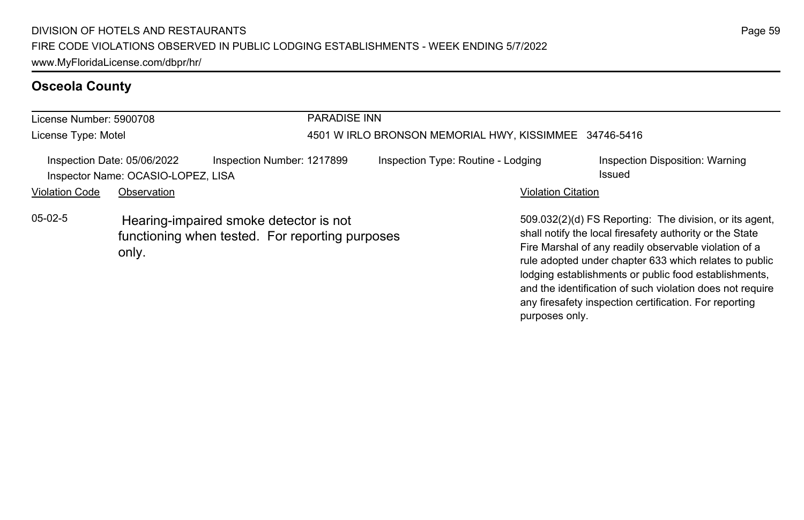| License Number: 5900708 |                                                                   |                                                                                           | <b>PARADISE INN</b> |                                                        |                           |                                                                                                                                                                                                                                                                                                 |
|-------------------------|-------------------------------------------------------------------|-------------------------------------------------------------------------------------------|---------------------|--------------------------------------------------------|---------------------------|-------------------------------------------------------------------------------------------------------------------------------------------------------------------------------------------------------------------------------------------------------------------------------------------------|
| License Type: Motel     |                                                                   |                                                                                           |                     | 4501 W IRLO BRONSON MEMORIAL HWY, KISSIMMEE 34746-5416 |                           |                                                                                                                                                                                                                                                                                                 |
|                         | Inspection Date: 05/06/2022<br>Inspector Name: OCASIO-LOPEZ, LISA | Inspection Number: 1217899                                                                |                     | Inspection Type: Routine - Lodging                     |                           | Inspection Disposition: Warning<br>Issued                                                                                                                                                                                                                                                       |
| <b>Violation Code</b>   | Observation                                                       |                                                                                           |                     |                                                        | <b>Violation Citation</b> |                                                                                                                                                                                                                                                                                                 |
| $05-02-5$               | only.                                                             | Hearing-impaired smoke detector is not<br>functioning when tested. For reporting purposes |                     |                                                        |                           | 509.032(2)(d) FS Reporting: The division, or its agent,<br>shall notify the local firesafety authority or the State<br>Fire Marshal of any readily observable violation of a<br>rule adopted under chapter 633 which relates to public<br>lodging establishments or public food establishments, |

and the identification of such violation does not require any firesafety inspection certification. For reporting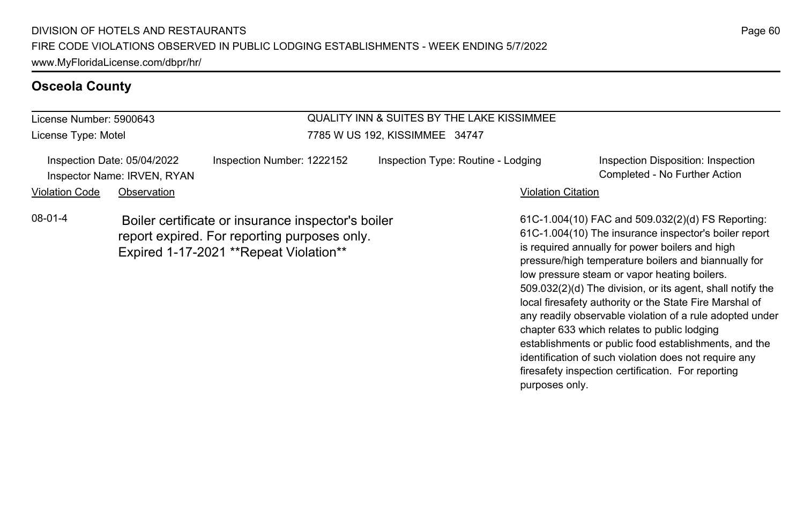License Number: 5900643 License Type: Motel

# QUALITY INN & SUITES BY THE LAKE KISSIMMEE 7785 W US 192, KISSIMMEE 34747

|                       | Inspection Date: 05/04/2022 | Inspection Number: 1222152                                                                                                                    | Inspection Type: Routine - Lodging | Inspection Disposition: Inspection                                                                                                                                                                                                                             |
|-----------------------|-----------------------------|-----------------------------------------------------------------------------------------------------------------------------------------------|------------------------------------|----------------------------------------------------------------------------------------------------------------------------------------------------------------------------------------------------------------------------------------------------------------|
|                       | Inspector Name: IRVEN, RYAN |                                                                                                                                               |                                    | Completed - No Further Action                                                                                                                                                                                                                                  |
| <b>Violation Code</b> | Observation                 |                                                                                                                                               | <b>Violation Citation</b>          |                                                                                                                                                                                                                                                                |
| 08-01-4               |                             | Boiler certificate or insurance inspector's boiler<br>report expired. For reporting purposes only.<br>Expired 1-17-2021 ** Repeat Violation** |                                    | 61C-1.004(10) FAC and 509.032(2)(d) FS Reporting<br>61C-1.004(10) The insurance inspector's boiler repo<br>is required annually for power boilers and high<br>to a construction of the first construction of the construction of the first construction of the |

61C-1.004(10) FAC and 509.032(2)(d) FS Reporting: 61C-1.004(10) The insurance inspector's boiler report pressure/high temperature boilers and biannually for low pressure steam or vapor heating boilers. 509.032(2)(d) The division, or its agent, shall notify the local firesafety authority or the State Fire Marshal of any readily observable violation of a rule adopted under chapter 633 which relates to public lodging establishments or public food establishments, and the identification of such violation does not require any firesafety inspection certification. For reporting purposes only.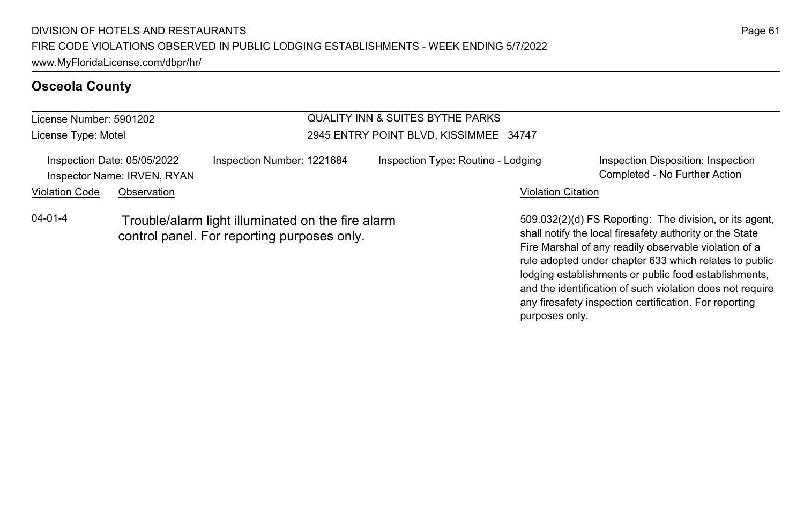#### License Number: 5901202 License Type: Motel QUALITY INN & SUITES BYTHE PARKS 2945 ENTRY POINT BLVD, KISSIMMEE 34747 Inspection Date: 05/05/2022 Inspection Number: 1221684 Inspection Type: Routine - Lodging Inspection Disposition: Inspection Inspector Name: IRVEN, RYAN Completed - No Further Action Violation Code Observation **Violation Code Observation** Violation Citation Citation Citation Citation Citation Citation Citation Citation Citation Citation Citation Citation Citation Citation Citation Citation Citation Cit 509.032(2)(d) FS Reporting: The division, or its agent, shall notify the local firesafety authority or the State Fire Marshal of any readily observable violation of a rule adopted under chapter 633 which relates to public 04-01-4 Trouble/alarm light illuminated on the fire alarm control panel. For reporting purposes only.

Page 61

lodging establishments or public food establishments, and the identification of such violation does not require any firesafety inspection certification. For reporting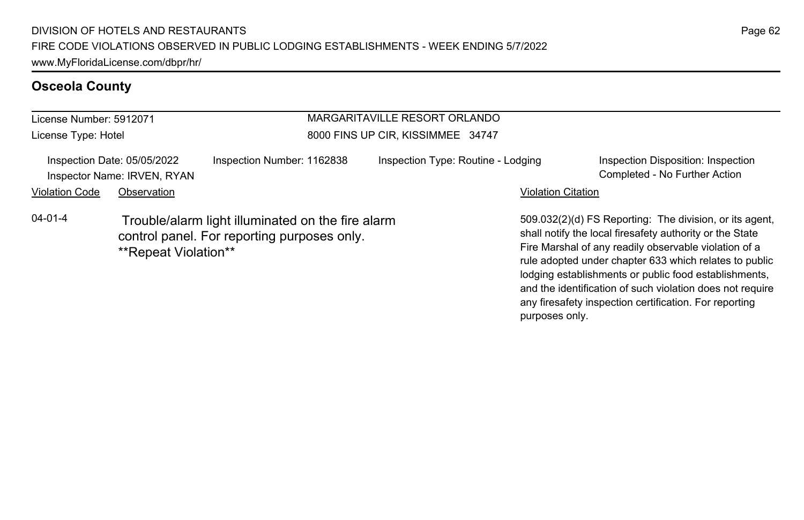| License Number: 5912071 |                                                            |                                                                                                  | MARGARITAVILLE RESORT ORLANDO      |                                                                                                                                                                                                                                    |
|-------------------------|------------------------------------------------------------|--------------------------------------------------------------------------------------------------|------------------------------------|------------------------------------------------------------------------------------------------------------------------------------------------------------------------------------------------------------------------------------|
| License Type: Hotel     |                                                            |                                                                                                  | 8000 FINS UP CIR, KISSIMMEE 34747  |                                                                                                                                                                                                                                    |
|                         | Inspection Date: 05/05/2022<br>Inspector Name: IRVEN, RYAN | Inspection Number: 1162838                                                                       | Inspection Type: Routine - Lodging | Inspection Disposition: Inspection<br>Completed - No Further Action                                                                                                                                                                |
| <b>Violation Code</b>   | Observation                                                |                                                                                                  |                                    | <b>Violation Citation</b>                                                                                                                                                                                                          |
| $04 - 01 - 4$           | **Repeat Violation**                                       | Trouble/alarm light illuminated on the fire alarm<br>control panel. For reporting purposes only. |                                    | 509.032(2)(d) FS Reporting: The division, or its ager<br>shall notify the local firesafety authority or the State<br>Fire Marshal of any readily observable violation of a<br>rule adopted under chapter 633 which relates to publ |

509.032(2)(d) FS Reporting: The division, or its agent, rule adopted under chapter 633 which relates to public lodging establishments or public food establishments, and the identification of such violation does not require any firesafety inspection certification. For reporting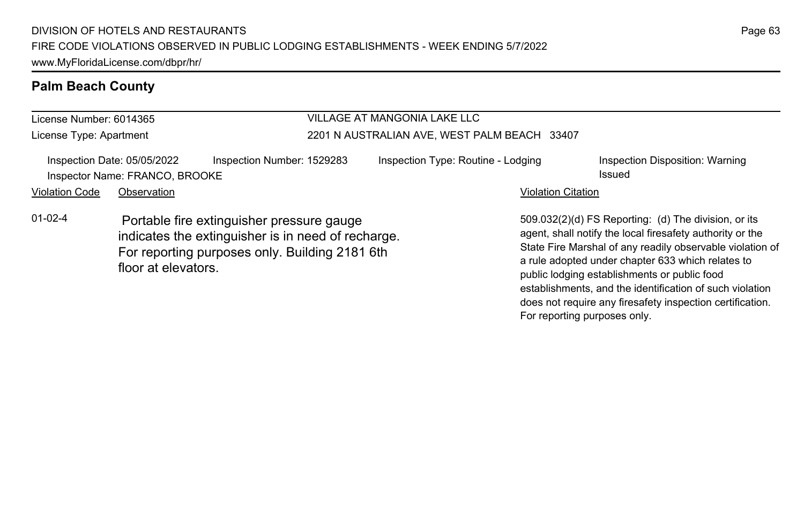#### License Number: 6014365 License Type: Apartment VILLAGE AT MANGONIA LAKE LLC 2201 N AUSTRALIAN AVE, WEST PALM BEACH 33407 Inspection Date: 05/05/2022 Inspection Number: 1529283 Inspection Type: Routine - Lodging Inspection Disposition: Warning Inspector Name: FRANCO, BROOKE **Issued Issued** Violation Code Observation **Violation Code Observation** Violation Citation Citation Citation Citation Citation Citation Citation Citation Citation Citation Citation Citation Citation Citation Citation Citation Citation Cit 509.032(2)(d) FS Reporting: (d) The division, or its agent, shall notify the local firesafety authority or the State Fire Marshal of any readily observable violation of a rule adopted under chapter 633 which relates to public lodging establishments or public food 01-02-4 Portable fire extinguisher pressure gauge indicates the extinguisher is in need of recharge. For reporting purposes only. Building 2181 6th floor at elevators.

Page 63

establishments, and the identification of such violation does not require any firesafety inspection certification.

For reporting purposes only.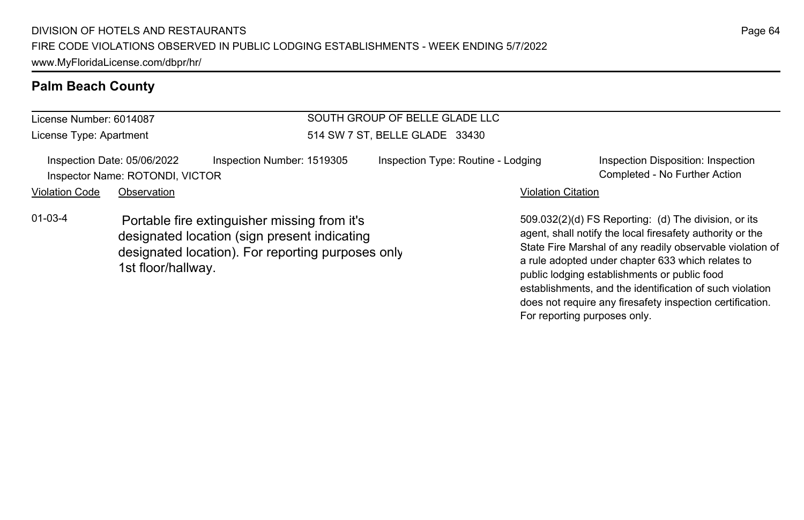#### License Number: 6014087 License Type: Apartment SOUTH GROUP OF BELLE GLADE LLC 514 SW 7 ST, BELLE GLADE 33430 Inspection Date: 05/06/2022 Inspection Number: 1519305 Inspection Type: Routine - Lodging Inspection Disposition: Inspection Inspector Name: ROTONDI, VICTOR Completed - No Further Action Violation Code Observation **Violation Code** Observation **Violation** Violation Citation Citation Citation Citation 509.032(2)(d) FS Reporting: (d) The division, or its agent, shall notify the local firesafety authority or the a rule adopted under chapter 633 which relates to 01-03-4 Portable fire extinguisher missing from it's designated location (sign present indicating designated location). For reporting purposes only. 1st floor/hallway.

State Fire Marshal of any readily observable violation of public lodging establishments or public food establishments, and the identification of such violation does not require any firesafety inspection certification. For reporting purposes only.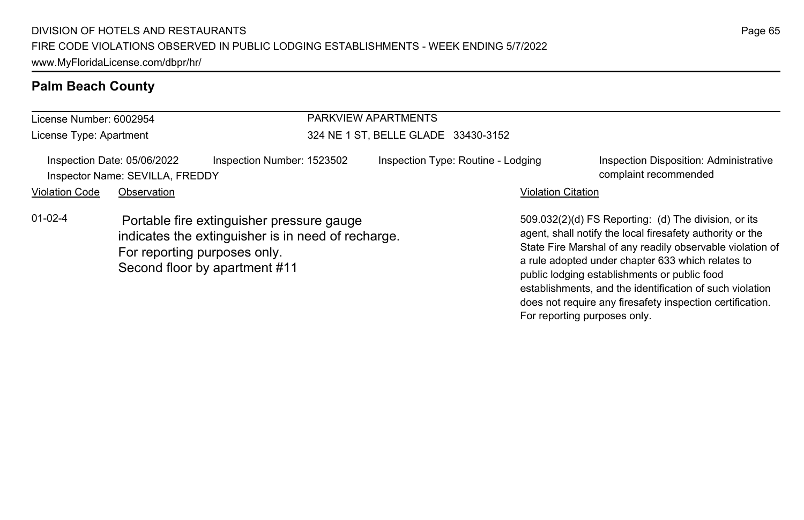| License Number: 6002954 |                                                                |                                                                                                                                  | PARKVIEW APARTMENTS                 |                                                                                                                                                                                                                                                                                     |
|-------------------------|----------------------------------------------------------------|----------------------------------------------------------------------------------------------------------------------------------|-------------------------------------|-------------------------------------------------------------------------------------------------------------------------------------------------------------------------------------------------------------------------------------------------------------------------------------|
| License Type: Apartment |                                                                |                                                                                                                                  | 324 NE 1 ST, BELLE GLADE 33430-3152 |                                                                                                                                                                                                                                                                                     |
|                         | Inspection Date: 05/06/2022<br>Inspector Name: SEVILLA, FREDDY | Inspection Number: 1523502                                                                                                       | Inspection Type: Routine - Lodging  | Inspection Disposition: Administrative<br>complaint recommended                                                                                                                                                                                                                     |
| <b>Violation Code</b>   | Observation                                                    |                                                                                                                                  | <b>Violation Citation</b>           |                                                                                                                                                                                                                                                                                     |
| $01-02-4$               | For reporting purposes only.                                   | Portable fire extinguisher pressure gauge<br>indicates the extinguisher is in need of recharge.<br>Second floor by apartment #11 |                                     | 509.032(2)(d) FS Reporting: (d) The division, or its<br>agent, shall notify the local firesafety authority or the<br>State Fire Marshal of any readily observable violation of<br>a rule adopted under chapter 633 which relates to<br>public lodging establishments or public food |

establishments, and the identification of such violation does not require any firesafety inspection certification.

For reporting purposes only.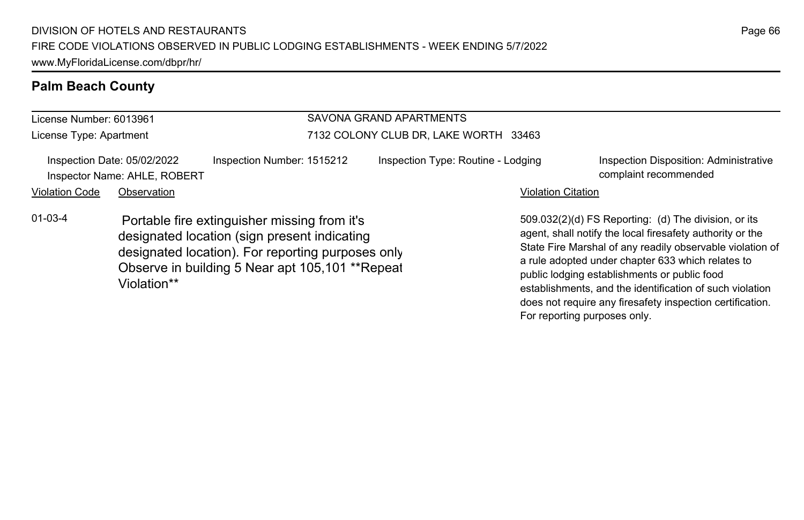#### License Number: 6013961 License Type: Apartment SAVONA GRAND APARTMENTS 7132 COLONY CLUB DR, LAKE WORTH 33463 Inspection Date: 05/02/2022 Inspection Number: 1515212 Inspection Type: Routine - Lodging Inspection Disposition: Administrative Inspector Name: AHLE, ROBERT complaint recommended Violation Code Observation **Violation Code** Observation **Violation** Violation Citation Citation Citation Citation 509.032(2)(d) FS Reporting: (d) The division, or its agent, shall notify the local firesafety authority or the State Fire Marshal of any readily observable violation of a rule adopted under chapter 633 which relates to public lodging establishments or public food establishments, and the identification of such violation 01-03-4 Portable fire extinguisher missing from it's designated location (sign present indicating designated location). For reporting purposes only. Observe in building 5 Near apt 105,101 \*\*Repeat Violation\*\*

does not require any firesafety inspection certification.

For reporting purposes only.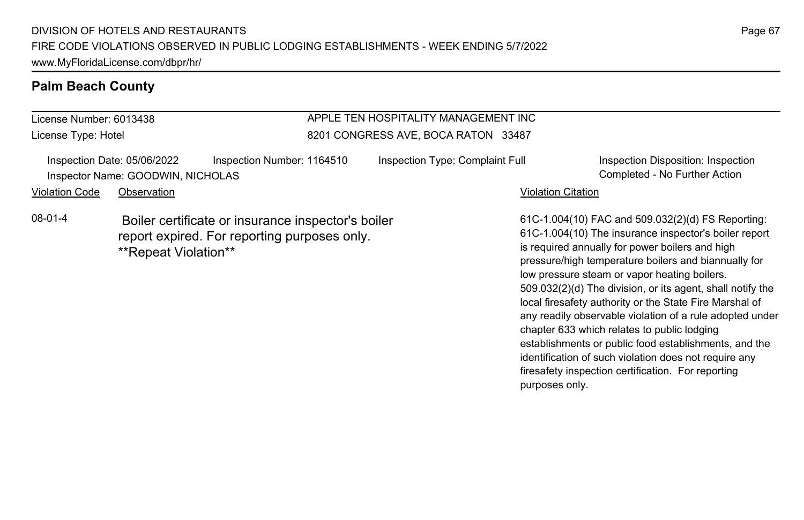License Number: 6013438 License Type: Hotel

### APPLE TEN HOSPITALITY MANAGEMENT INC 8201 CONGRESS AVE, BOCA RATON 33487

Inspection Date: 05/06/2022 Inspection Number: 1164510 Inspection Type: Complaint Full Inspection Disposition: Inspection Inspector Name: GOODWIN, NICHOLAS Completed - No Further Action

Violation Code Observation **Violation Code** Observation **Violation** Violation Citation Citation Citation Citation

08-01-4 Boiler certificate or insurance inspector's boiler report expired. For reporting purposes only. \*\*Repeat Violation\*\*

61C-1.004(10) FAC and 509.032(2)(d) FS Reporting: 61C-1.004(10) The insurance inspector's boiler report is required annually for power boilers and high pressure/high temperature boilers and biannually for low pressure steam or vapor heating boilers. 509.032(2)(d) The division, or its agent, shall notify the local firesafety authority or the State Fire Marshal of any readily observable violation of a rule adopted under chapter 633 which relates to public lodging establishments or public food establishments, and the identification of such violation does not require any firesafety inspection certification. For reporting purposes only.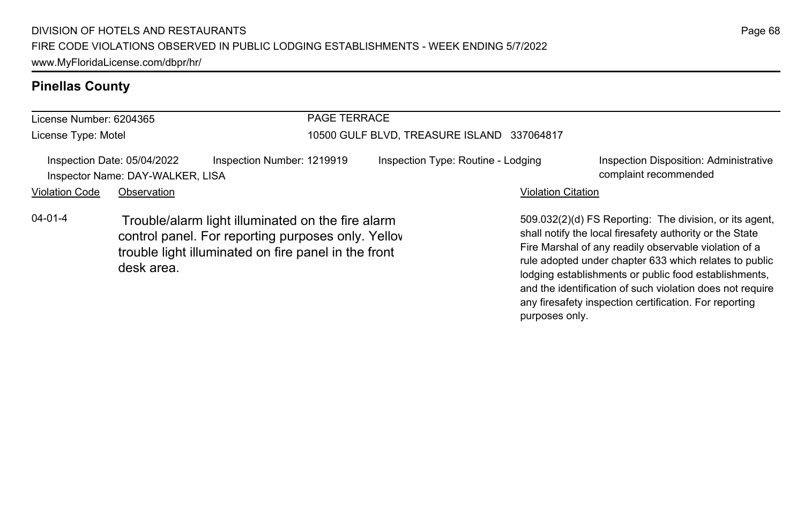| License Number: 6204365 |                                                                 |                                                                                                                                                                 | <b>PAGE TERRACE</b>                        |                                    |                           |                                                                                                                                                                                                                                                                                                |
|-------------------------|-----------------------------------------------------------------|-----------------------------------------------------------------------------------------------------------------------------------------------------------------|--------------------------------------------|------------------------------------|---------------------------|------------------------------------------------------------------------------------------------------------------------------------------------------------------------------------------------------------------------------------------------------------------------------------------------|
| License Type: Motel     |                                                                 |                                                                                                                                                                 | 10500 GULF BLVD, TREASURE ISLAND 337064817 |                                    |                           |                                                                                                                                                                                                                                                                                                |
|                         | Inspection Date: 05/04/2022<br>Inspector Name: DAY-WALKER, LISA | Inspection Number: 1219919                                                                                                                                      |                                            | Inspection Type: Routine - Lodging |                           | Inspection Disposition: Administrative<br>complaint recommended                                                                                                                                                                                                                                |
| <b>Violation Code</b>   | Observation                                                     |                                                                                                                                                                 |                                            |                                    | <b>Violation Citation</b> |                                                                                                                                                                                                                                                                                                |
| $04 - 01 - 4$           | desk area.                                                      | Trouble/alarm light illuminated on the fire alarm<br>control panel. For reporting purposes only. Yellov<br>trouble light illuminated on fire panel in the front |                                            |                                    |                           | 509.032(2)(d) FS Reporting: The division, or its agent,<br>shall notify the local firesafety authority or the State<br>Fire Marshal of any readily observable violation of a<br>rule adopted under chapter 633 which relates to public<br>lodging ostablishments or public food ostablishments |

lodging establishments or public food establishments, and the identification of such violation does not require any firesafety inspection certification. For reporting purposes only.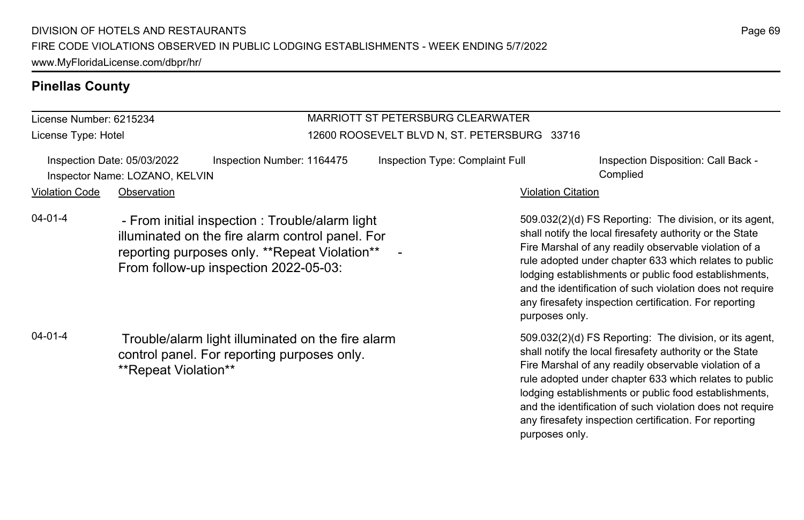License Number: 6215234 License Type: Hotel

### MARRIOTT ST PETERSBURG CLEARWATER 12600 ROOSEVELT BLVD N, ST. PETERSBURG 33716

|                | Inspection Date: 05/03/2022    | Inspection Number: 1164475 | Inspection Type: Complaint Full |                           | Inspection Disposition: Call Back - |
|----------------|--------------------------------|----------------------------|---------------------------------|---------------------------|-------------------------------------|
|                | Inspector Name: LOZANO, KELVIN |                            |                                 |                           | Complied                            |
| Violation Code | Observation                    |                            |                                 | <b>Violation Citation</b> |                                     |

04-01-4 - From initial inspection : Trouble/alarm light illuminated on the fire alarm control panel. For reporting purposes only. \*\*Repeat Violation\*\* From follow-up inspection 2022-05-03:

04-01-4 Trouble/alarm light illuminated on the fire alarm control panel. For reporting purposes only. \*\*Repeat Violation\*\*

509.032(2)(d) FS Reporting: The division, or its agent, shall notify the local firesafety authority or the State Fire Marshal of any readily observable violation of a rule adopted under chapter 633 which relates to public lodging establishments or public food establishments, and the identification of such violation does not require any firesafety inspection certification. For reporting purposes only.

509.032(2)(d) FS Reporting: The division, or its agent, shall notify the local firesafety authority or the State Fire Marshal of any readily observable violation of a rule adopted under chapter 633 which relates to public lodging establishments or public food establishments, and the identification of such violation does not require any firesafety inspection certification. For reporting purposes only.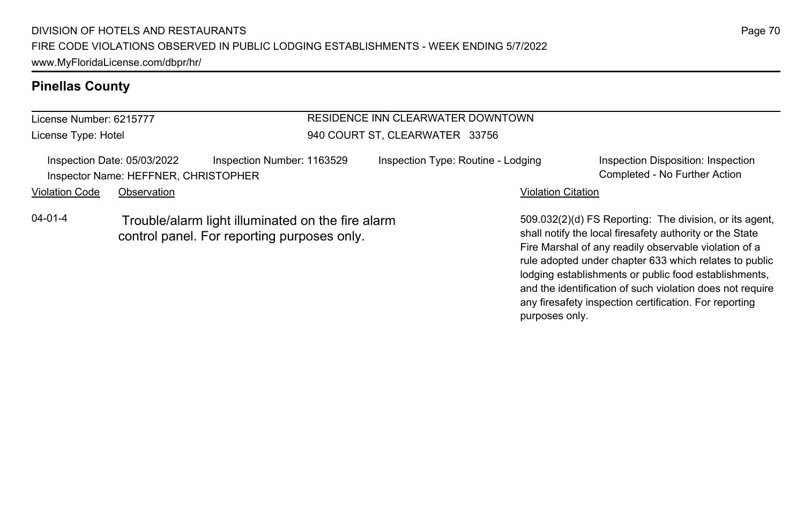License Number: 6215777 License Type: Hotel

### RESIDENCE INN CLEARWATER DOWNTOWN 940 COURT ST, CLEARWATER 33756

| Inspection Date: 05/03/2022 |             | Inspection Number: 1163529           | Inspection Type: Routine - Lodging | Inspection Disposition: Inspection |
|-----------------------------|-------------|--------------------------------------|------------------------------------|------------------------------------|
|                             |             | Inspector Name: HEFFNER, CHRISTOPHER |                                    | Completed - No Further Action      |
| Violation Code              | Observation |                                      | <b>Violation Citation</b>          |                                    |

04-01-4 Trouble/alarm light illuminated on the fire alarm control panel. For reporting purposes only.

509.032(2)(d) FS Reporting: The division, or its agent, shall notify the local firesafety authority or the State Fire Marshal of any readily observable violation of a rule adopted under chapter 633 which relates to public lodging establishments or public food establishments, and the identification of such violation does not require any firesafety inspection certification. For reporting purposes only.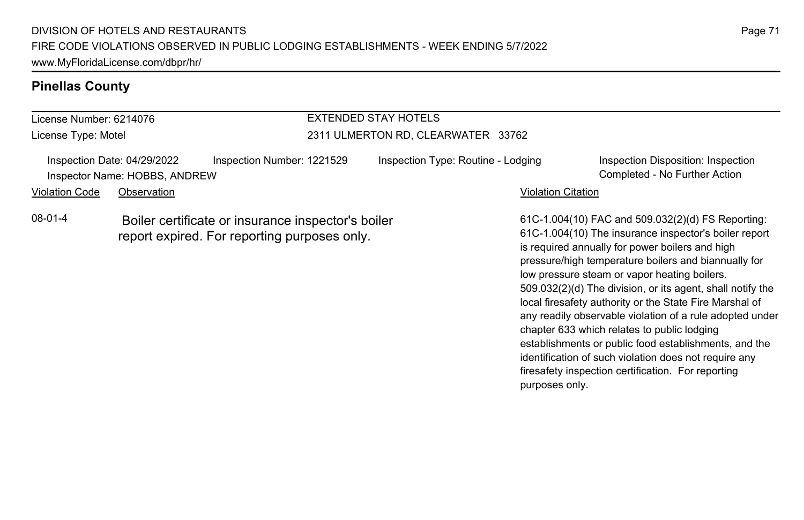# License Number: 6214076 License Type: Motel EXTENDED STAY HOTELS 2311 ULMERTON RD, CLEARWATER 33762 Inspection Date: 04/29/2022 Inspection Number: 1221529 Inspection Type: Routine - Lodging Inspection Disposition: Inspection Inspector Name: HOBBS, ANDREW Completed - No Further Action Violation Code Observation **Violation Code** Observation **Violation** Violation Citation Citation Citation Citation

08-01-4 Boiler certificate or insurance inspector's boiler report expired. For reporting purposes only.

61C-1.004(10) FAC and 509.032(2)(d) FS Reporting: 61C-1.004(10) The insurance inspector's boiler report is required annually for power boilers and high pressure/high temperature boilers and biannually for low pressure steam or vapor heating boilers. 509.032(2)(d) The division, or its agent, shall notify the local firesafety authority or the State Fire Marshal of any readily observable violation of a rule adopted under chapter 633 which relates to public lodging establishments or public food establishments, and the identification of such violation does not require any firesafety inspection certification. For reporting purposes only.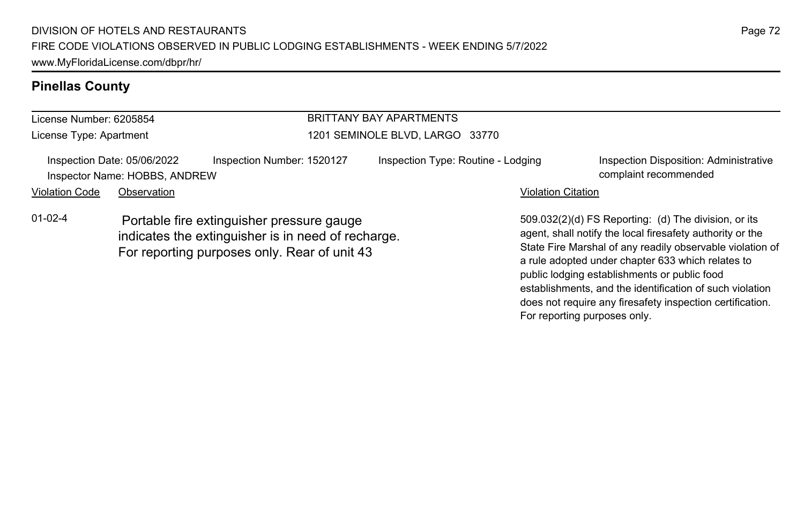#### License Number: 6205854 License Type: Apartment BRITTANY BAY APARTMENTS 1201 SEMINOLE BLVD, LARGO 33770 Inspection Date: 05/06/2022 Inspection Number: 1520127 Inspection Type: Routine - Lodging Inspection Disposition: Administrative Inspector Name: HOBBS, ANDREW complaint recommended Violation Code Observation **Violation Code Observation** Violation Citation Citation Citation Citation Citation Citation Citation Citation Citation Citation Citation Citation Citation Citation Citation Citation Citation Cit 509.032(2)(d) FS Reporting: (d) The division, or its agent, shall notify the local firesafety authority or the State Fire Marshal of any readily observable violation of a rule adopted under chapter 633 which relates to 01-02-4 Portable fire extinguisher pressure gauge indicates the extinguisher is in need of recharge. For reporting purposes only. Rear of unit 43

public lodging establishments or public food

For reporting purposes only.

establishments, and the identification of such violation does not require any firesafety inspection certification.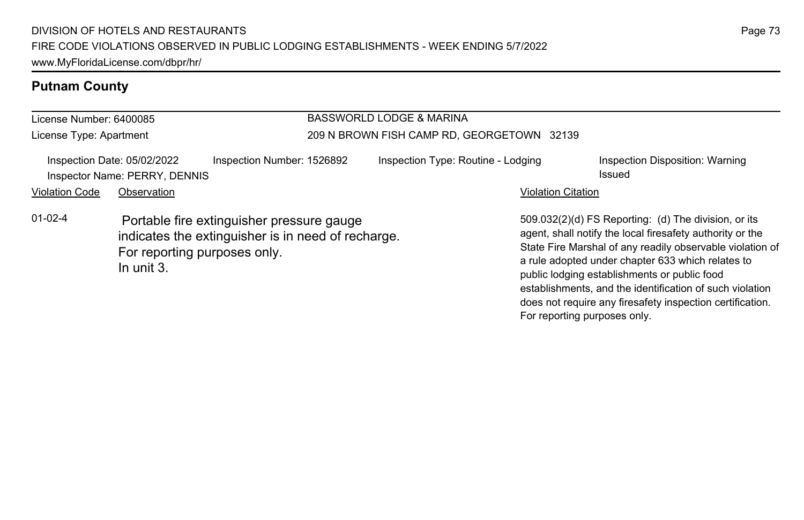# **Putnam County**

| License Number: 6400085                                      |                                                                                                                                               |                            | <b>BASSWORLD LODGE &amp; MARINA</b>        |                           |                                                                                                                                                                                                                                                                                                                                                 |  |
|--------------------------------------------------------------|-----------------------------------------------------------------------------------------------------------------------------------------------|----------------------------|--------------------------------------------|---------------------------|-------------------------------------------------------------------------------------------------------------------------------------------------------------------------------------------------------------------------------------------------------------------------------------------------------------------------------------------------|--|
| License Type: Apartment                                      |                                                                                                                                               |                            | 209 N BROWN FISH CAMP RD, GEORGETOWN 32139 |                           |                                                                                                                                                                                                                                                                                                                                                 |  |
| Inspection Date: 05/02/2022<br>Inspector Name: PERRY, DENNIS |                                                                                                                                               | Inspection Number: 1526892 | Inspection Type: Routine - Lodging         |                           | Inspection Disposition: Warning<br>Issued                                                                                                                                                                                                                                                                                                       |  |
| <b>Violation Code</b>                                        | Observation                                                                                                                                   |                            |                                            | <b>Violation Citation</b> |                                                                                                                                                                                                                                                                                                                                                 |  |
| $01 - 02 - 4$                                                | Portable fire extinguisher pressure gauge<br>indicates the extinguisher is in need of recharge.<br>For reporting purposes only.<br>In unit 3. |                            |                                            |                           | 509.032(2)(d) FS Reporting: (d) The division, or its<br>agent, shall notify the local firesafety authority or the<br>State Fire Marshal of any readily observable violation of<br>a rule adopted under chapter 633 which relates to<br>public lodging establishments or public food<br>establishments, and the identification of such violation |  |

does not require any firesafety inspection certification.

For reporting purposes only.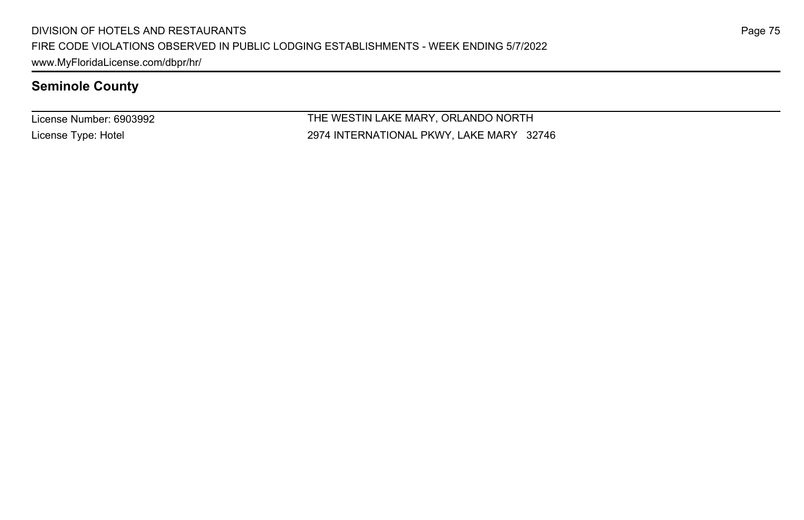License Number: 6903992 License Type: Hotel

THE WESTIN LAKE MARY, ORLANDO NORTH 2974 INTERNATIONAL PKWY, LAKE MARY 32746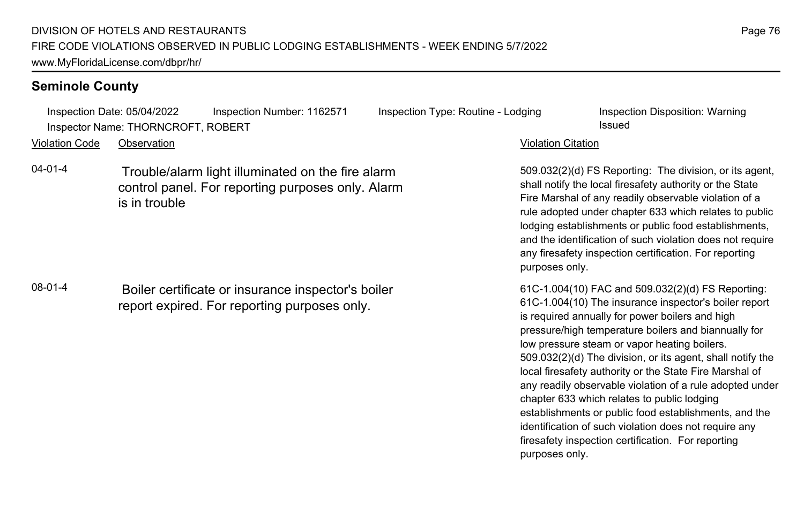Inspection Date: 05/04/2022 Inspection Number: 1162571 Inspection Type: Routine - Lodging Inspection Disposition: Warning Inspector Name: THORNCROFT, ROBERT **Inspector Name: THORNCROFT, ROBERT Issued** 

Violation Code Observation Violation Citation

04-01-4 Trouble/alarm light illuminated on the fire alarm control panel. For reporting purposes only. Alarm is in trouble

08-01-4 Boiler certificate or insurance inspector's boiler report expired. For reporting purposes only.

509.032(2)(d) FS Reporting: The division, or its agent, shall notify the local firesafety authority or the State Fire Marshal of any readily observable violation of a rule adopted under chapter 633 which relates to public lodging establishments or public food establishments, and the identification of such violation does not require any firesafety inspection certification. For reporting purposes only.

61C-1.004(10) FAC and 509.032(2)(d) FS Reporting: 61C-1.004(10) The insurance inspector's boiler report is required annually for power boilers and high pressure/high temperature boilers and biannually for low pressure steam or vapor heating boilers. 509.032(2)(d) The division, or its agent, shall notify the local firesafety authority or the State Fire Marshal of any readily observable violation of a rule adopted under chapter 633 which relates to public lodging establishments or public food establishments, and the identification of such violation does not require any firesafety inspection certification. For reporting purposes only.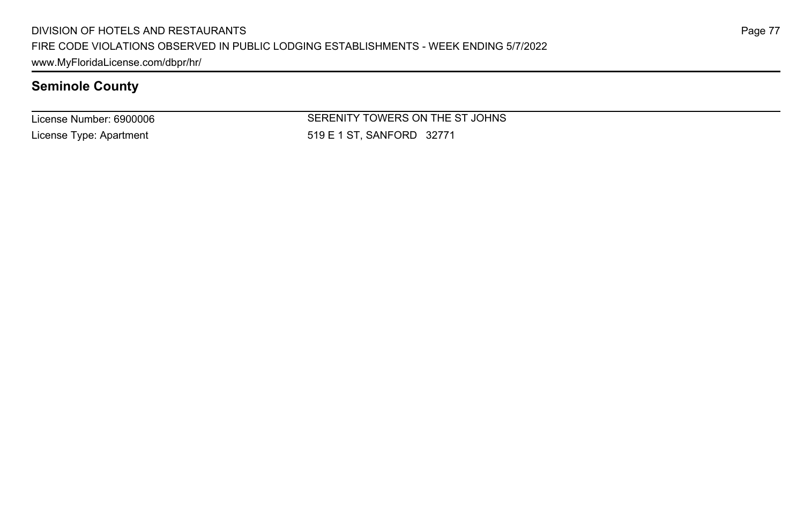License Number: 6900006 License Type: Apartment

SERENITY TOWERS ON THE ST JOHNS 519 E 1 ST, SANFORD 32771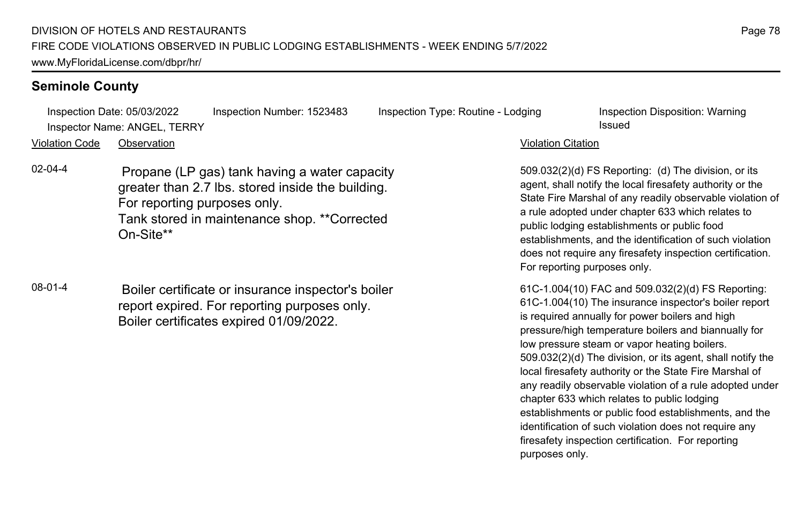Inspection Date: 05/03/2022 Inspection Number: 1523483 Inspection Type: Routine - Lodging Inspection Disposition: Warning **Inspector Name: ANGEL, TERRY Issued** 

#### Violation Code Observation Violation Citation

- 02-04-4 Propane (LP gas) tank having a water capacity greater than 2.7 lbs. stored inside the building. For reporting purposes only. Tank stored in maintenance shop. \*\*Corrected On-Site\*\*
- 08-01-4 Boiler certificate or insurance inspector's boiler report expired. For reporting purposes only. Boiler certificates expired 01/09/2022.

509.032(2)(d) FS Reporting: (d) The division, or its agent, shall notify the local firesafety authority or the State Fire Marshal of any readily observable violation of a rule adopted under chapter 633 which relates to public lodging establishments or public food establishments, and the identification of such violation does not require any firesafety inspection certification. For reporting purposes only.

61C-1.004(10) FAC and 509.032(2)(d) FS Reporting: 61C-1.004(10) The insurance inspector's boiler report is required annually for power boilers and high pressure/high temperature boilers and biannually for low pressure steam or vapor heating boilers. 509.032(2)(d) The division, or its agent, shall notify the local firesafety authority or the State Fire Marshal of any readily observable violation of a rule adopted under chapter 633 which relates to public lodging establishments or public food establishments, and the identification of such violation does not require any firesafety inspection certification. For reporting purposes only.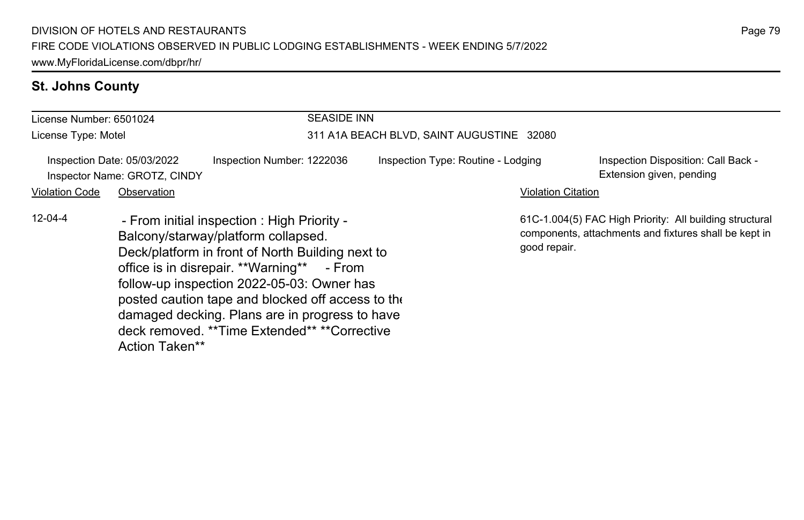# **St. Johns County**

| License Number: 6501024                                                                                                                                                                                                                                                                                                                                                                                                     |             |  | <b>SEASIDE INN</b>                        |  |                                                                 |                                                                                                                  |  |
|-----------------------------------------------------------------------------------------------------------------------------------------------------------------------------------------------------------------------------------------------------------------------------------------------------------------------------------------------------------------------------------------------------------------------------|-------------|--|-------------------------------------------|--|-----------------------------------------------------------------|------------------------------------------------------------------------------------------------------------------|--|
| License Type: Motel                                                                                                                                                                                                                                                                                                                                                                                                         |             |  | 311 A1A BEACH BLVD, SAINT AUGUSTINE 32080 |  |                                                                 |                                                                                                                  |  |
| Inspection Date: 05/03/2022<br>Inspection Number: 1222036<br>Inspector Name: GROTZ, CINDY                                                                                                                                                                                                                                                                                                                                   |             |  | Inspection Type: Routine - Lodging        |  | Inspection Disposition: Call Back -<br>Extension given, pending |                                                                                                                  |  |
| <b>Violation Code</b>                                                                                                                                                                                                                                                                                                                                                                                                       | Observation |  |                                           |  | <b>Violation Citation</b>                                       |                                                                                                                  |  |
| $12 - 04 - 4$<br>- From initial inspection: High Priority -<br>Balcony/starway/platform collapsed.<br>Deck/platform in front of North Building next to<br>office is in disrepair. **Warning** - From<br>follow-up inspection 2022-05-03: Owner has<br>posted caution tape and blocked off access to the<br>damaged decking. Plans are in progress to have<br>deck removed. **Time Extended** **Corrective<br>Action Taken** |             |  |                                           |  | good repair.                                                    | 61C-1.004(5) FAC High Priority: All building structural<br>components, attachments and fixtures shall be kept in |  |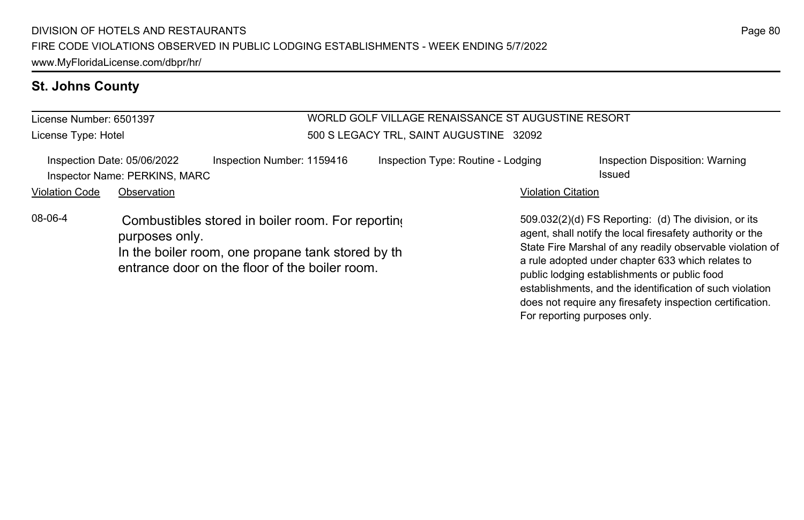# **St. Johns County**

| License Number: 6501397 |                                                                                                                                                                             |                            | WORLD GOLF VILLAGE RENAISSANCE ST AUGUSTINE RESORT |                                                                                                                                                                                                                                                                                                                                                 |                                           |  |
|-------------------------|-----------------------------------------------------------------------------------------------------------------------------------------------------------------------------|----------------------------|----------------------------------------------------|-------------------------------------------------------------------------------------------------------------------------------------------------------------------------------------------------------------------------------------------------------------------------------------------------------------------------------------------------|-------------------------------------------|--|
| License Type: Hotel     |                                                                                                                                                                             |                            | 500 S LEGACY TRL, SAINT AUGUSTINE 32092            |                                                                                                                                                                                                                                                                                                                                                 |                                           |  |
|                         | Inspection Date: 05/06/2022<br>Inspector Name: PERKINS, MARC                                                                                                                | Inspection Number: 1159416 | Inspection Type: Routine - Lodging                 |                                                                                                                                                                                                                                                                                                                                                 | Inspection Disposition: Warning<br>Issued |  |
| <b>Violation Code</b>   | Observation                                                                                                                                                                 |                            |                                                    | <b>Violation Citation</b>                                                                                                                                                                                                                                                                                                                       |                                           |  |
| 08-06-4                 | Combustibles stored in boiler room. For reporting<br>purposes only.<br>In the boiler room, one propane tank stored by the<br>entrance door on the floor of the boiler room. |                            |                                                    | 509.032(2)(d) FS Reporting: (d) The division, or its<br>agent, shall notify the local firesafety authority or the<br>State Fire Marshal of any readily observable violation of<br>a rule adopted under chapter 633 which relates to<br>public lodging establishments or public food<br>establishments, and the identification of such violation |                                           |  |

does not require any firesafety inspection certification.

For reporting purposes only.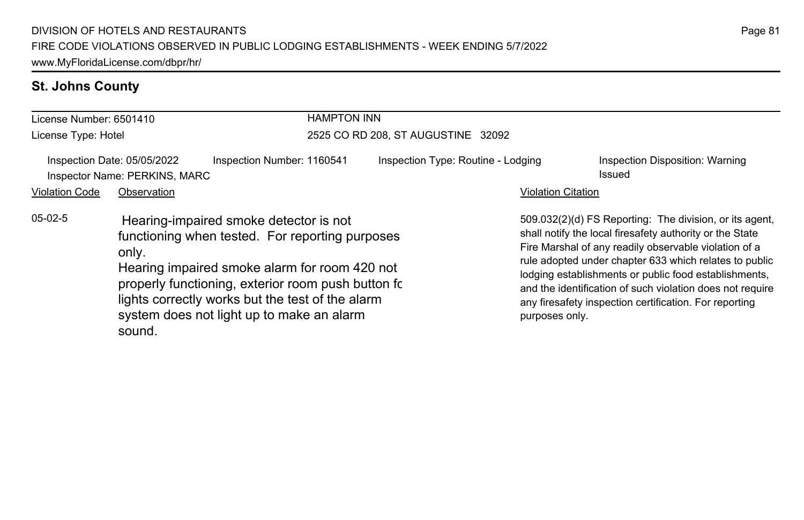# **St. Johns County**

| License Number: 6501410                                                                                                                                                                                                                                                                                                           |  | <b>HAMPTON INN</b>                 |                                    |                                                                                                                                                                                                                                                                                                                                                                                                                        |                                           |
|-----------------------------------------------------------------------------------------------------------------------------------------------------------------------------------------------------------------------------------------------------------------------------------------------------------------------------------|--|------------------------------------|------------------------------------|------------------------------------------------------------------------------------------------------------------------------------------------------------------------------------------------------------------------------------------------------------------------------------------------------------------------------------------------------------------------------------------------------------------------|-------------------------------------------|
| License Type: Hotel                                                                                                                                                                                                                                                                                                               |  | 2525 CO RD 208, ST AUGUSTINE 32092 |                                    |                                                                                                                                                                                                                                                                                                                                                                                                                        |                                           |
| Inspection Date: 05/05/2022<br>Inspection Number: 1160541<br>Inspector Name: PERKINS, MARC<br><b>Violation Code</b><br>Observation                                                                                                                                                                                                |  |                                    | Inspection Type: Routine - Lodging | <b>Violation Citation</b>                                                                                                                                                                                                                                                                                                                                                                                              | Inspection Disposition: Warning<br>Issued |
| $05-02-5$<br>Hearing-impaired smoke detector is not<br>functioning when tested. For reporting purposes<br>only.<br>Hearing impaired smoke alarm for room 420 not<br>properly functioning, exterior room push button fc<br>lights correctly works but the test of the alarm<br>system does not light up to make an alarm<br>sound. |  |                                    | purposes only.                     | 509.032(2)(d) FS Reporting: The division, or its agent,<br>shall notify the local firesafety authority or the State<br>Fire Marshal of any readily observable violation of a<br>rule adopted under chapter 633 which relates to public<br>lodging establishments or public food establishments,<br>and the identification of such violation does not require<br>any firesafety inspection certification. For reporting |                                           |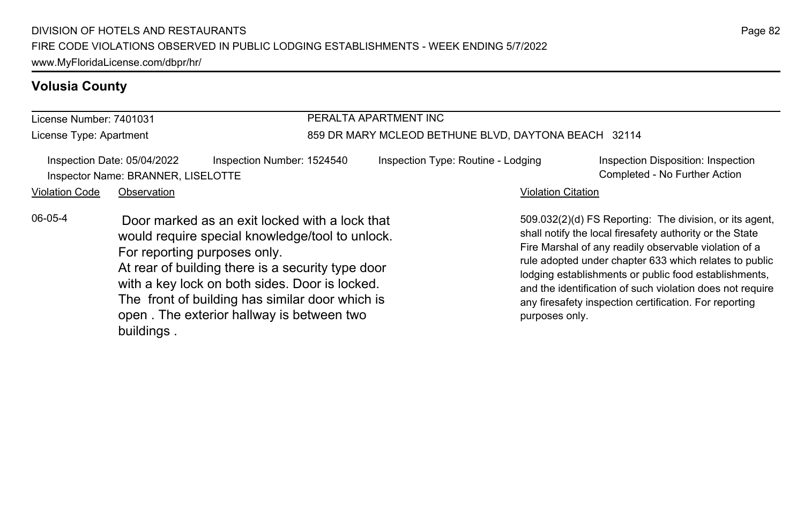#### License Number: 7401031 License Type: Apartment PERALTA APARTMENT INC 859 DR MARY MCLEOD BETHUNE BLVD, DAYTONA BEACH 32114 Inspection Date: 05/04/2022 Inspection Number: 1524540 Inspection Type: Routine - Lodging Inspection Disposition: Inspection Inspector Name: BRANNER, LISELOTTE Completed - No Further Action Violation Code Observation **Violation Code** Observation **Violation** Violation Citation Citation Citation Citation 509.032(2)(d) FS Reporting: The division, or its agent, shall notify the local firesafety authority or the State Fire Marshal of any readily observable violation of a rule adopted under chapter 633 which relates to public lodging establishments or public food establishments, and the identification of such violation does not require any firesafety inspection certification. For reporting purposes only. 06-05-4 Door marked as an exit locked with a lock that would require special knowledge/tool to unlock. For reporting purposes only. At rear of building there is a security type door with a key lock on both sides. Door is locked. The front of building has similar door which is open . The exterior hallway is between two buildings .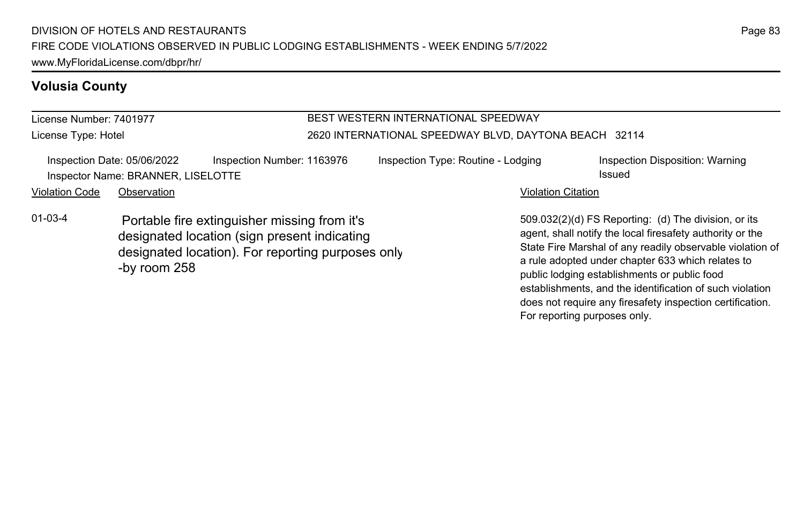#### License Number: 7401977 License Type: Hotel BEST WESTERN INTERNATIONAL SPEEDWAY 2620 INTERNATIONAL SPEEDWAY BLVD, DAYTONA BEACH 32114 Inspection Date: 05/06/2022 Inspection Number: 1163976 Inspection Type: Routine - Lodging Inspection Disposition: Warning Inspector Name: BRANNER, LISELOTTE **intervalse and the example of the example of the example of the example of the example of the example of the example of the example of the example of the example of the example of the ex** Violation Code Observation **Violation Code** Observation **Violation** Violation Citation Citation Citation Citation 01-03-4 Portable fire extinguisher missing from it's

designated location (sign present indicating designated location). For reporting purposes only. -by room 258

509.032(2)(d) FS Reporting: (d) The division, or its agent, shall notify the local firesafety authority or the State Fire Marshal of any readily observable violation of a rule adopted under chapter 633 which relates to public lodging establishments or public food establishments, and the identification of such violation does not require any firesafety inspection certification. For reporting purposes only.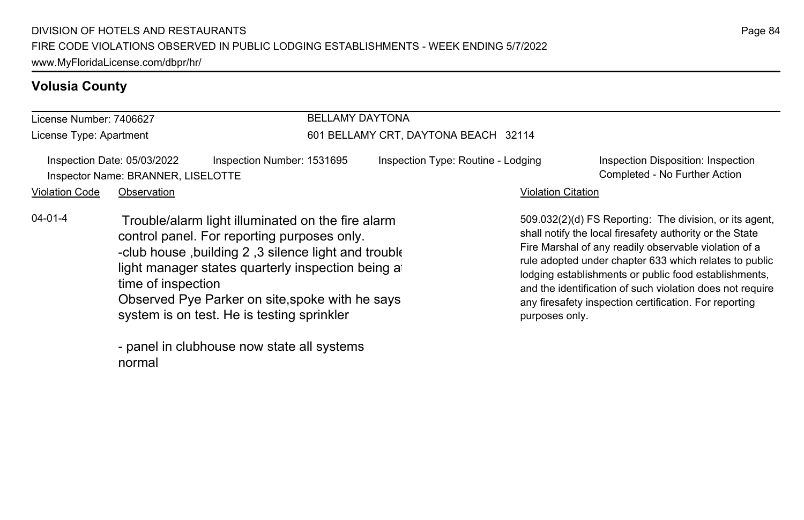#### License Number: 7406627 License Type: Apartment BELLAMY DAYTONA 601 BELLAMY CRT, DAYTONA BEACH 32114 Inspection Date: 05/03/2022 Inspection Number: 1531695 Inspection Type: Routine - Lodging Inspection Disposition: Inspection Inspector Name: BRANNER, LISELOTTE Completed - No Further Action Violation Code Observation **Violation Code** Observation **Violation** Violation Citation Citation Citation Citation 509.032(2)(d) FS Reporting: The division, or its agent, shall notify the local firesafety authority or the State Fire Marshal of any readily observable violation of a rule adopted under chapter 633 which relates to public lodging establishments or public food establishments, and the identification of such violation does not require any firesafety inspection certification. For reporting purposes only. 04-01-4 Trouble/alarm light illuminated on the fire alarm control panel. For reporting purposes only. -club house ,building 2 ,3 silence light and trouble light manager states quarterly inspection being at time of inspection Observed Pye Parker on site,spoke with he says system is on test. He is testing sprinkler - panel in clubhouse now state all systems

normal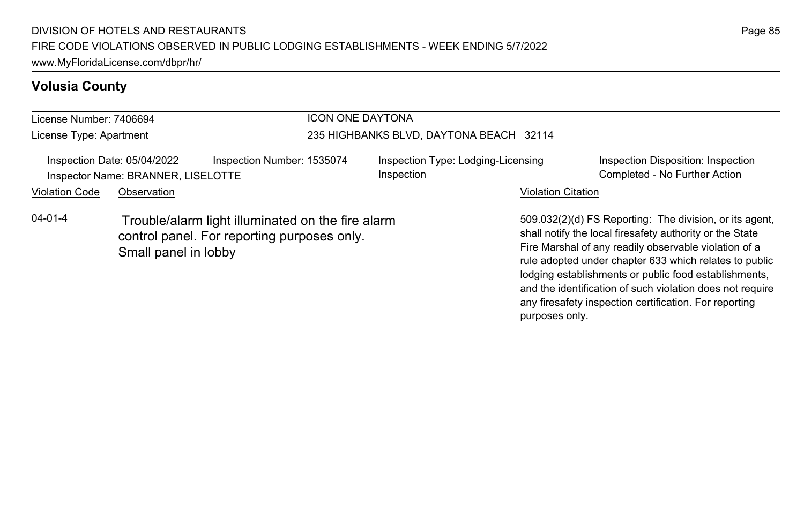#### License Number: 7406694 License Type: Apartment ICON ONE DAYTONA 235 HIGHBANKS BLVD, DAYTONA BEACH 32114 Inspection Date: 05/04/2022 Inspection Number: 1535074 Inspection Type: Lodging-Licensing Inspection Inspection Disposition: Inspection Inspector Name: BRANNER, LISELOTTE **Completed - No Further Action** Completed - No Further Action Violation Code Observation **Violation Code Observation** Violation Citation Citation Citation Citation Citation Citation Citation Citation Citation Citation Citation Citation Citation Citation Citation Citation Citation Cit 509.032(2)(d) FS Reporting: The division, or its agent, shall notify the local firesafety authority or the State Fire Marshal of any readily observable violation of a rule adopted under chapter 633 which relates to public 04-01-4 Trouble/alarm light illuminated on the fire alarm control panel. For reporting purposes only. Small panel in lobby

lodging establishments or public food establishments, and the identification of such violation does not require any firesafety inspection certification. For reporting

purposes only.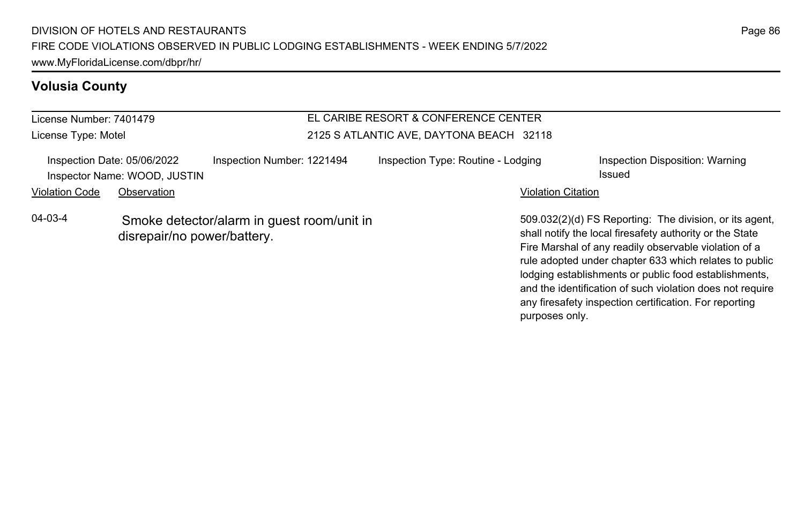License Number: 7401479 License Type: Motel

## EL CARIBE RESORT & CONFERENCE CENTER 2125 S ATLANTIC AVE, DAYTONA BEACH 32118

| Inspection Date: 05/06/2022<br>Inspector Name: WOOD, JUSTIN                                |  | Inspection Number: 1221494 | Inspection Type: Routine - Lodging                                                                                                                                        | Inspection Disposition: Warning<br><b>Issued</b> |
|--------------------------------------------------------------------------------------------|--|----------------------------|---------------------------------------------------------------------------------------------------------------------------------------------------------------------------|--------------------------------------------------|
| Violation Code<br>Observation                                                              |  | <b>Violation Citation</b>  |                                                                                                                                                                           |                                                  |
| $04 - 03 - 4$<br>Smoke detector/alarm in quest room/unit in<br>disrepair/no power/battery. |  |                            | 509.032(2)(d) FS Reporting: The division, or its age<br>shall notify the local firesafety authority or the State<br>Fire Marshal of any readily observable violation of a |                                                  |

509.032(2)(d) FS Reporting: The division, or its agent, shall notify the local firesafety authority or the State Fire Marshal of any readily observable violation of a rule adopted under chapter 633 which relates to public lodging establishments or public food establishments, and the identification of such violation does not require any firesafety inspection certification. For reporting purposes only.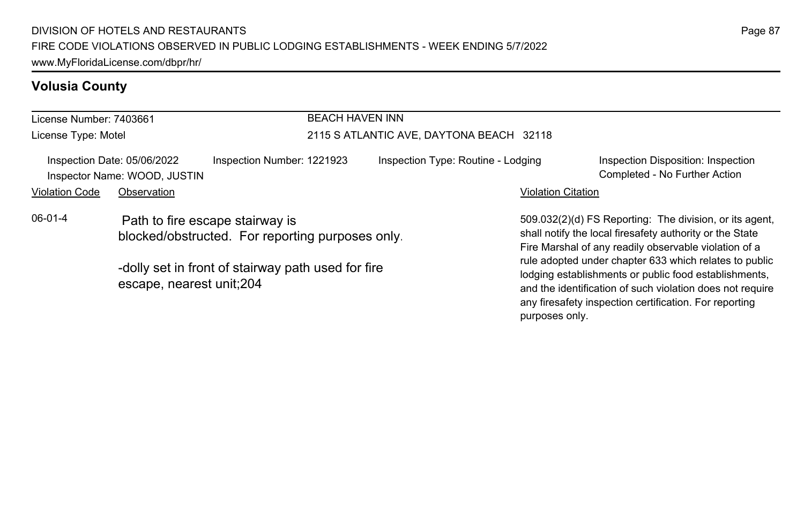| License Number: 7403661 |                                                                                     |                            | <b>BEACH HAVEN INN</b>                   |                                                                                                                                                                              |                                                                     |  |
|-------------------------|-------------------------------------------------------------------------------------|----------------------------|------------------------------------------|------------------------------------------------------------------------------------------------------------------------------------------------------------------------------|---------------------------------------------------------------------|--|
| License Type: Motel     |                                                                                     |                            | 2115 S ATLANTIC AVE, DAYTONA BEACH 32118 |                                                                                                                                                                              |                                                                     |  |
|                         | Inspection Date: 05/06/2022<br>Inspector Name: WOOD, JUSTIN                         | Inspection Number: 1221923 | Inspection Type: Routine - Lodging       |                                                                                                                                                                              | Inspection Disposition: Inspection<br>Completed - No Further Action |  |
| <b>Violation Code</b>   | Observation                                                                         |                            |                                          | <b>Violation Citation</b>                                                                                                                                                    |                                                                     |  |
| $06-01-4$               | Path to fire escape stairway is<br>blocked/obstructed. For reporting purposes only. |                            |                                          | 509.032(2)(d) FS Reporting: The division, or its agent.<br>shall notify the local firesafety authority or the State<br>Fire Marshal of any readily observable violation of a |                                                                     |  |
|                         | -dolly set in front of stairway path used for fire<br>escape, nearest unit;204      |                            |                                          | rule adopted under chapter 633 which relates to public<br>lodging establishments or public food establishments,<br>and the identification of such violation does not require |                                                                     |  |

any firesafety inspection certification. For reporting

purposes only.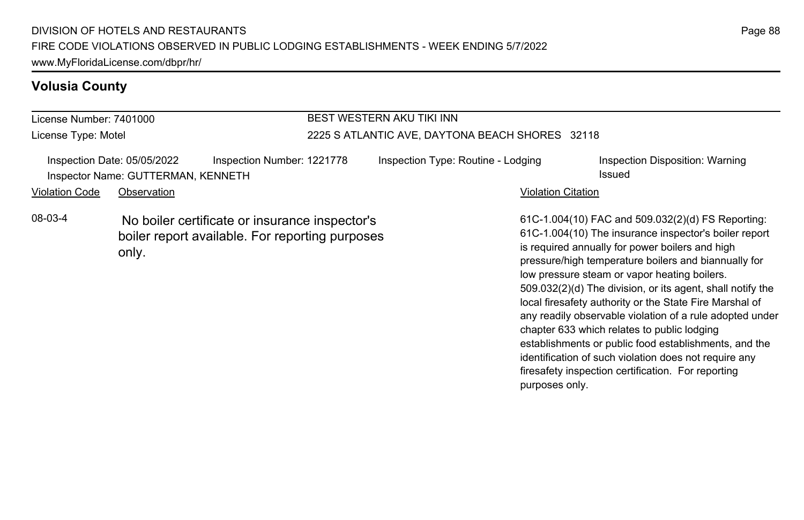| License Number: 7401000 |                                                                                                            |                            | <b>BEST WESTERN AKU TIKI INN</b>                |                                                                                                                                                                                                                                                                       |  |  |
|-------------------------|------------------------------------------------------------------------------------------------------------|----------------------------|-------------------------------------------------|-----------------------------------------------------------------------------------------------------------------------------------------------------------------------------------------------------------------------------------------------------------------------|--|--|
| License Type: Motel     |                                                                                                            |                            | 2225 S ATLANTIC AVE, DAYTONA BEACH SHORES 32118 |                                                                                                                                                                                                                                                                       |  |  |
|                         | Inspection Date: 05/05/2022<br>Inspector Name: GUTTERMAN, KENNETH                                          | Inspection Number: 1221778 | Inspection Type: Routine - Lodging              | Inspection Disposition: Warning<br>Issued                                                                                                                                                                                                                             |  |  |
| <b>Violation Code</b>   | Observation                                                                                                |                            | <b>Violation Citation</b>                       |                                                                                                                                                                                                                                                                       |  |  |
| 08-03-4                 | No boiler certificate or insurance inspector's<br>boiler report available. For reporting purposes<br>only. |                            |                                                 | 61C-1.004(10) FAC and 509.032(2)(d) FS Reporting:<br>61C-1.004(10) The insurance inspector's boiler report<br>is required annually for power boilers and high<br>pressure/high temperature boilers and biannually for<br>low pressure steam or vapor heating boilers. |  |  |

Page 88

509.032(2)(d) The division, or its agent, shall notify the local firesafety authority or the State Fire Marshal of any readily observable violation of a rule adopted under

establishments or public food establishments, and the identification of such violation does not require any firesafety inspection certification. For reporting

chapter 633 which relates to public lodging

purposes only.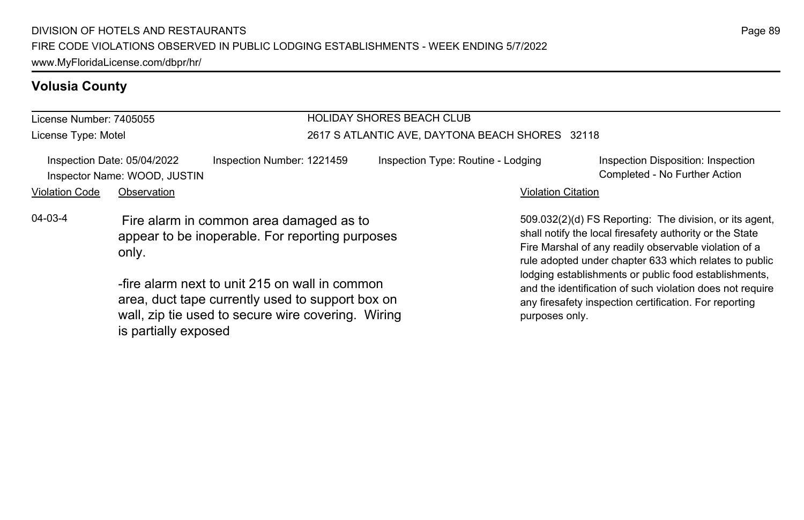is partially exposed

#### License Number: 7405055 License Type: Motel HOLIDAY SHORES BEACH CLUB 2617 S ATLANTIC AVE, DAYTONA BEACH SHORES 32118 Inspection Date: 05/04/2022 Inspection Number: 1221459 Inspection Type: Routine - Lodging Inspection Disposition: Inspection Inspector Name: WOOD, JUSTIN Completed - No Further Action Violation Code Observation **Violation Code** Observation **Violation** Violation Citation Citation Citation Citation 509.032(2)(d) FS Reporting: The division, or its agent, shall notify the local firesafety authority or the State Fire Marshal of any readily observable violation of a rule adopted under chapter 633 which relates to public lodging establishments or public food establishments, and the identification of such violation does not require any firesafety inspection certification. For reporting purposes only. 04-03-4 Fire alarm in common area damaged as to appear to be inoperable. For reporting purposes only. -fire alarm next to unit 215 on wall in common area, duct tape currently used to support box on wall, zip tie used to secure wire covering. Wiring